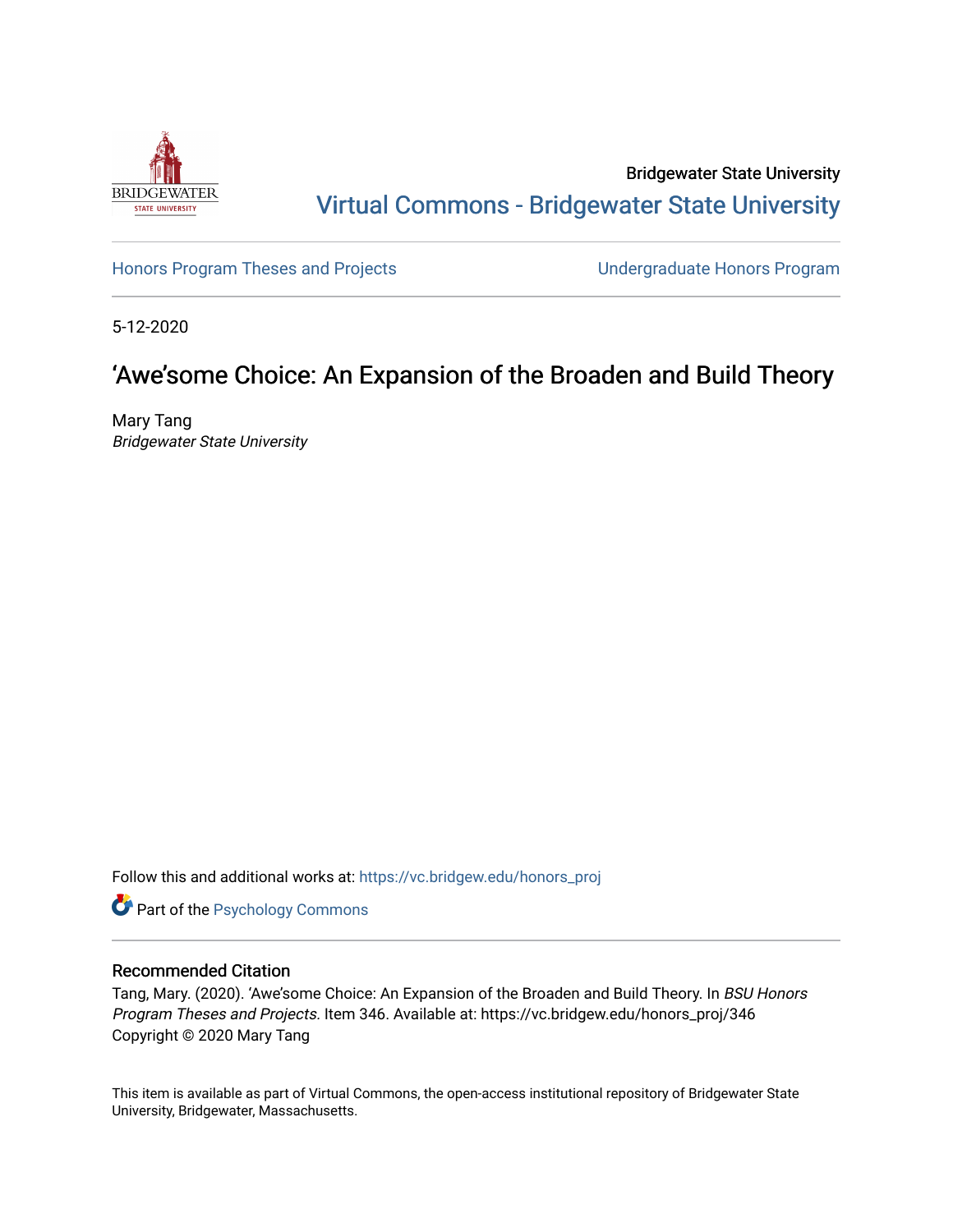

# Bridgewater State University [Virtual Commons - Bridgewater State University](https://vc.bridgew.edu/)

[Honors Program Theses and Projects](https://vc.bridgew.edu/honors_proj) [Undergraduate Honors Program](https://vc.bridgew.edu/honors) 

5-12-2020

# 'Awe'some Choice: An Expansion of the Broaden and Build Theory

Mary Tang Bridgewater State University

Follow this and additional works at: [https://vc.bridgew.edu/honors\\_proj](https://vc.bridgew.edu/honors_proj?utm_source=vc.bridgew.edu%2Fhonors_proj%2F346&utm_medium=PDF&utm_campaign=PDFCoverPages)

Part of the [Psychology Commons](http://network.bepress.com/hgg/discipline/404?utm_source=vc.bridgew.edu%2Fhonors_proj%2F346&utm_medium=PDF&utm_campaign=PDFCoverPages) 

## Recommended Citation

Tang, Mary. (2020). 'Awe'some Choice: An Expansion of the Broaden and Build Theory. In BSU Honors Program Theses and Projects. Item 346. Available at: https://vc.bridgew.edu/honors\_proj/346 Copyright © 2020 Mary Tang

This item is available as part of Virtual Commons, the open-access institutional repository of Bridgewater State University, Bridgewater, Massachusetts.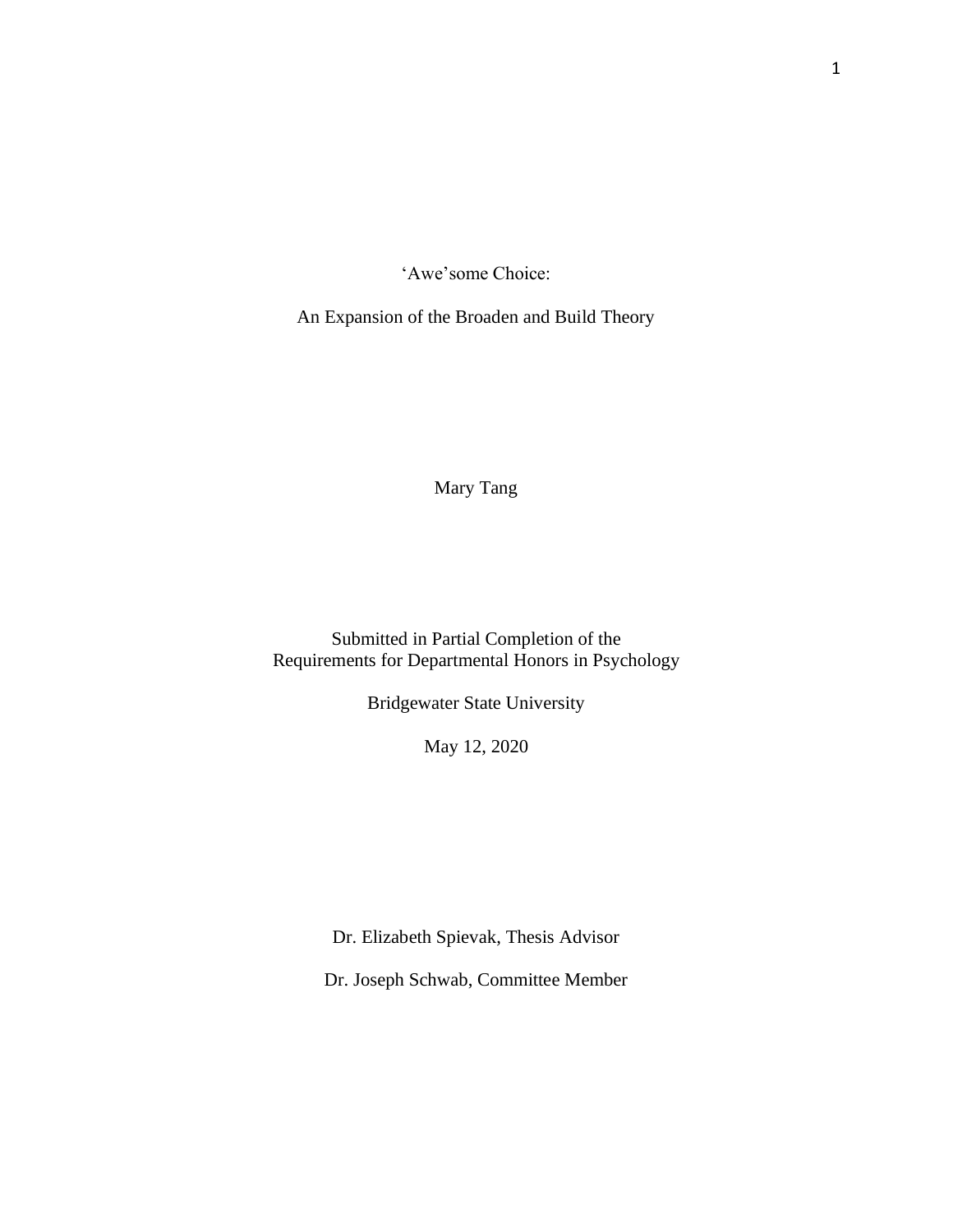'Awe'some Choice:

An Expansion of the Broaden and Build Theory

Mary Tang

Submitted in Partial Completion of the Requirements for Departmental Honors in Psychology

Bridgewater State University

May 12, 2020

Dr. Elizabeth Spievak, Thesis Advisor

Dr. Joseph Schwab, Committee Member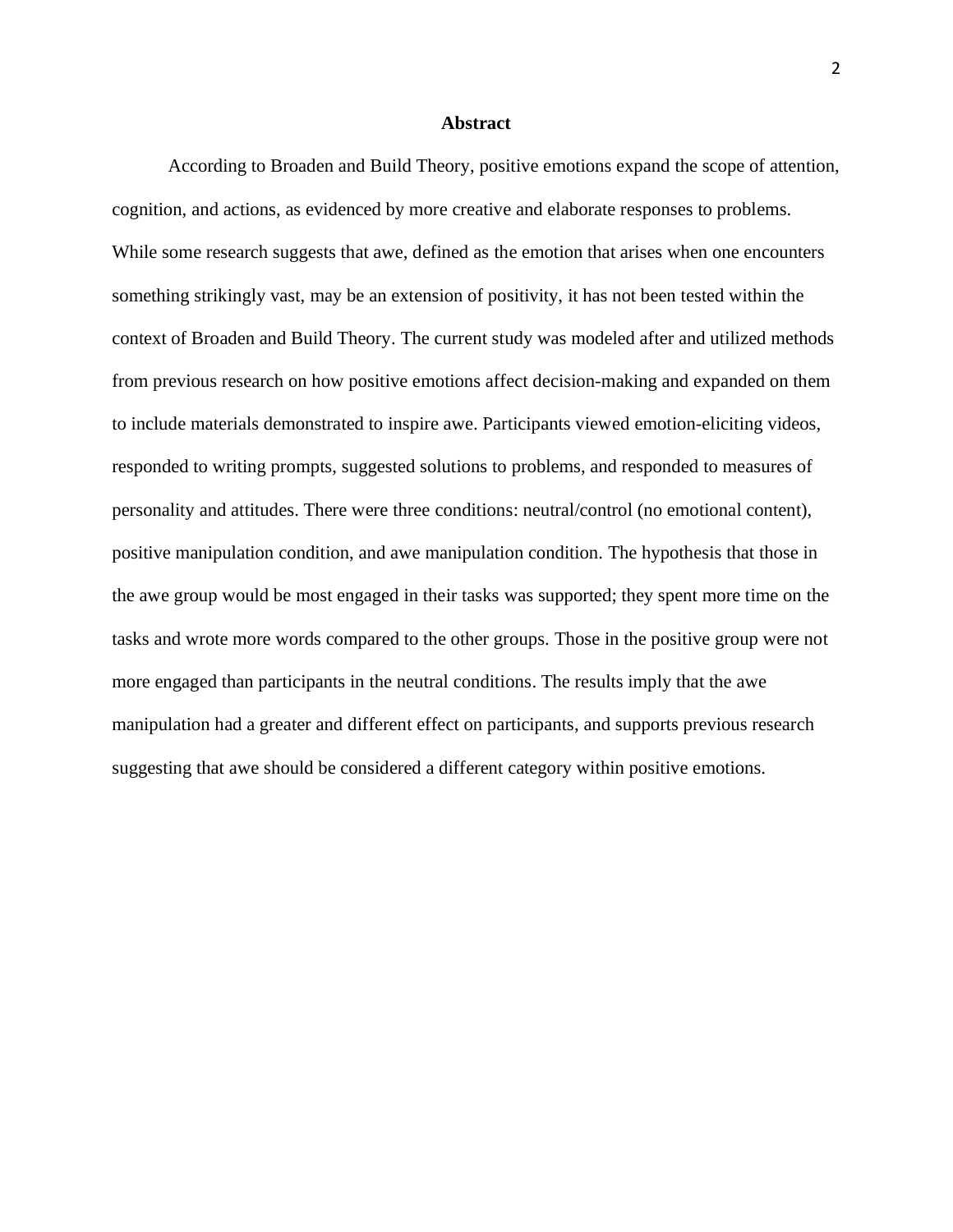#### **Abstract**

According to Broaden and Build Theory, positive emotions expand the scope of attention, cognition, and actions, as evidenced by more creative and elaborate responses to problems. While some research suggests that awe, defined as the emotion that arises when one encounters something strikingly vast, may be an extension of positivity, it has not been tested within the context of Broaden and Build Theory. The current study was modeled after and utilized methods from previous research on how positive emotions affect decision-making and expanded on them to include materials demonstrated to inspire awe. Participants viewed emotion-eliciting videos, responded to writing prompts, suggested solutions to problems, and responded to measures of personality and attitudes. There were three conditions: neutral/control (no emotional content), positive manipulation condition, and awe manipulation condition. The hypothesis that those in the awe group would be most engaged in their tasks was supported; they spent more time on the tasks and wrote more words compared to the other groups. Those in the positive group were not more engaged than participants in the neutral conditions. The results imply that the awe manipulation had a greater and different effect on participants, and supports previous research suggesting that awe should be considered a different category within positive emotions.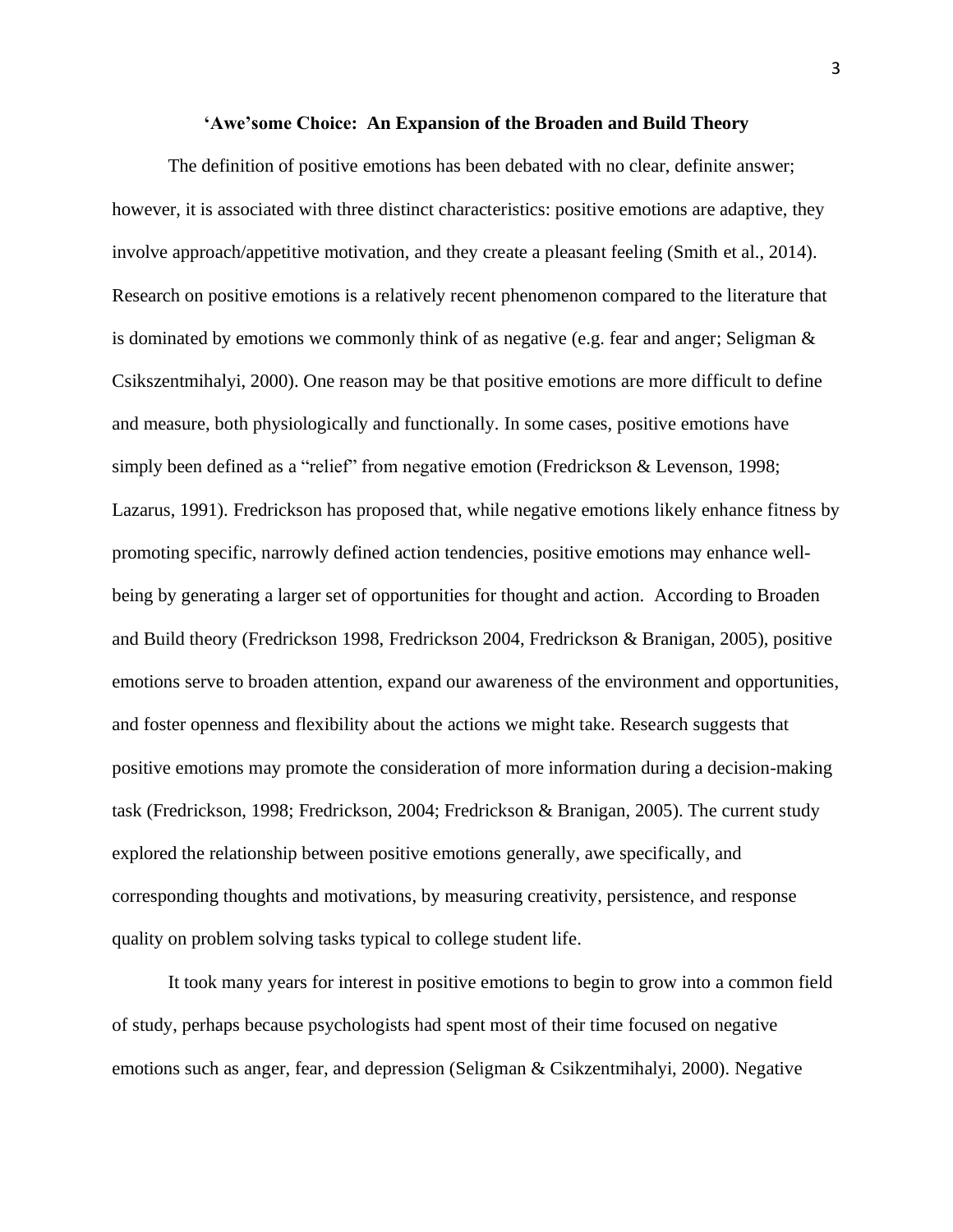#### **'Awe'some Choice: An Expansion of the Broaden and Build Theory**

The definition of positive emotions has been debated with no clear, definite answer; however, it is associated with three distinct characteristics: positive emotions are adaptive, they involve approach/appetitive motivation, and they create a pleasant feeling (Smith et al., 2014). Research on positive emotions is a relatively recent phenomenon compared to the literature that is dominated by emotions we commonly think of as negative (e.g. fear and anger; Seligman & Csikszentmihalyi, 2000). One reason may be that positive emotions are more difficult to define and measure, both physiologically and functionally. In some cases, positive emotions have simply been defined as a "relief" from negative emotion (Fredrickson & Levenson, 1998; Lazarus, 1991). Fredrickson has proposed that, while negative emotions likely enhance fitness by promoting specific, narrowly defined action tendencies, positive emotions may enhance wellbeing by generating a larger set of opportunities for thought and action. According to Broaden and Build theory (Fredrickson 1998, Fredrickson 2004, Fredrickson & Branigan, 2005), positive emotions serve to broaden attention, expand our awareness of the environment and opportunities, and foster openness and flexibility about the actions we might take. Research suggests that positive emotions may promote the consideration of more information during a decision-making task (Fredrickson, 1998; Fredrickson, 2004; Fredrickson & Branigan, 2005). The current study explored the relationship between positive emotions generally, awe specifically, and corresponding thoughts and motivations, by measuring creativity, persistence, and response quality on problem solving tasks typical to college student life.

It took many years for interest in positive emotions to begin to grow into a common field of study, perhaps because psychologists had spent most of their time focused on negative emotions such as anger, fear, and depression (Seligman & Csikzentmihalyi, 2000). Negative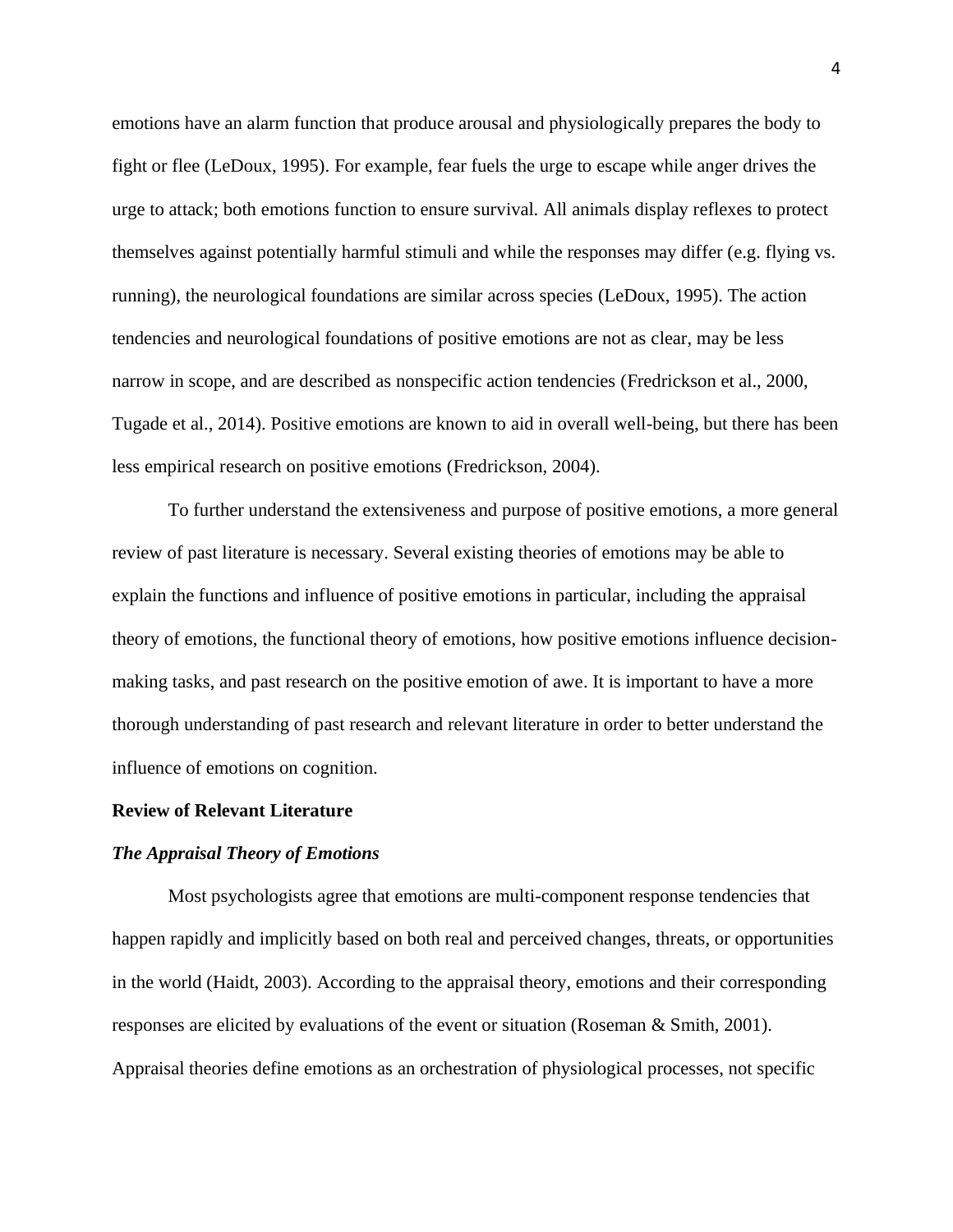emotions have an alarm function that produce arousal and physiologically prepares the body to fight or flee (LeDoux, 1995). For example, fear fuels the urge to escape while anger drives the urge to attack; both emotions function to ensure survival. All animals display reflexes to protect themselves against potentially harmful stimuli and while the responses may differ (e.g. flying vs. running), the neurological foundations are similar across species (LeDoux, 1995). The action tendencies and neurological foundations of positive emotions are not as clear, may be less narrow in scope, and are described as nonspecific action tendencies (Fredrickson et al., 2000, Tugade et al., 2014). Positive emotions are known to aid in overall well-being, but there has been less empirical research on positive emotions (Fredrickson, 2004).

To further understand the extensiveness and purpose of positive emotions, a more general review of past literature is necessary. Several existing theories of emotions may be able to explain the functions and influence of positive emotions in particular, including the appraisal theory of emotions, the functional theory of emotions, how positive emotions influence decisionmaking tasks, and past research on the positive emotion of awe. It is important to have a more thorough understanding of past research and relevant literature in order to better understand the influence of emotions on cognition.

#### **Review of Relevant Literature**

#### *The Appraisal Theory of Emotions*

Most psychologists agree that emotions are multi-component response tendencies that happen rapidly and implicitly based on both real and perceived changes, threats, or opportunities in the world (Haidt, 2003). According to the appraisal theory, emotions and their corresponding responses are elicited by evaluations of the event or situation (Roseman & Smith, 2001). Appraisal theories define emotions as an orchestration of physiological processes, not specific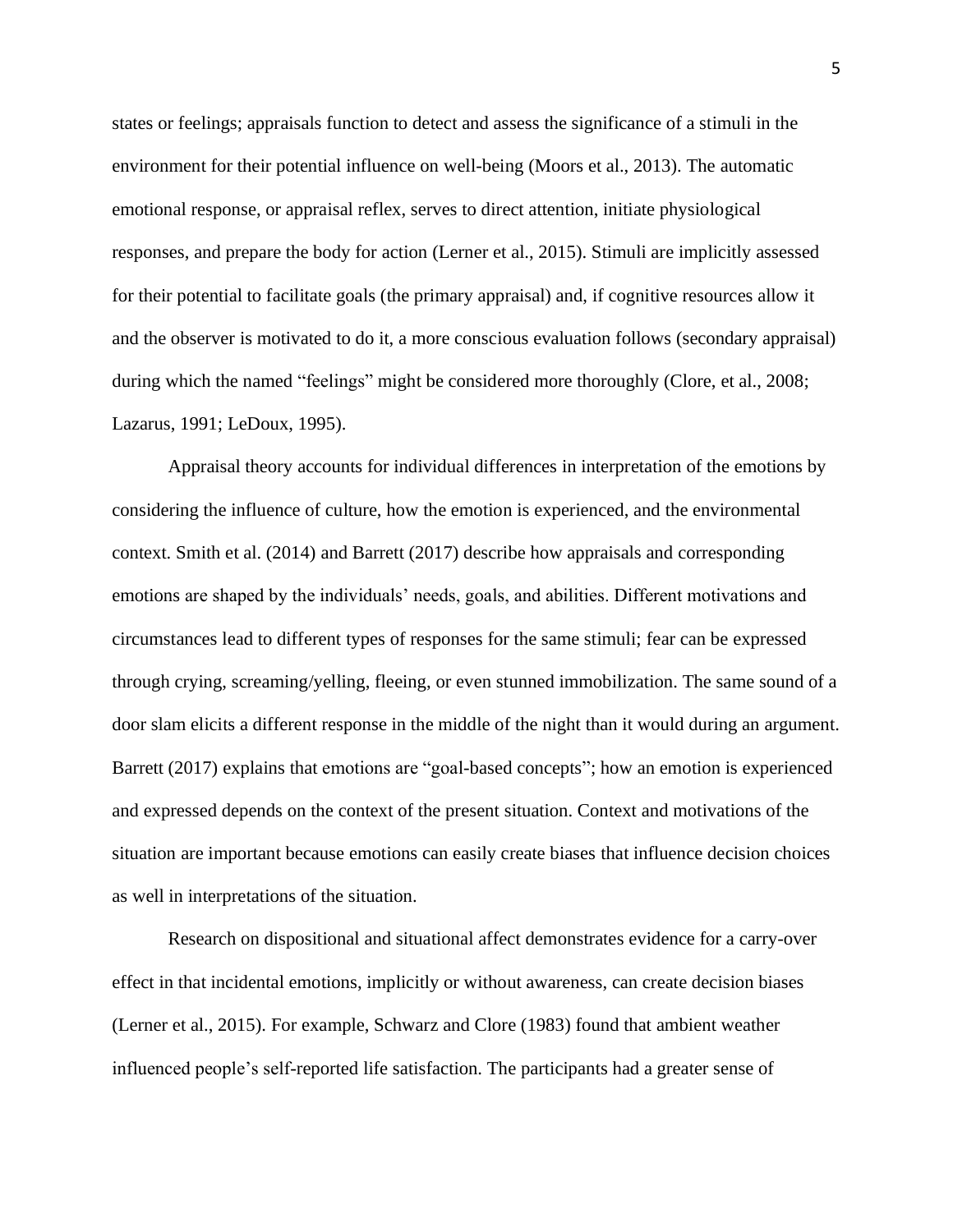states or feelings; appraisals function to detect and assess the significance of a stimuli in the environment for their potential influence on well-being (Moors et al., 2013). The automatic emotional response, or appraisal reflex, serves to direct attention, initiate physiological responses, and prepare the body for action (Lerner et al., 2015). Stimuli are implicitly assessed for their potential to facilitate goals (the primary appraisal) and, if cognitive resources allow it and the observer is motivated to do it, a more conscious evaluation follows (secondary appraisal) during which the named "feelings" might be considered more thoroughly (Clore, et al., 2008; Lazarus, 1991; LeDoux, 1995).

Appraisal theory accounts for individual differences in interpretation of the emotions by considering the influence of culture, how the emotion is experienced, and the environmental context. Smith et al. (2014) and Barrett (2017) describe how appraisals and corresponding emotions are shaped by the individuals' needs, goals, and abilities. Different motivations and circumstances lead to different types of responses for the same stimuli; fear can be expressed through crying, screaming/yelling, fleeing, or even stunned immobilization. The same sound of a door slam elicits a different response in the middle of the night than it would during an argument. Barrett (2017) explains that emotions are "goal-based concepts"; how an emotion is experienced and expressed depends on the context of the present situation. Context and motivations of the situation are important because emotions can easily create biases that influence decision choices as well in interpretations of the situation.

Research on dispositional and situational affect demonstrates evidence for a carry-over effect in that incidental emotions, implicitly or without awareness, can create decision biases (Lerner et al., 2015). For example, Schwarz and Clore (1983) found that ambient weather influenced people's self-reported life satisfaction. The participants had a greater sense of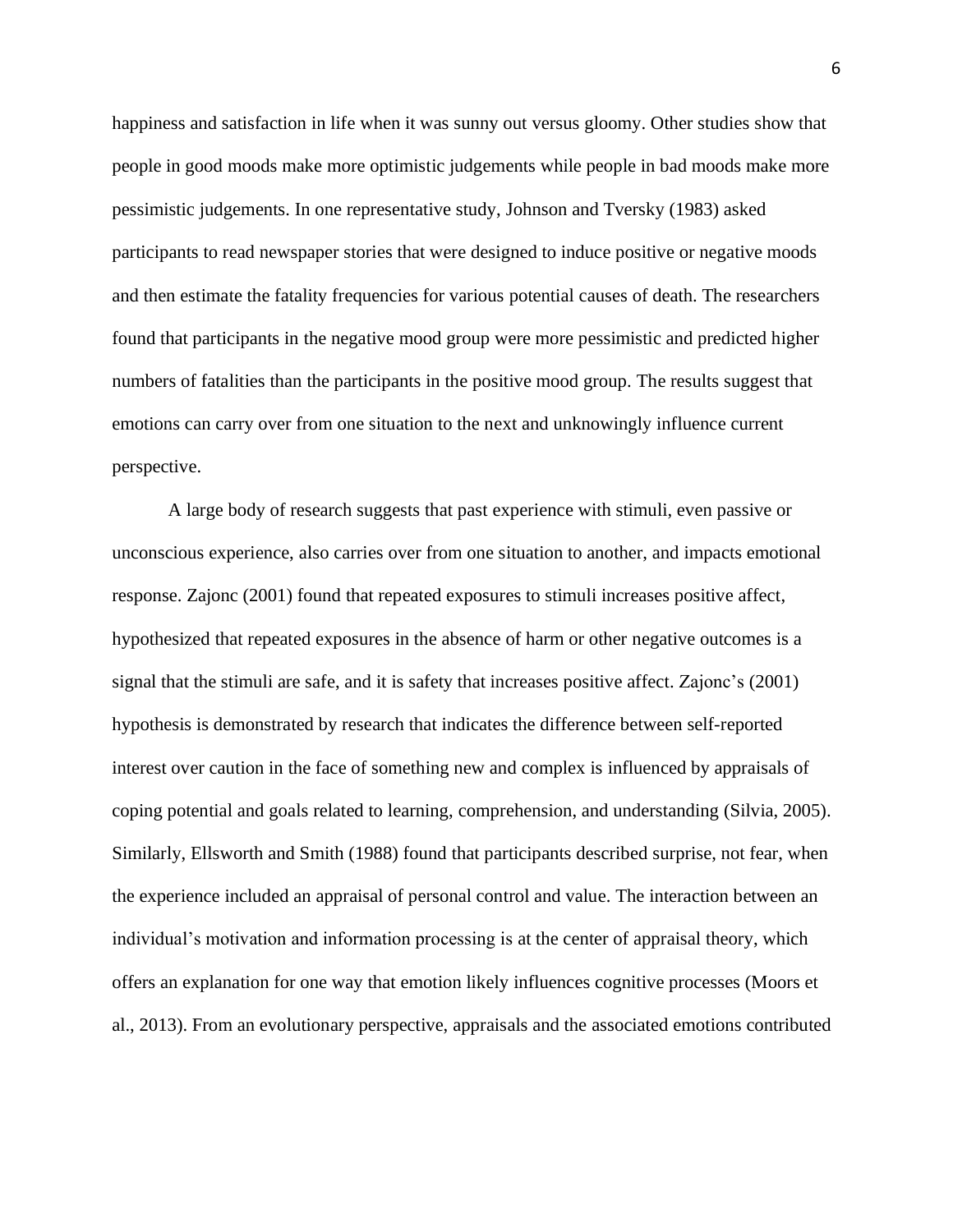happiness and satisfaction in life when it was sunny out versus gloomy. Other studies show that people in good moods make more optimistic judgements while people in bad moods make more pessimistic judgements. In one representative study, Johnson and Tversky (1983) asked participants to read newspaper stories that were designed to induce positive or negative moods and then estimate the fatality frequencies for various potential causes of death. The researchers found that participants in the negative mood group were more pessimistic and predicted higher numbers of fatalities than the participants in the positive mood group. The results suggest that emotions can carry over from one situation to the next and unknowingly influence current perspective.

A large body of research suggests that past experience with stimuli, even passive or unconscious experience, also carries over from one situation to another, and impacts emotional response. Zajonc (2001) found that repeated exposures to stimuli increases positive affect, hypothesized that repeated exposures in the absence of harm or other negative outcomes is a signal that the stimuli are safe, and it is safety that increases positive affect. Zajonc's (2001) hypothesis is demonstrated by research that indicates the difference between self-reported interest over caution in the face of something new and complex is influenced by appraisals of coping potential and goals related to learning, comprehension, and understanding (Silvia, 2005). Similarly, Ellsworth and Smith (1988) found that participants described surprise, not fear, when the experience included an appraisal of personal control and value. The interaction between an individual's motivation and information processing is at the center of appraisal theory, which offers an explanation for one way that emotion likely influences cognitive processes (Moors et al., 2013). From an evolutionary perspective, appraisals and the associated emotions contributed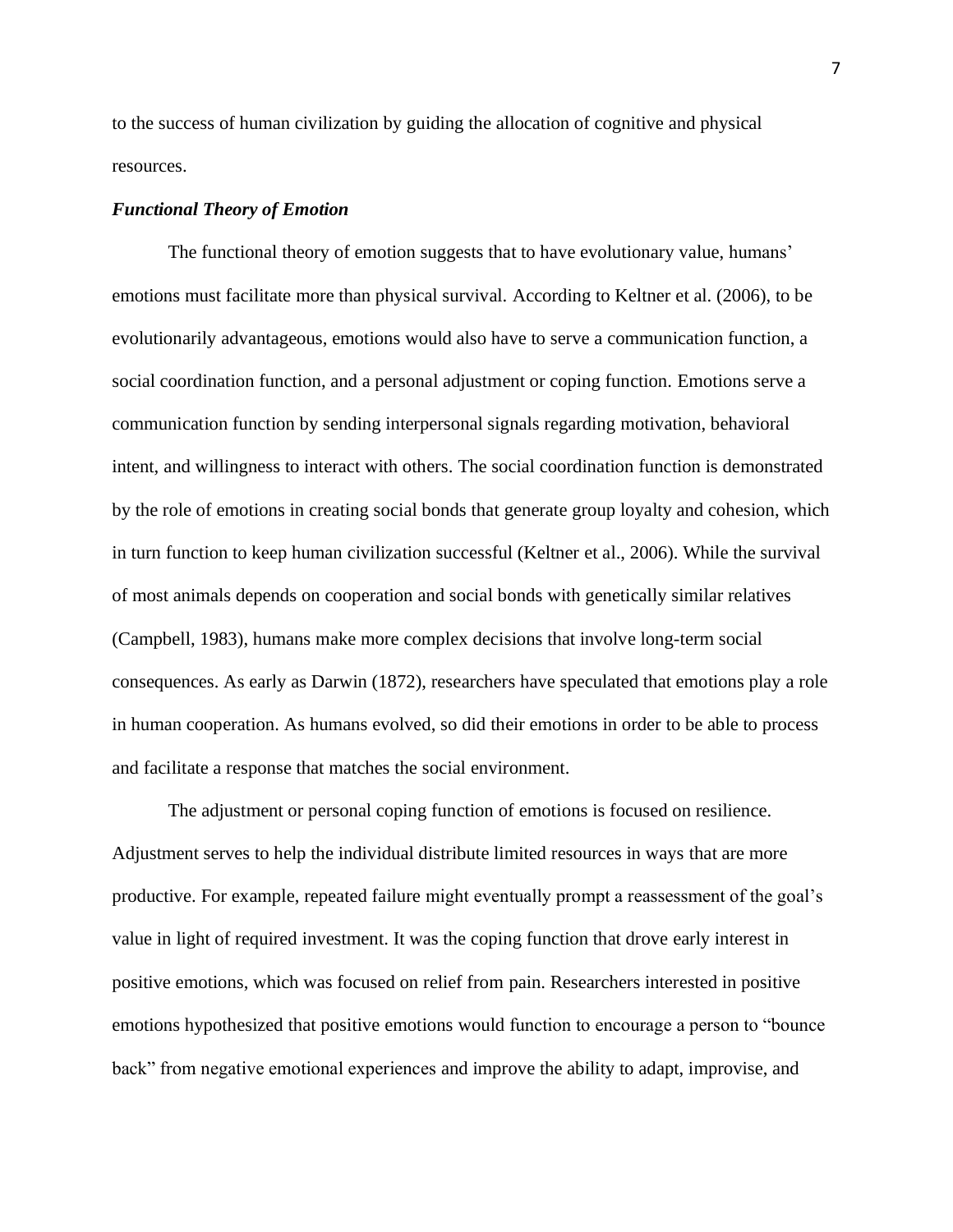to the success of human civilization by guiding the allocation of cognitive and physical resources.

#### *Functional Theory of Emotion*

The functional theory of emotion suggests that to have evolutionary value, humans' emotions must facilitate more than physical survival. According to Keltner et al. (2006), to be evolutionarily advantageous, emotions would also have to serve a communication function, a social coordination function, and a personal adjustment or coping function. Emotions serve a communication function by sending interpersonal signals regarding motivation, behavioral intent, and willingness to interact with others. The social coordination function is demonstrated by the role of emotions in creating social bonds that generate group loyalty and cohesion, which in turn function to keep human civilization successful (Keltner et al., 2006). While the survival of most animals depends on cooperation and social bonds with genetically similar relatives (Campbell, 1983), humans make more complex decisions that involve long-term social consequences. As early as Darwin (1872), researchers have speculated that emotions play a role in human cooperation. As humans evolved, so did their emotions in order to be able to process and facilitate a response that matches the social environment.

The adjustment or personal coping function of emotions is focused on resilience. Adjustment serves to help the individual distribute limited resources in ways that are more productive. For example, repeated failure might eventually prompt a reassessment of the goal's value in light of required investment. It was the coping function that drove early interest in positive emotions, which was focused on relief from pain. Researchers interested in positive emotions hypothesized that positive emotions would function to encourage a person to "bounce back" from negative emotional experiences and improve the ability to adapt, improvise, and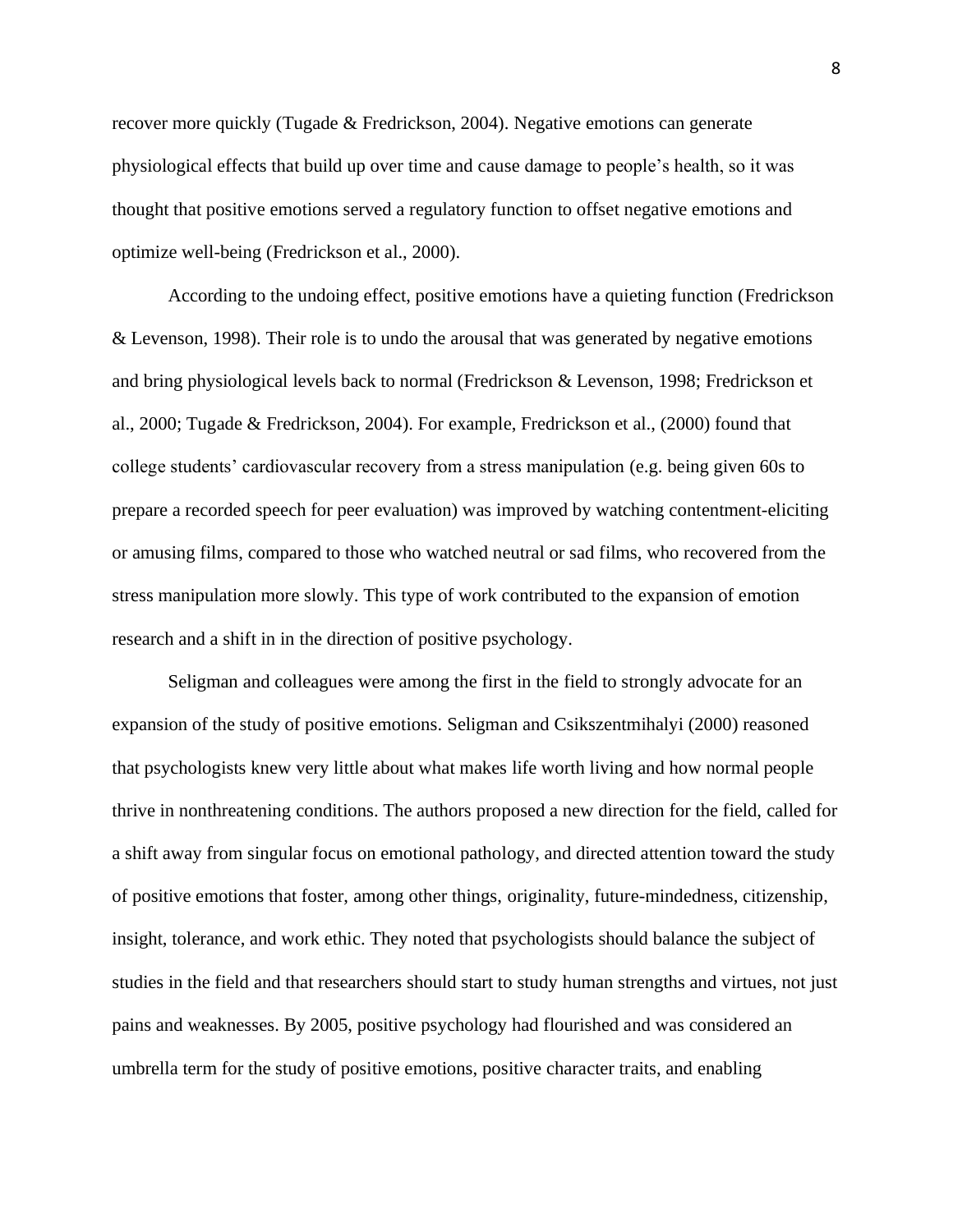recover more quickly (Tugade & Fredrickson, 2004). Negative emotions can generate physiological effects that build up over time and cause damage to people's health, so it was thought that positive emotions served a regulatory function to offset negative emotions and optimize well-being (Fredrickson et al., 2000).

According to the undoing effect, positive emotions have a quieting function (Fredrickson & Levenson, 1998). Their role is to undo the arousal that was generated by negative emotions and bring physiological levels back to normal (Fredrickson & Levenson, 1998; Fredrickson et al., 2000; Tugade & Fredrickson, 2004). For example, Fredrickson et al., (2000) found that college students' cardiovascular recovery from a stress manipulation (e.g. being given 60s to prepare a recorded speech for peer evaluation) was improved by watching contentment-eliciting or amusing films, compared to those who watched neutral or sad films, who recovered from the stress manipulation more slowly. This type of work contributed to the expansion of emotion research and a shift in in the direction of positive psychology.

Seligman and colleagues were among the first in the field to strongly advocate for an expansion of the study of positive emotions. Seligman and Csikszentmihalyi (2000) reasoned that psychologists knew very little about what makes life worth living and how normal people thrive in nonthreatening conditions. The authors proposed a new direction for the field, called for a shift away from singular focus on emotional pathology, and directed attention toward the study of positive emotions that foster, among other things, originality, future-mindedness, citizenship, insight, tolerance, and work ethic. They noted that psychologists should balance the subject of studies in the field and that researchers should start to study human strengths and virtues, not just pains and weaknesses. By 2005, positive psychology had flourished and was considered an umbrella term for the study of positive emotions, positive character traits, and enabling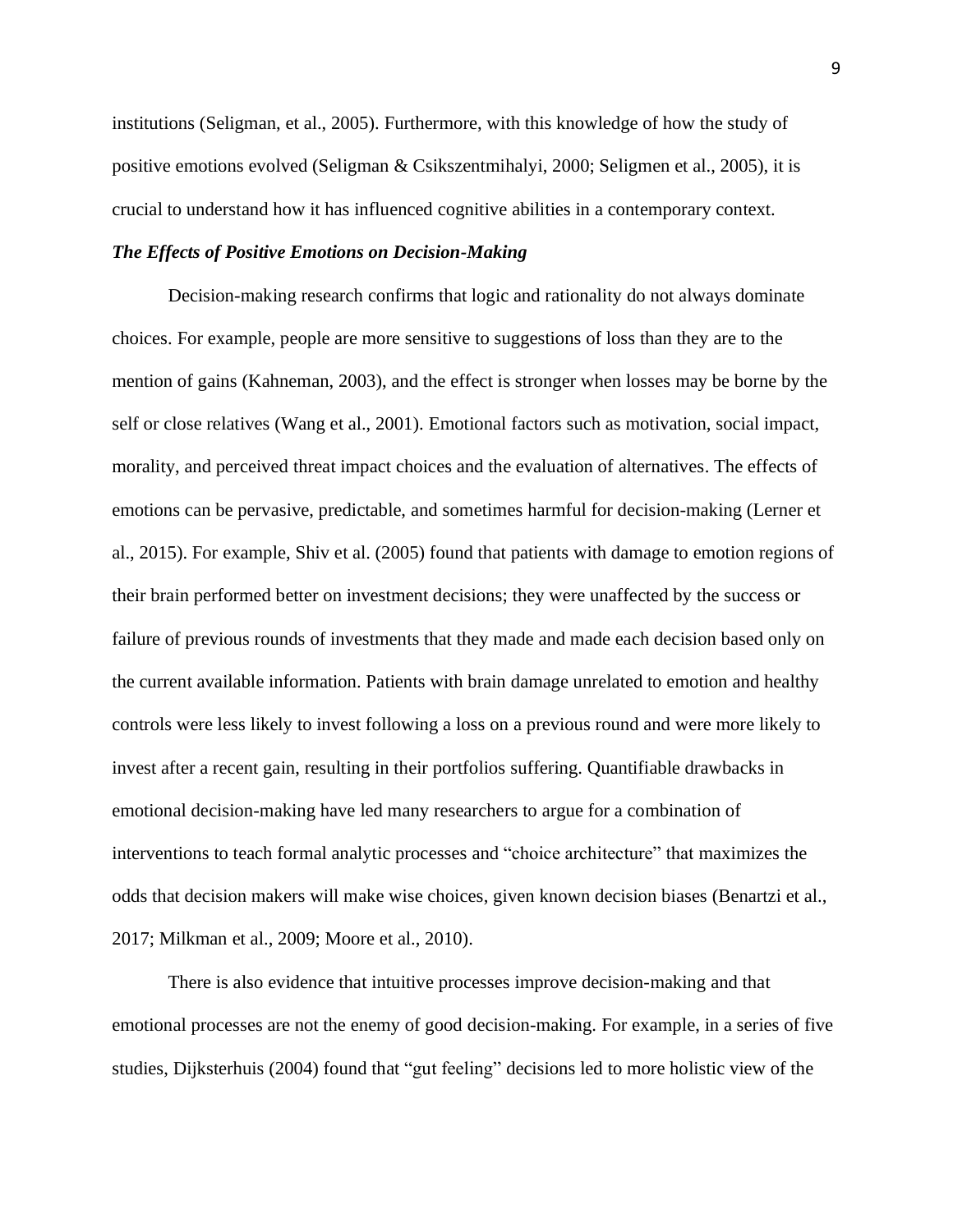institutions (Seligman, et al., 2005). Furthermore, with this knowledge of how the study of positive emotions evolved (Seligman & Csikszentmihalyi, 2000; Seligmen et al., 2005), it is crucial to understand how it has influenced cognitive abilities in a contemporary context.

### *The Effects of Positive Emotions on Decision-Making*

Decision-making research confirms that logic and rationality do not always dominate choices. For example, people are more sensitive to suggestions of loss than they are to the mention of gains (Kahneman, 2003), and the effect is stronger when losses may be borne by the self or close relatives (Wang et al., 2001). Emotional factors such as motivation, social impact, morality, and perceived threat impact choices and the evaluation of alternatives. The effects of emotions can be pervasive, predictable, and sometimes harmful for decision-making (Lerner et al., 2015). For example, Shiv et al. (2005) found that patients with damage to emotion regions of their brain performed better on investment decisions; they were unaffected by the success or failure of previous rounds of investments that they made and made each decision based only on the current available information. Patients with brain damage unrelated to emotion and healthy controls were less likely to invest following a loss on a previous round and were more likely to invest after a recent gain, resulting in their portfolios suffering. Quantifiable drawbacks in emotional decision-making have led many researchers to argue for a combination of interventions to teach formal analytic processes and "choice architecture" that maximizes the odds that decision makers will make wise choices, given known decision biases (Benartzi et al., 2017; Milkman et al., 2009; Moore et al., 2010).

There is also evidence that intuitive processes improve decision-making and that emotional processes are not the enemy of good decision-making. For example, in a series of five studies, Dijksterhuis (2004) found that "gut feeling" decisions led to more holistic view of the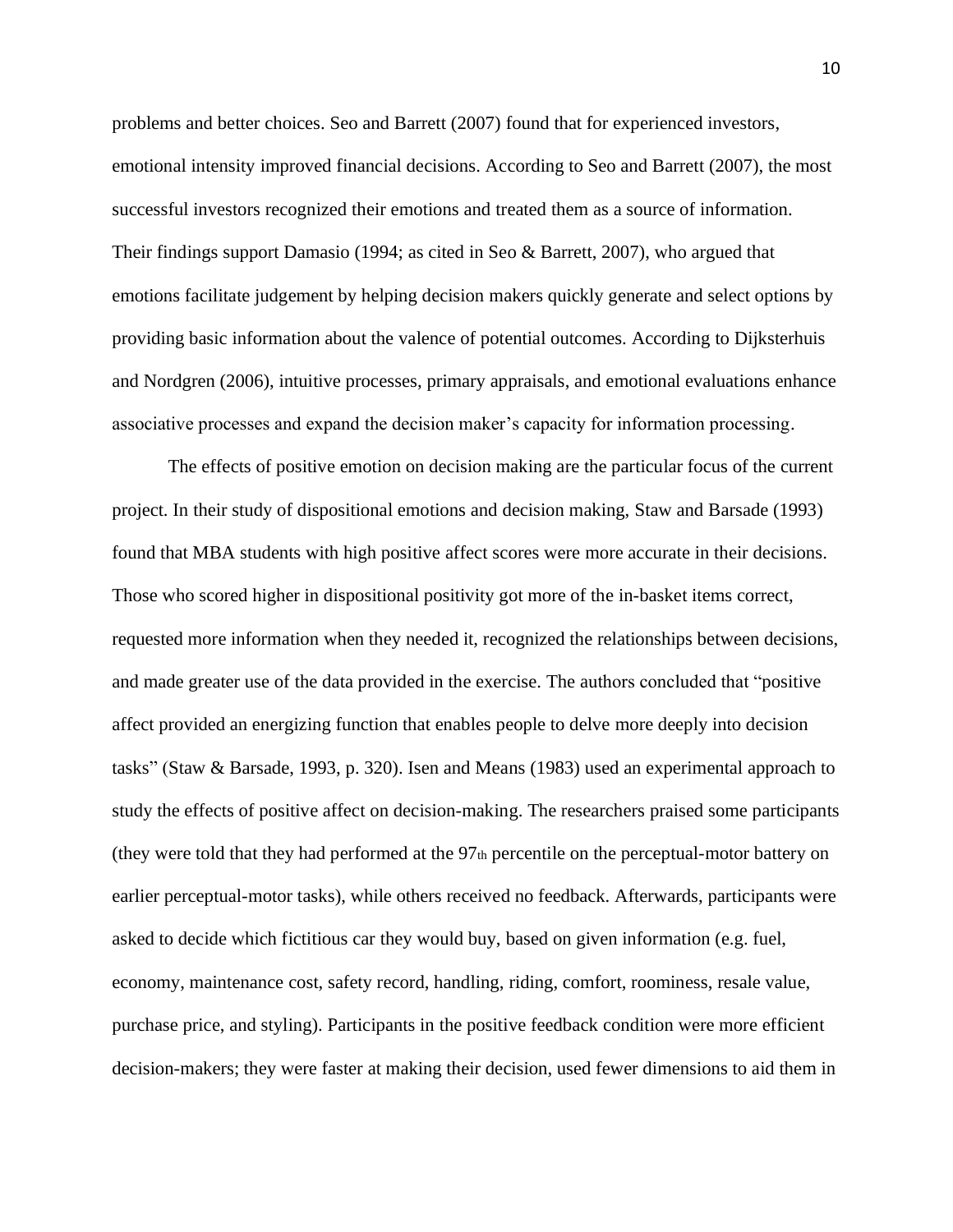problems and better choices. Seo and Barrett (2007) found that for experienced investors, emotional intensity improved financial decisions. According to Seo and Barrett (2007), the most successful investors recognized their emotions and treated them as a source of information. Their findings support Damasio (1994; as cited in Seo & Barrett, 2007), who argued that emotions facilitate judgement by helping decision makers quickly generate and select options by providing basic information about the valence of potential outcomes. According to Dijksterhuis and Nordgren (2006), intuitive processes, primary appraisals, and emotional evaluations enhance associative processes and expand the decision maker's capacity for information processing.

The effects of positive emotion on decision making are the particular focus of the current project. In their study of dispositional emotions and decision making, Staw and Barsade (1993) found that MBA students with high positive affect scores were more accurate in their decisions. Those who scored higher in dispositional positivity got more of the in-basket items correct, requested more information when they needed it, recognized the relationships between decisions, and made greater use of the data provided in the exercise. The authors concluded that "positive affect provided an energizing function that enables people to delve more deeply into decision tasks" (Staw & Barsade, 1993, p. 320). Isen and Means (1983) used an experimental approach to study the effects of positive affect on decision-making. The researchers praised some participants (they were told that they had performed at the 97th percentile on the perceptual-motor battery on earlier perceptual-motor tasks), while others received no feedback. Afterwards, participants were asked to decide which fictitious car they would buy, based on given information (e.g. fuel, economy, maintenance cost, safety record, handling, riding, comfort, roominess, resale value, purchase price, and styling). Participants in the positive feedback condition were more efficient decision-makers; they were faster at making their decision, used fewer dimensions to aid them in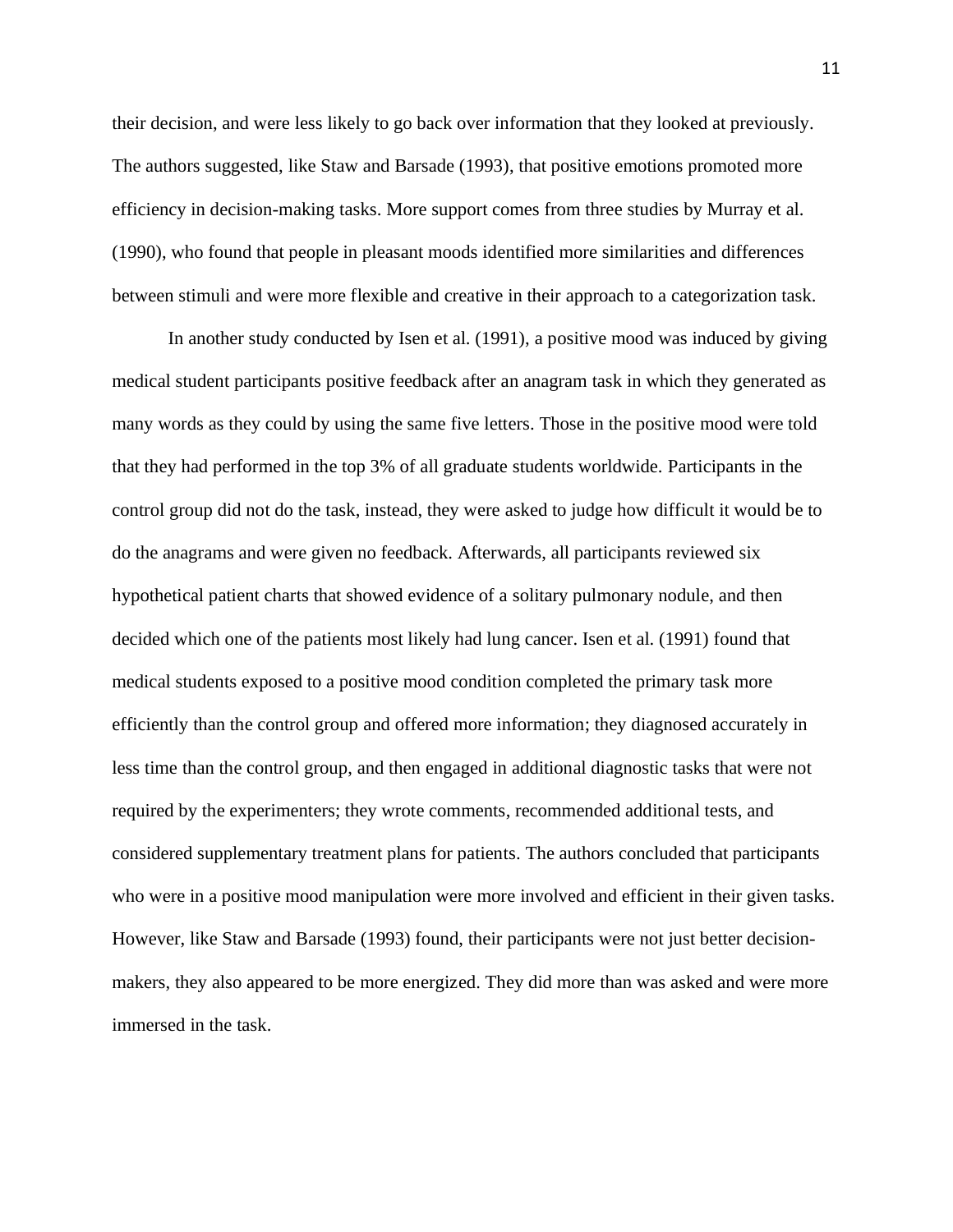their decision, and were less likely to go back over information that they looked at previously. The authors suggested, like Staw and Barsade (1993), that positive emotions promoted more efficiency in decision-making tasks. More support comes from three studies by Murray et al. (1990), who found that people in pleasant moods identified more similarities and differences between stimuli and were more flexible and creative in their approach to a categorization task.

In another study conducted by Isen et al. (1991), a positive mood was induced by giving medical student participants positive feedback after an anagram task in which they generated as many words as they could by using the same five letters. Those in the positive mood were told that they had performed in the top 3% of all graduate students worldwide. Participants in the control group did not do the task, instead, they were asked to judge how difficult it would be to do the anagrams and were given no feedback. Afterwards, all participants reviewed six hypothetical patient charts that showed evidence of a solitary pulmonary nodule, and then decided which one of the patients most likely had lung cancer. Isen et al. (1991) found that medical students exposed to a positive mood condition completed the primary task more efficiently than the control group and offered more information; they diagnosed accurately in less time than the control group, and then engaged in additional diagnostic tasks that were not required by the experimenters; they wrote comments, recommended additional tests, and considered supplementary treatment plans for patients. The authors concluded that participants who were in a positive mood manipulation were more involved and efficient in their given tasks. However, like Staw and Barsade (1993) found, their participants were not just better decisionmakers, they also appeared to be more energized. They did more than was asked and were more immersed in the task.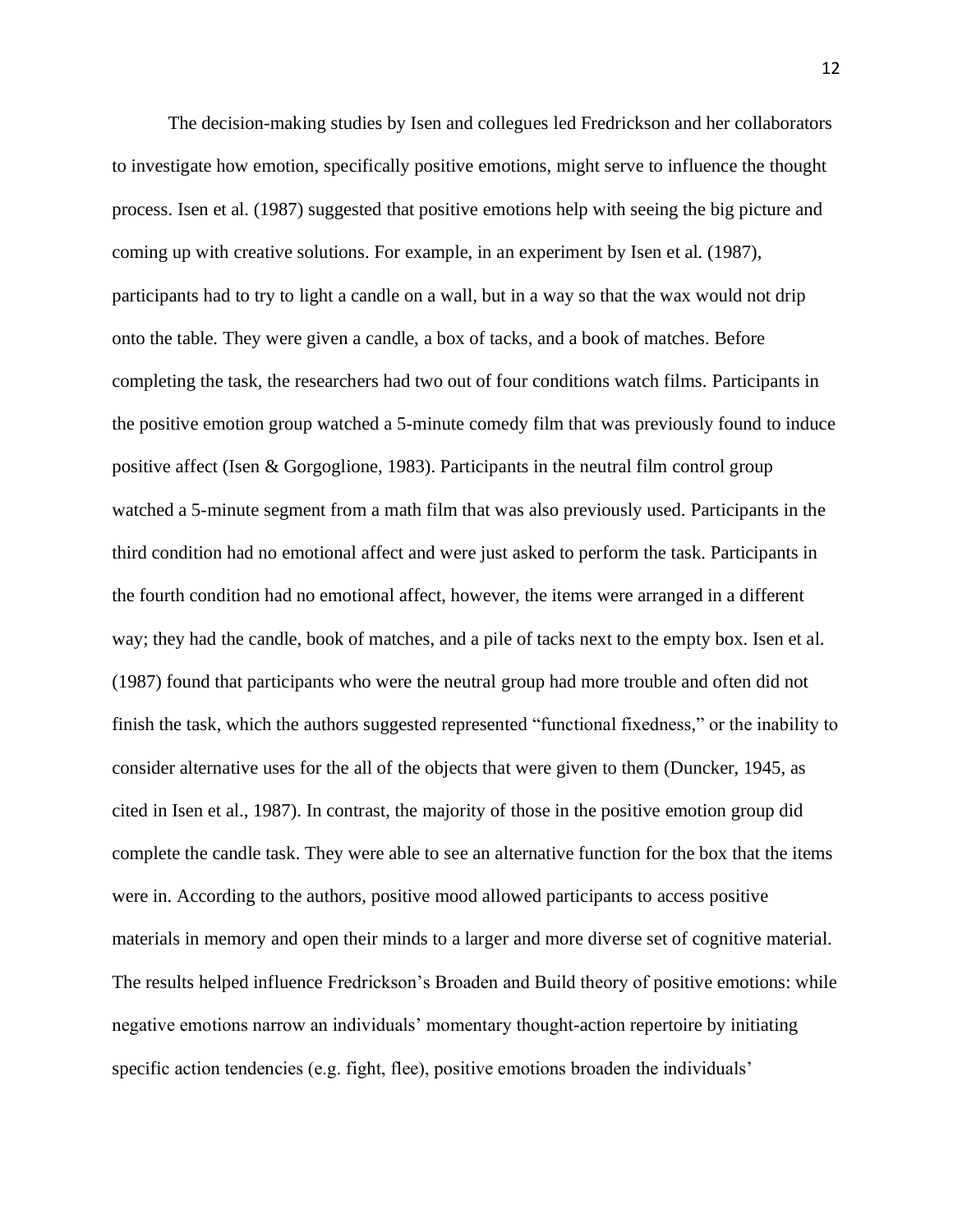The decision-making studies by Isen and collegues led Fredrickson and her collaborators to investigate how emotion, specifically positive emotions, might serve to influence the thought process. Isen et al. (1987) suggested that positive emotions help with seeing the big picture and coming up with creative solutions. For example, in an experiment by Isen et al. (1987), participants had to try to light a candle on a wall, but in a way so that the wax would not drip onto the table. They were given a candle, a box of tacks, and a book of matches. Before completing the task, the researchers had two out of four conditions watch films. Participants in the positive emotion group watched a 5-minute comedy film that was previously found to induce positive affect (Isen & Gorgoglione, 1983). Participants in the neutral film control group watched a 5-minute segment from a math film that was also previously used. Participants in the third condition had no emotional affect and were just asked to perform the task. Participants in the fourth condition had no emotional affect, however, the items were arranged in a different way; they had the candle, book of matches, and a pile of tacks next to the empty box. Isen et al. (1987) found that participants who were the neutral group had more trouble and often did not finish the task, which the authors suggested represented "functional fixedness," or the inability to consider alternative uses for the all of the objects that were given to them (Duncker, 1945, as cited in Isen et al., 1987). In contrast, the majority of those in the positive emotion group did complete the candle task. They were able to see an alternative function for the box that the items were in. According to the authors, positive mood allowed participants to access positive materials in memory and open their minds to a larger and more diverse set of cognitive material. The results helped influence Fredrickson's Broaden and Build theory of positive emotions: while negative emotions narrow an individuals' momentary thought-action repertoire by initiating specific action tendencies (e.g. fight, flee), positive emotions broaden the individuals'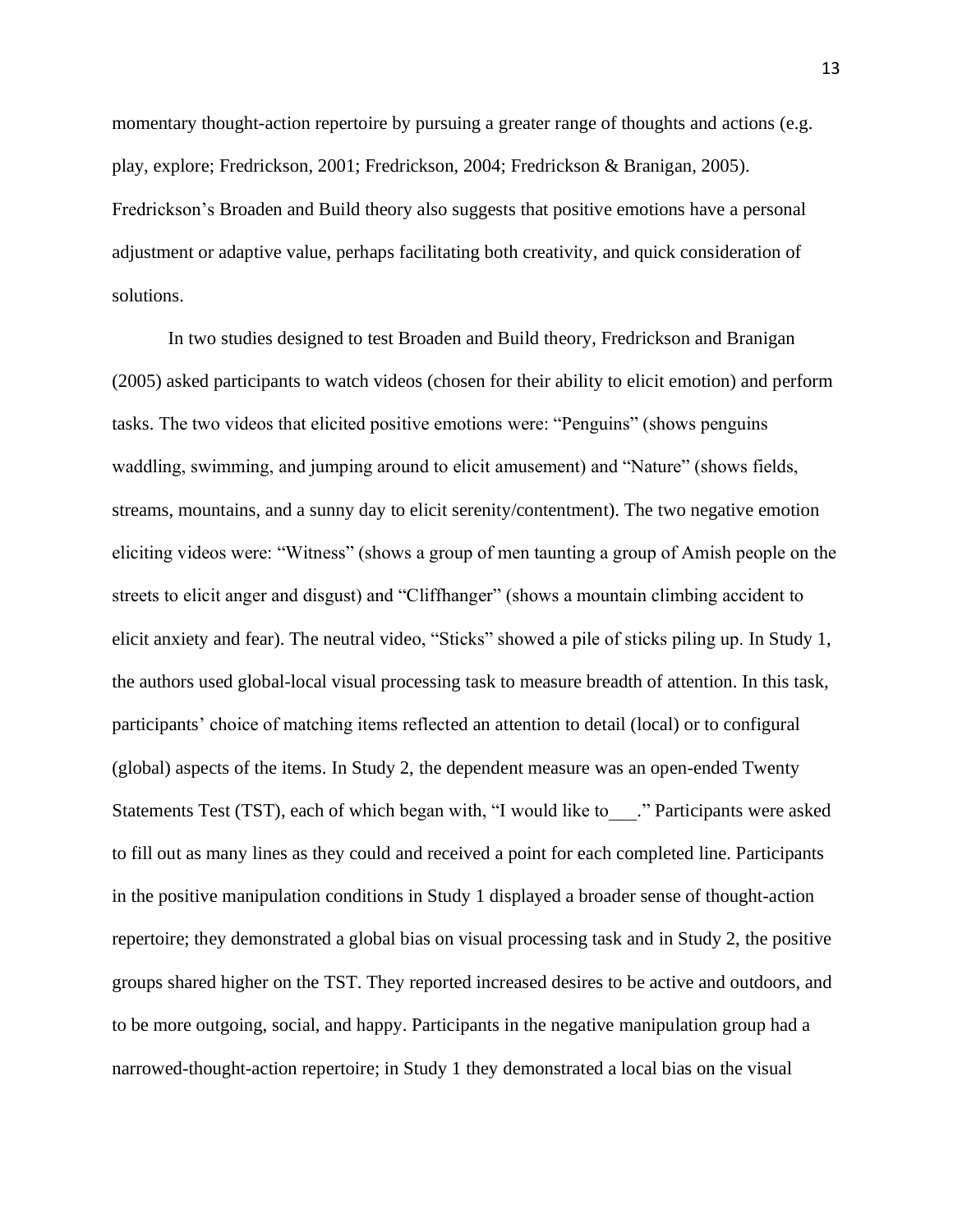momentary thought-action repertoire by pursuing a greater range of thoughts and actions (e.g. play, explore; Fredrickson, 2001; Fredrickson, 2004; Fredrickson & Branigan, 2005). Fredrickson's Broaden and Build theory also suggests that positive emotions have a personal adjustment or adaptive value, perhaps facilitating both creativity, and quick consideration of solutions.

In two studies designed to test Broaden and Build theory, Fredrickson and Branigan (2005) asked participants to watch videos (chosen for their ability to elicit emotion) and perform tasks. The two videos that elicited positive emotions were: "Penguins" (shows penguins waddling, swimming, and jumping around to elicit amusement) and "Nature" (shows fields, streams, mountains, and a sunny day to elicit serenity/contentment). The two negative emotion eliciting videos were: "Witness" (shows a group of men taunting a group of Amish people on the streets to elicit anger and disgust) and "Cliffhanger" (shows a mountain climbing accident to elicit anxiety and fear). The neutral video, "Sticks" showed a pile of sticks piling up. In Study 1, the authors used global-local visual processing task to measure breadth of attention. In this task, participants' choice of matching items reflected an attention to detail (local) or to configural (global) aspects of the items. In Study 2, the dependent measure was an open-ended Twenty Statements Test (TST), each of which began with, "I would like to ..." Participants were asked to fill out as many lines as they could and received a point for each completed line. Participants in the positive manipulation conditions in Study 1 displayed a broader sense of thought-action repertoire; they demonstrated a global bias on visual processing task and in Study 2, the positive groups shared higher on the TST. They reported increased desires to be active and outdoors, and to be more outgoing, social, and happy. Participants in the negative manipulation group had a narrowed-thought-action repertoire; in Study 1 they demonstrated a local bias on the visual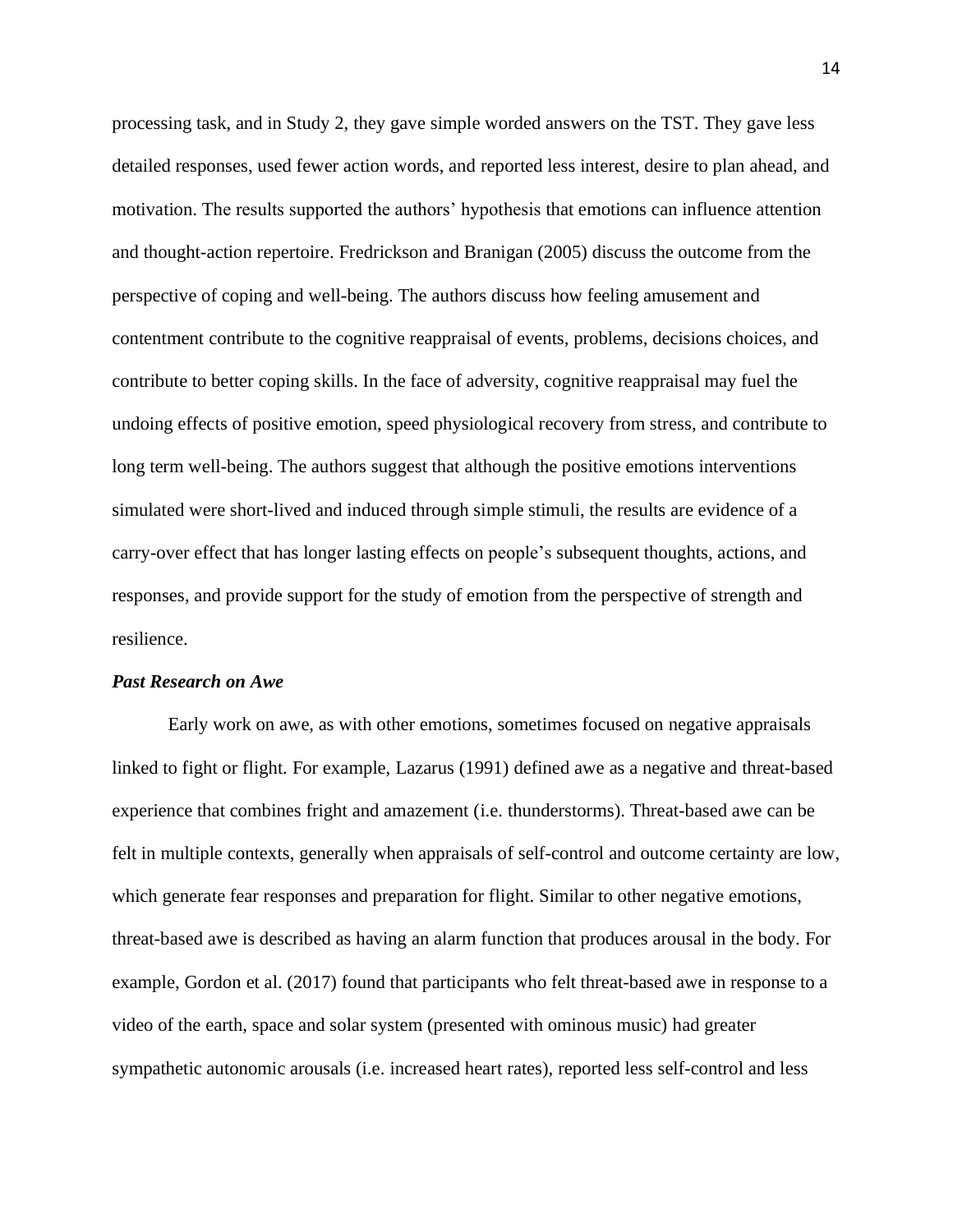processing task, and in Study 2, they gave simple worded answers on the TST. They gave less detailed responses, used fewer action words, and reported less interest, desire to plan ahead, and motivation. The results supported the authors' hypothesis that emotions can influence attention and thought-action repertoire. Fredrickson and Branigan (2005) discuss the outcome from the perspective of coping and well-being. The authors discuss how feeling amusement and contentment contribute to the cognitive reappraisal of events, problems, decisions choices, and contribute to better coping skills. In the face of adversity, cognitive reappraisal may fuel the undoing effects of positive emotion, speed physiological recovery from stress, and contribute to long term well-being. The authors suggest that although the positive emotions interventions simulated were short-lived and induced through simple stimuli, the results are evidence of a carry-over effect that has longer lasting effects on people's subsequent thoughts, actions, and responses, and provide support for the study of emotion from the perspective of strength and resilience.

#### *Past Research on Awe*

Early work on awe, as with other emotions, sometimes focused on negative appraisals linked to fight or flight. For example, Lazarus (1991) defined awe as a negative and threat-based experience that combines fright and amazement (i.e. thunderstorms). Threat-based awe can be felt in multiple contexts, generally when appraisals of self-control and outcome certainty are low, which generate fear responses and preparation for flight. Similar to other negative emotions, threat-based awe is described as having an alarm function that produces arousal in the body. For example, Gordon et al. (2017) found that participants who felt threat-based awe in response to a video of the earth, space and solar system (presented with ominous music) had greater sympathetic autonomic arousals (i.e. increased heart rates), reported less self-control and less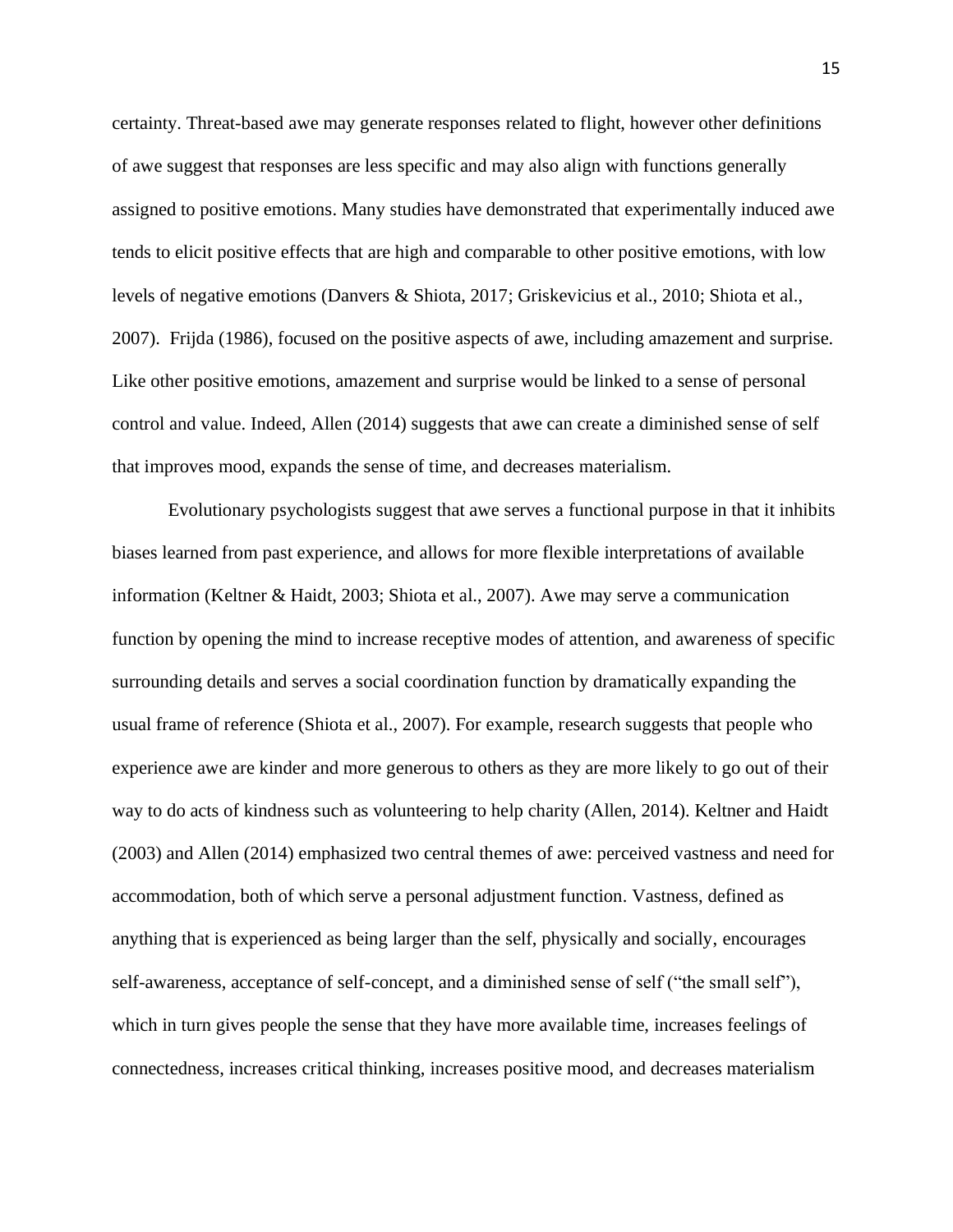certainty. Threat-based awe may generate responses related to flight, however other definitions of awe suggest that responses are less specific and may also align with functions generally assigned to positive emotions. Many studies have demonstrated that experimentally induced awe tends to elicit positive effects that are high and comparable to other positive emotions, with low levels of negative emotions (Danvers & Shiota, 2017; Griskevicius et al., 2010; Shiota et al., 2007). Frijda (1986), focused on the positive aspects of awe, including amazement and surprise. Like other positive emotions, amazement and surprise would be linked to a sense of personal control and value. Indeed, Allen (2014) suggests that awe can create a diminished sense of self that improves mood, expands the sense of time, and decreases materialism.

Evolutionary psychologists suggest that awe serves a functional purpose in that it inhibits biases learned from past experience, and allows for more flexible interpretations of available information (Keltner & Haidt, 2003; Shiota et al., 2007). Awe may serve a communication function by opening the mind to increase receptive modes of attention, and awareness of specific surrounding details and serves a social coordination function by dramatically expanding the usual frame of reference (Shiota et al., 2007). For example, research suggests that people who experience awe are kinder and more generous to others as they are more likely to go out of their way to do acts of kindness such as volunteering to help charity (Allen, 2014). Keltner and Haidt (2003) and Allen (2014) emphasized two central themes of awe: perceived vastness and need for accommodation, both of which serve a personal adjustment function. Vastness, defined as anything that is experienced as being larger than the self, physically and socially, encourages self-awareness, acceptance of self-concept, and a diminished sense of self ("the small self"), which in turn gives people the sense that they have more available time, increases feelings of connectedness, increases critical thinking, increases positive mood, and decreases materialism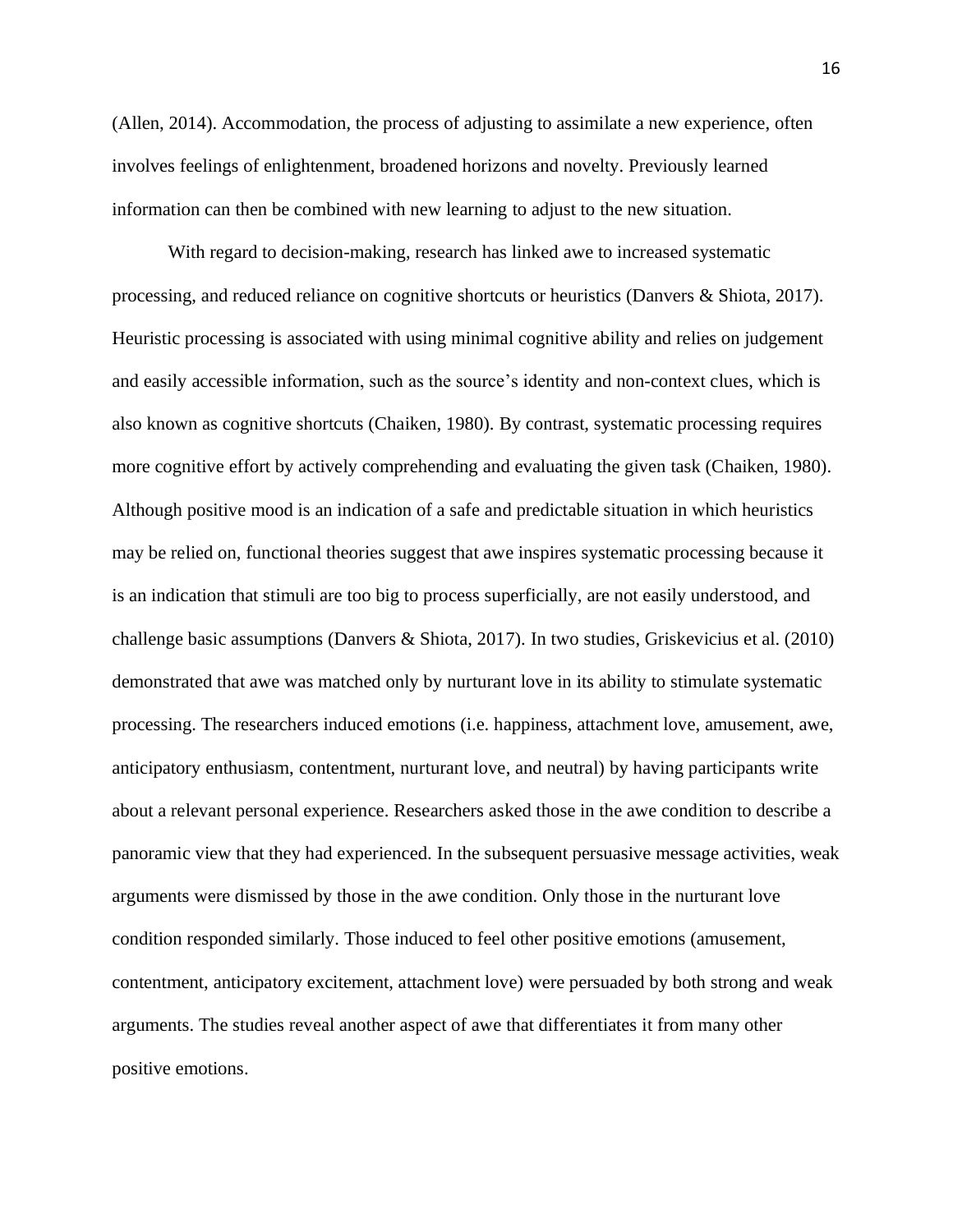(Allen, 2014). Accommodation, the process of adjusting to assimilate a new experience, often involves feelings of enlightenment, broadened horizons and novelty. Previously learned information can then be combined with new learning to adjust to the new situation.

With regard to decision-making, research has linked awe to increased systematic processing, and reduced reliance on cognitive shortcuts or heuristics (Danvers & Shiota, 2017). Heuristic processing is associated with using minimal cognitive ability and relies on judgement and easily accessible information, such as the source's identity and non-context clues, which is also known as cognitive shortcuts (Chaiken, 1980). By contrast, systematic processing requires more cognitive effort by actively comprehending and evaluating the given task (Chaiken, 1980). Although positive mood is an indication of a safe and predictable situation in which heuristics may be relied on, functional theories suggest that awe inspires systematic processing because it is an indication that stimuli are too big to process superficially, are not easily understood, and challenge basic assumptions (Danvers & Shiota, 2017). In two studies, Griskevicius et al. (2010) demonstrated that awe was matched only by nurturant love in its ability to stimulate systematic processing. The researchers induced emotions (i.e. happiness, attachment love, amusement, awe, anticipatory enthusiasm, contentment, nurturant love, and neutral) by having participants write about a relevant personal experience. Researchers asked those in the awe condition to describe a panoramic view that they had experienced. In the subsequent persuasive message activities, weak arguments were dismissed by those in the awe condition. Only those in the nurturant love condition responded similarly. Those induced to feel other positive emotions (amusement, contentment, anticipatory excitement, attachment love) were persuaded by both strong and weak arguments. The studies reveal another aspect of awe that differentiates it from many other positive emotions.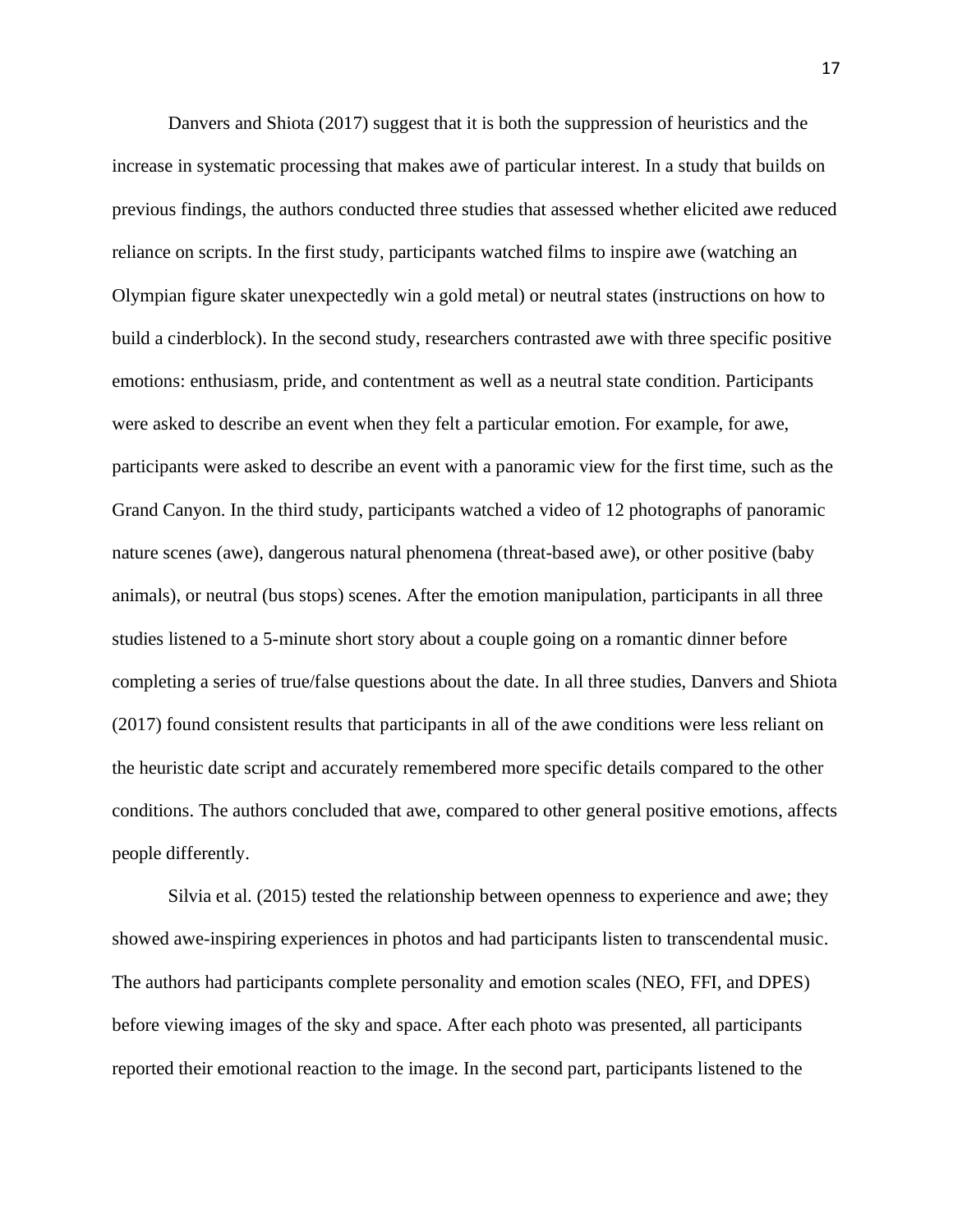Danvers and Shiota (2017) suggest that it is both the suppression of heuristics and the increase in systematic processing that makes awe of particular interest. In a study that builds on previous findings, the authors conducted three studies that assessed whether elicited awe reduced reliance on scripts. In the first study, participants watched films to inspire awe (watching an Olympian figure skater unexpectedly win a gold metal) or neutral states (instructions on how to build a cinderblock). In the second study, researchers contrasted awe with three specific positive emotions: enthusiasm, pride, and contentment as well as a neutral state condition. Participants were asked to describe an event when they felt a particular emotion. For example, for awe, participants were asked to describe an event with a panoramic view for the first time, such as the Grand Canyon. In the third study, participants watched a video of 12 photographs of panoramic nature scenes (awe), dangerous natural phenomena (threat-based awe), or other positive (baby animals), or neutral (bus stops) scenes. After the emotion manipulation, participants in all three studies listened to a 5-minute short story about a couple going on a romantic dinner before completing a series of true/false questions about the date. In all three studies, Danvers and Shiota (2017) found consistent results that participants in all of the awe conditions were less reliant on the heuristic date script and accurately remembered more specific details compared to the other conditions. The authors concluded that awe, compared to other general positive emotions, affects people differently.

Silvia et al. (2015) tested the relationship between openness to experience and awe; they showed awe-inspiring experiences in photos and had participants listen to transcendental music. The authors had participants complete personality and emotion scales (NEO, FFI, and DPES) before viewing images of the sky and space. After each photo was presented, all participants reported their emotional reaction to the image. In the second part, participants listened to the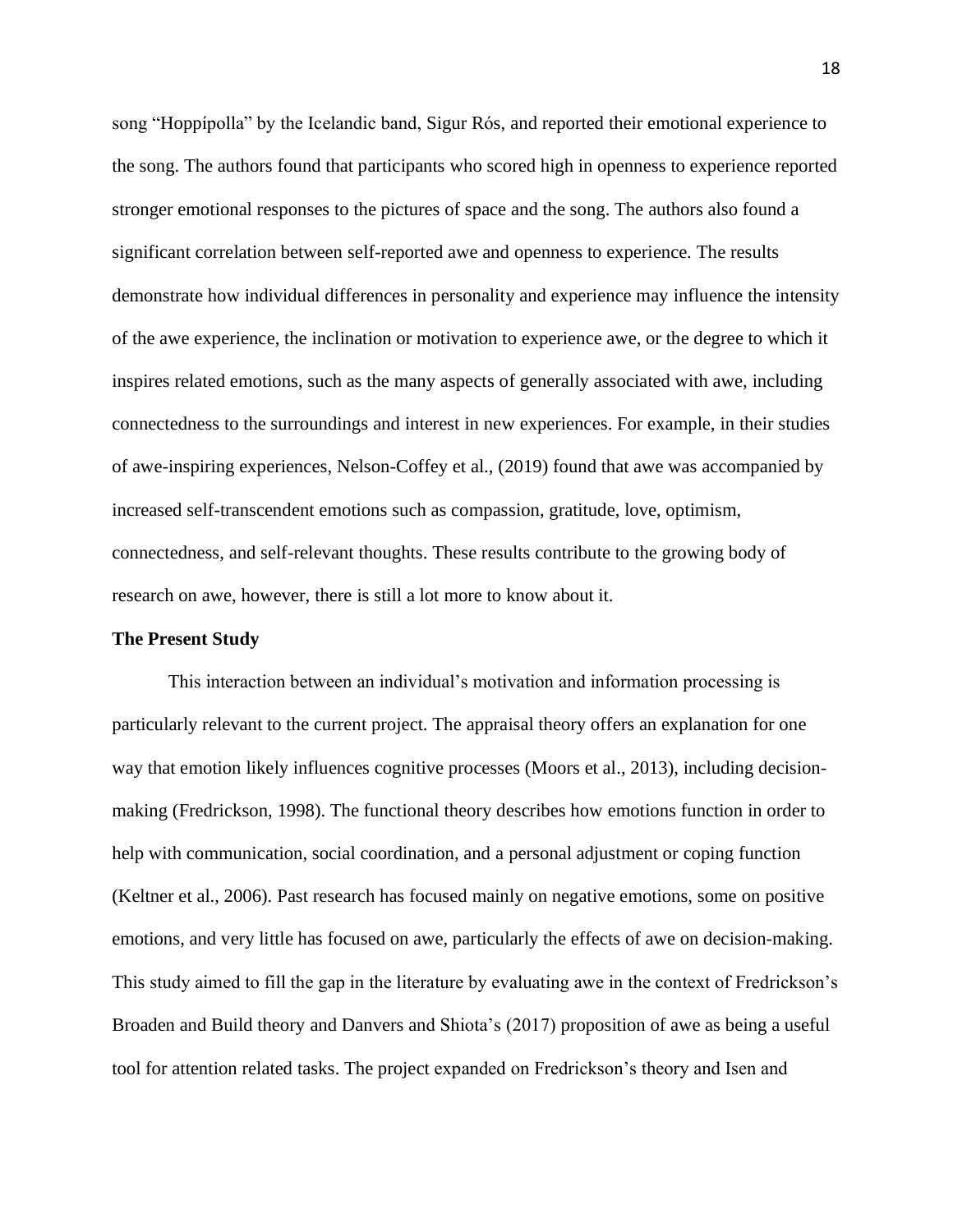song "Hoppípolla" by the Icelandic band, Sigur Rós, and reported their emotional experience to the song. The authors found that participants who scored high in openness to experience reported stronger emotional responses to the pictures of space and the song. The authors also found a significant correlation between self-reported awe and openness to experience. The results demonstrate how individual differences in personality and experience may influence the intensity of the awe experience, the inclination or motivation to experience awe, or the degree to which it inspires related emotions, such as the many aspects of generally associated with awe, including connectedness to the surroundings and interest in new experiences. For example, in their studies of awe-inspiring experiences, Nelson-Coffey et al., (2019) found that awe was accompanied by increased self-transcendent emotions such as compassion, gratitude, love, optimism, connectedness, and self-relevant thoughts. These results contribute to the growing body of research on awe, however, there is still a lot more to know about it.

#### **The Present Study**

This interaction between an individual's motivation and information processing is particularly relevant to the current project. The appraisal theory offers an explanation for one way that emotion likely influences cognitive processes (Moors et al., 2013), including decisionmaking (Fredrickson, 1998). The functional theory describes how emotions function in order to help with communication, social coordination, and a personal adjustment or coping function (Keltner et al., 2006). Past research has focused mainly on negative emotions, some on positive emotions, and very little has focused on awe, particularly the effects of awe on decision-making. This study aimed to fill the gap in the literature by evaluating awe in the context of Fredrickson's Broaden and Build theory and Danvers and Shiota's (2017) proposition of awe as being a useful tool for attention related tasks. The project expanded on Fredrickson's theory and Isen and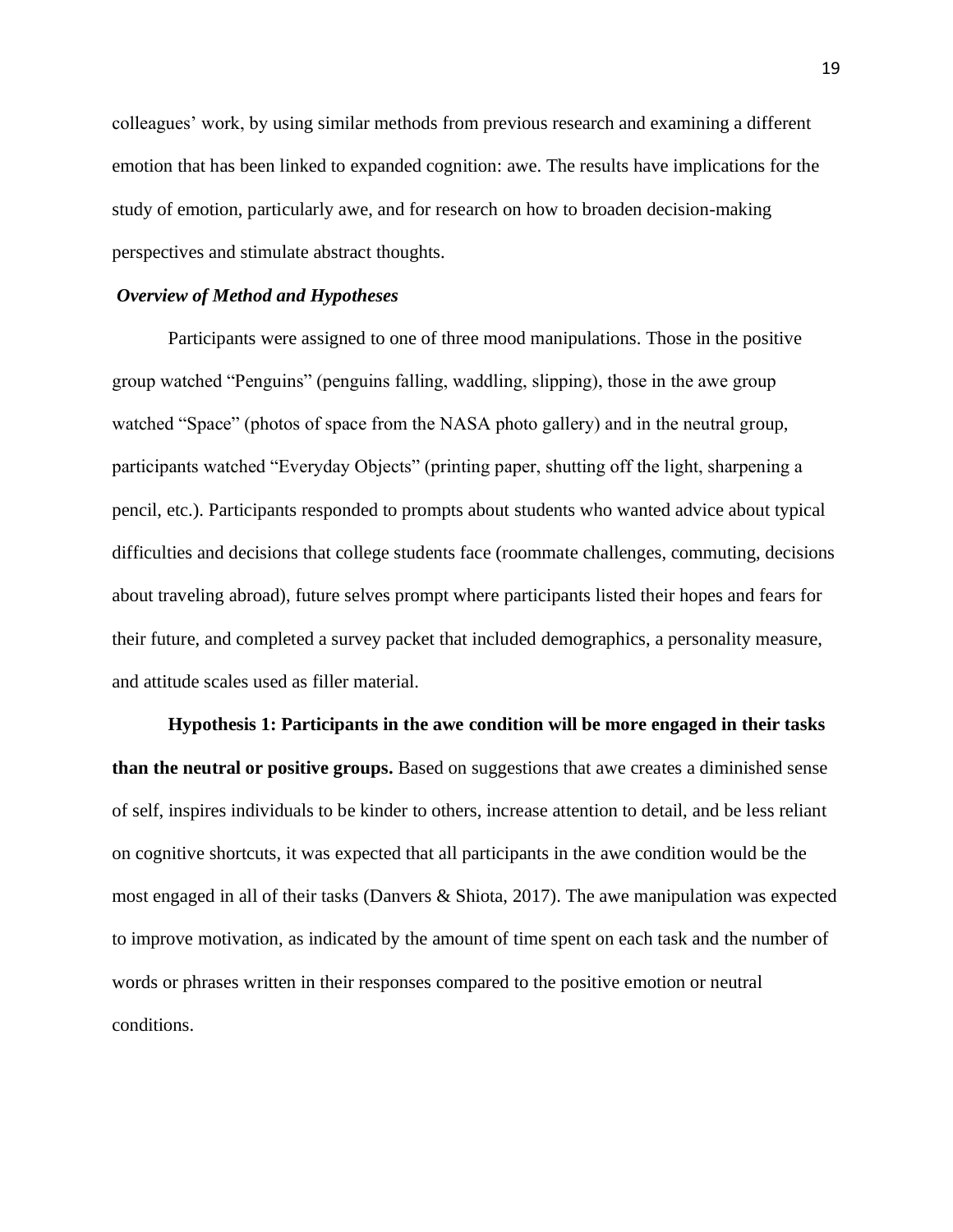colleagues' work, by using similar methods from previous research and examining a different emotion that has been linked to expanded cognition: awe. The results have implications for the study of emotion, particularly awe, and for research on how to broaden decision-making perspectives and stimulate abstract thoughts.

#### *Overview of Method and Hypotheses*

Participants were assigned to one of three mood manipulations. Those in the positive group watched "Penguins" (penguins falling, waddling, slipping), those in the awe group watched "Space" (photos of space from the NASA photo gallery) and in the neutral group, participants watched "Everyday Objects" (printing paper, shutting off the light, sharpening a pencil, etc.). Participants responded to prompts about students who wanted advice about typical difficulties and decisions that college students face (roommate challenges, commuting, decisions about traveling abroad), future selves prompt where participants listed their hopes and fears for their future, and completed a survey packet that included demographics, a personality measure, and attitude scales used as filler material.

**Hypothesis 1: Participants in the awe condition will be more engaged in their tasks than the neutral or positive groups.** Based on suggestions that awe creates a diminished sense of self, inspires individuals to be kinder to others, increase attention to detail, and be less reliant on cognitive shortcuts, it was expected that all participants in the awe condition would be the most engaged in all of their tasks (Danvers & Shiota, 2017). The awe manipulation was expected to improve motivation, as indicated by the amount of time spent on each task and the number of words or phrases written in their responses compared to the positive emotion or neutral conditions.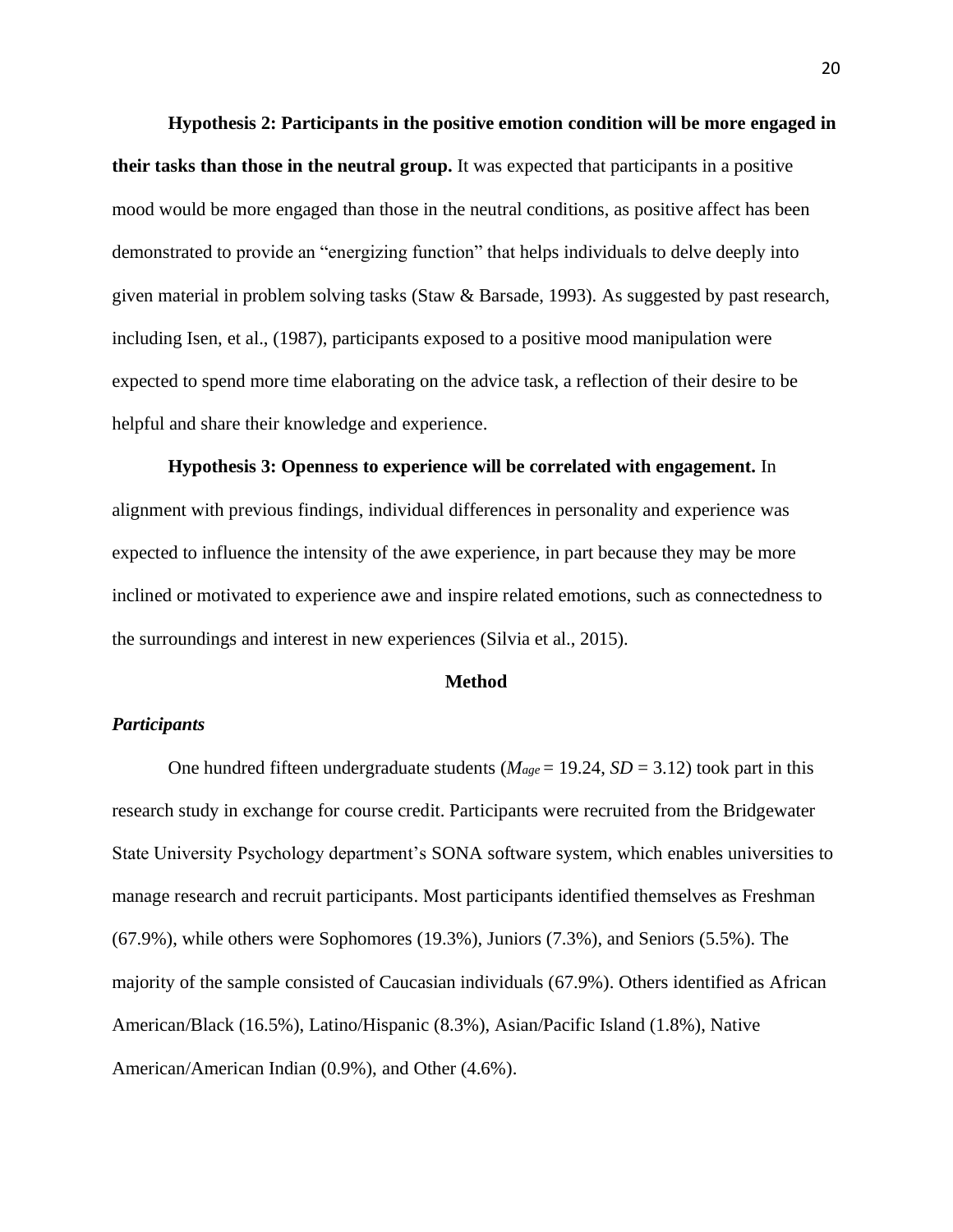**Hypothesis 2: Participants in the positive emotion condition will be more engaged in their tasks than those in the neutral group.** It was expected that participants in a positive mood would be more engaged than those in the neutral conditions, as positive affect has been demonstrated to provide an "energizing function" that helps individuals to delve deeply into given material in problem solving tasks (Staw & Barsade, 1993). As suggested by past research, including Isen, et al., (1987), participants exposed to a positive mood manipulation were expected to spend more time elaborating on the advice task, a reflection of their desire to be helpful and share their knowledge and experience.

**Hypothesis 3: Openness to experience will be correlated with engagement.** In alignment with previous findings, individual differences in personality and experience was expected to influence the intensity of the awe experience, in part because they may be more inclined or motivated to experience awe and inspire related emotions, such as connectedness to the surroundings and interest in new experiences (Silvia et al., 2015).

#### **Method**

### *Participants*

One hundred fifteen undergraduate students ( $M_{age} = 19.24$ ,  $SD = 3.12$ ) took part in this research study in exchange for course credit. Participants were recruited from the Bridgewater State University Psychology department's SONA software system, which enables universities to manage research and recruit participants. Most participants identified themselves as Freshman (67.9%), while others were Sophomores (19.3%), Juniors (7.3%), and Seniors (5.5%). The majority of the sample consisted of Caucasian individuals (67.9%). Others identified as African American/Black (16.5%), Latino/Hispanic (8.3%), Asian/Pacific Island (1.8%), Native American/American Indian (0.9%), and Other (4.6%).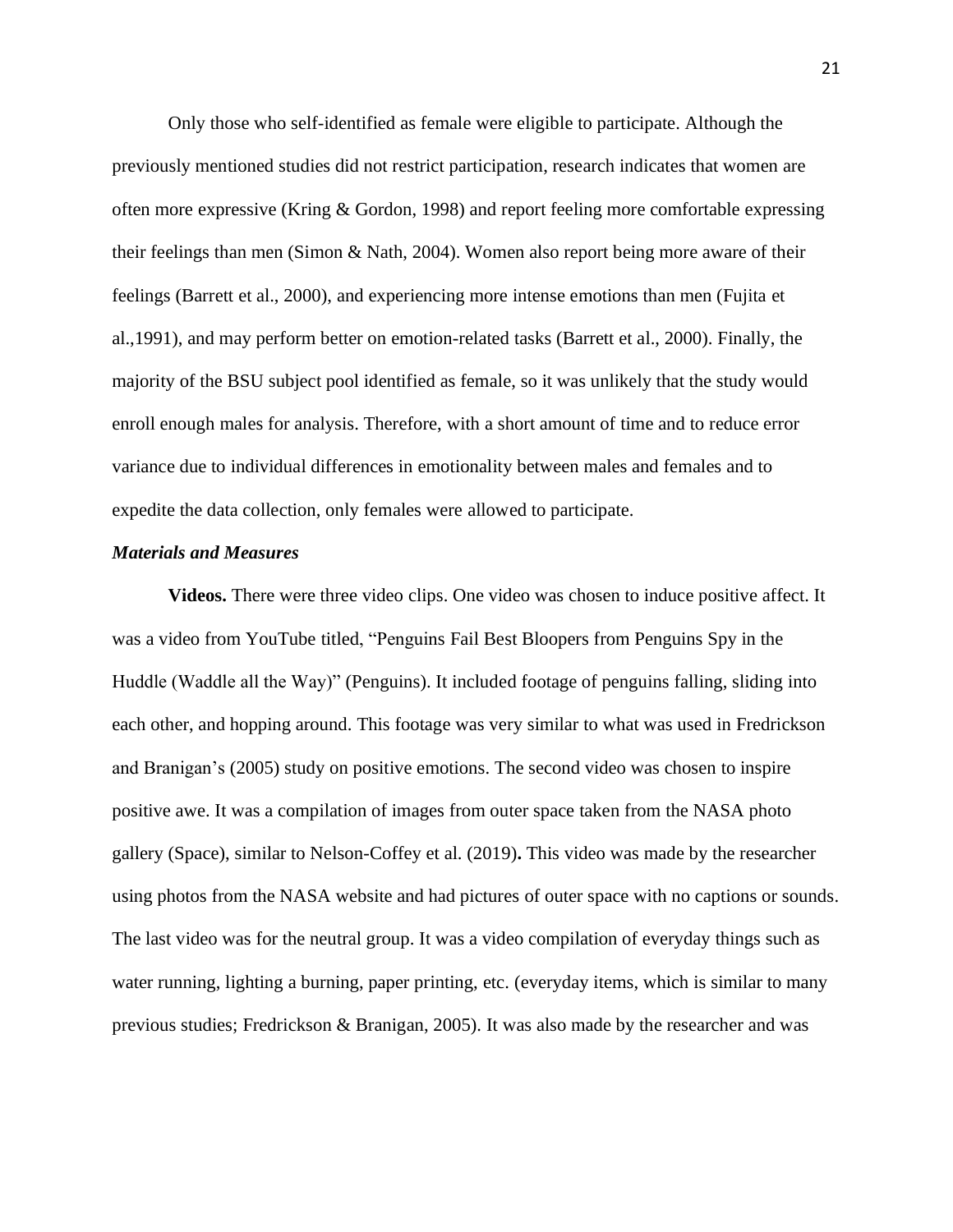Only those who self-identified as female were eligible to participate. Although the previously mentioned studies did not restrict participation, research indicates that women are often more expressive (Kring & Gordon, 1998) and report feeling more comfortable expressing their feelings than men (Simon & Nath, 2004). Women also report being more aware of their feelings (Barrett et al., 2000), and experiencing more intense emotions than men (Fujita et al.,1991), and may perform better on emotion-related tasks (Barrett et al., 2000). Finally, the majority of the BSU subject pool identified as female, so it was unlikely that the study would enroll enough males for analysis. Therefore, with a short amount of time and to reduce error variance due to individual differences in emotionality between males and females and to expedite the data collection, only females were allowed to participate.

#### *Materials and Measures*

**Videos.** There were three video clips. One video was chosen to induce positive affect. It was a video from YouTube titled, "Penguins Fail Best Bloopers from Penguins Spy in the Huddle (Waddle all the Way)" (Penguins). It included footage of penguins falling, sliding into each other, and hopping around. This footage was very similar to what was used in Fredrickson and Branigan's (2005) study on positive emotions. The second video was chosen to inspire positive awe. It was a compilation of images from outer space taken from the NASA photo gallery (Space), similar to Nelson-Coffey et al. (2019)**.** This video was made by the researcher using photos from the NASA website and had pictures of outer space with no captions or sounds. The last video was for the neutral group. It was a video compilation of everyday things such as water running, lighting a burning, paper printing, etc. (everyday items, which is similar to many previous studies; Fredrickson & Branigan, 2005). It was also made by the researcher and was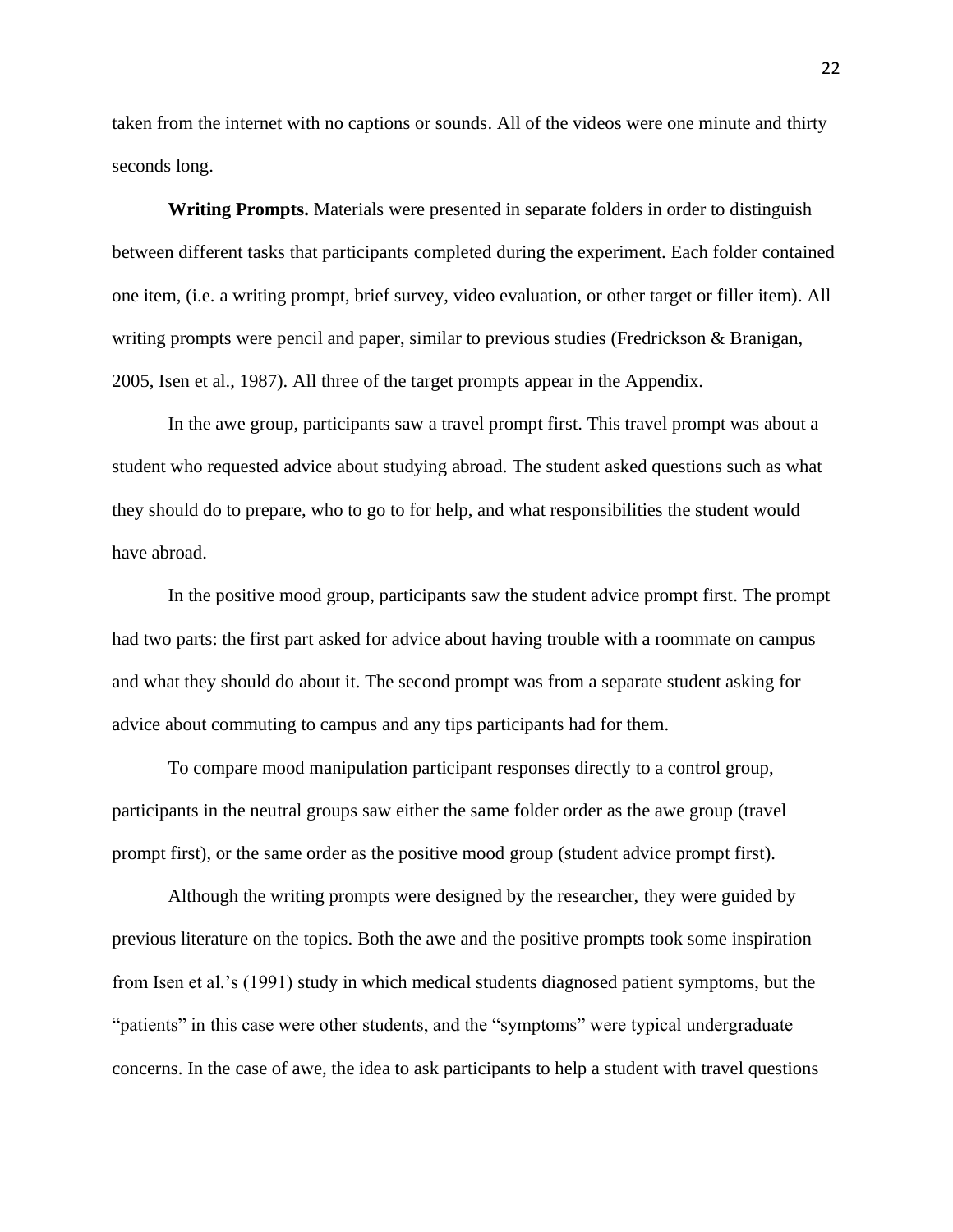taken from the internet with no captions or sounds. All of the videos were one minute and thirty seconds long.

**Writing Prompts.** Materials were presented in separate folders in order to distinguish between different tasks that participants completed during the experiment. Each folder contained one item, (i.e. a writing prompt, brief survey, video evaluation, or other target or filler item). All writing prompts were pencil and paper, similar to previous studies (Fredrickson & Branigan, 2005, Isen et al., 1987). All three of the target prompts appear in the Appendix.

In the awe group, participants saw a travel prompt first. This travel prompt was about a student who requested advice about studying abroad. The student asked questions such as what they should do to prepare, who to go to for help, and what responsibilities the student would have abroad.

In the positive mood group, participants saw the student advice prompt first. The prompt had two parts: the first part asked for advice about having trouble with a roommate on campus and what they should do about it. The second prompt was from a separate student asking for advice about commuting to campus and any tips participants had for them.

To compare mood manipulation participant responses directly to a control group, participants in the neutral groups saw either the same folder order as the awe group (travel prompt first), or the same order as the positive mood group (student advice prompt first).

Although the writing prompts were designed by the researcher, they were guided by previous literature on the topics. Both the awe and the positive prompts took some inspiration from Isen et al.'s (1991) study in which medical students diagnosed patient symptoms, but the "patients" in this case were other students, and the "symptoms" were typical undergraduate concerns. In the case of awe, the idea to ask participants to help a student with travel questions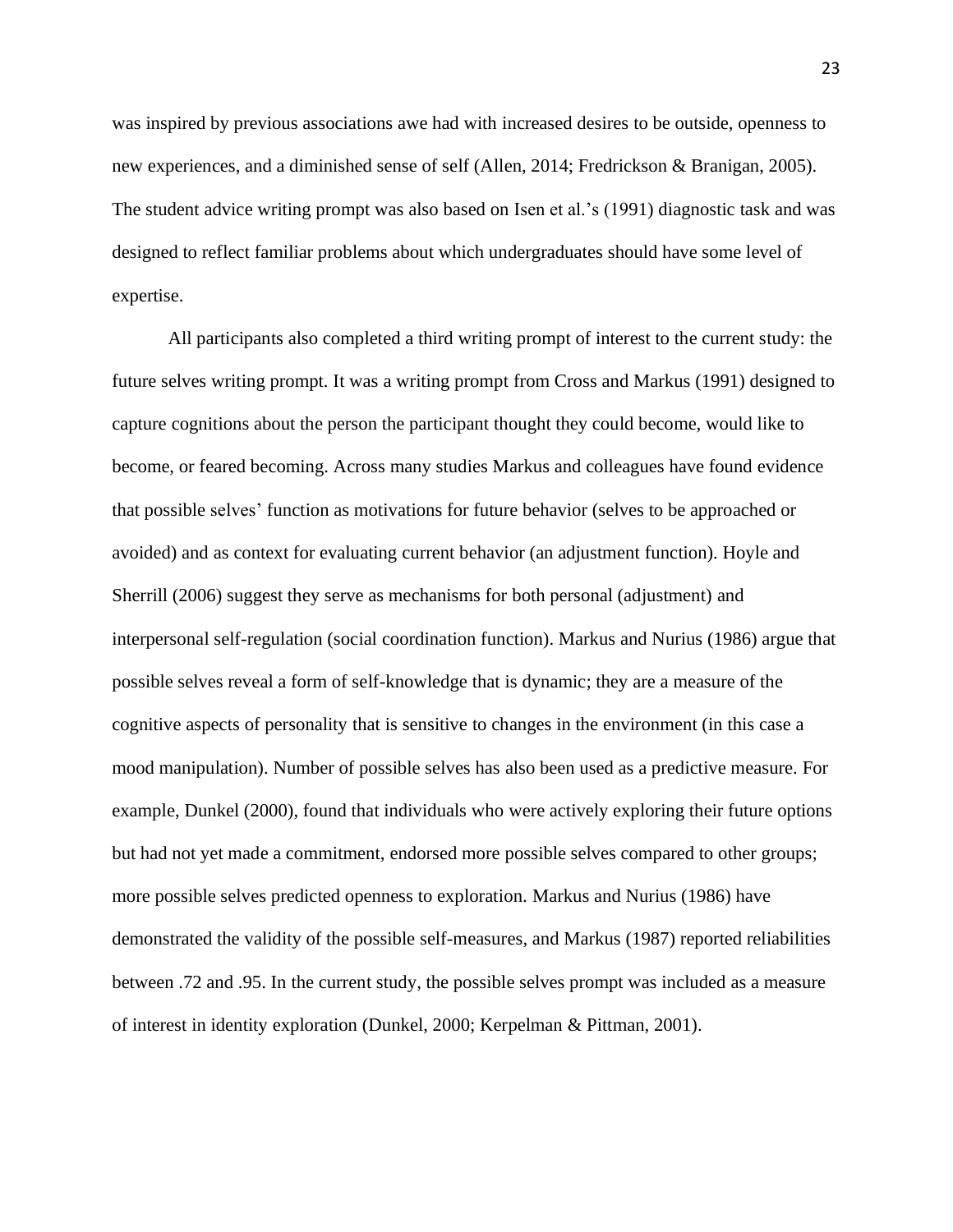was inspired by previous associations awe had with increased desires to be outside, openness to new experiences, and a diminished sense of self (Allen, 2014; Fredrickson & Branigan, 2005). The student advice writing prompt was also based on Isen et al.'s (1991) diagnostic task and was designed to reflect familiar problems about which undergraduates should have some level of expertise.

All participants also completed a third writing prompt of interest to the current study: the future selves writing prompt. It was a writing prompt from Cross and Markus (1991) designed to capture cognitions about the person the participant thought they could become, would like to become, or feared becoming. Across many studies Markus and colleagues have found evidence that possible selves' function as motivations for future behavior (selves to be approached or avoided) and as context for evaluating current behavior (an adjustment function). Hoyle and Sherrill (2006) suggest they serve as mechanisms for both personal (adjustment) and interpersonal self-regulation (social coordination function). Markus and Nurius (1986) argue that possible selves reveal a form of self-knowledge that is dynamic; they are a measure of the cognitive aspects of personality that is sensitive to changes in the environment (in this case a mood manipulation). Number of possible selves has also been used as a predictive measure. For example, Dunkel (2000), found that individuals who were actively exploring their future options but had not yet made a commitment, endorsed more possible selves compared to other groups; more possible selves predicted openness to exploration. Markus and Nurius (1986) have demonstrated the validity of the possible self-measures, and Markus (1987) reported reliabilities between .72 and .95. In the current study, the possible selves prompt was included as a measure of interest in identity exploration (Dunkel, 2000; Kerpelman & Pittman, 2001).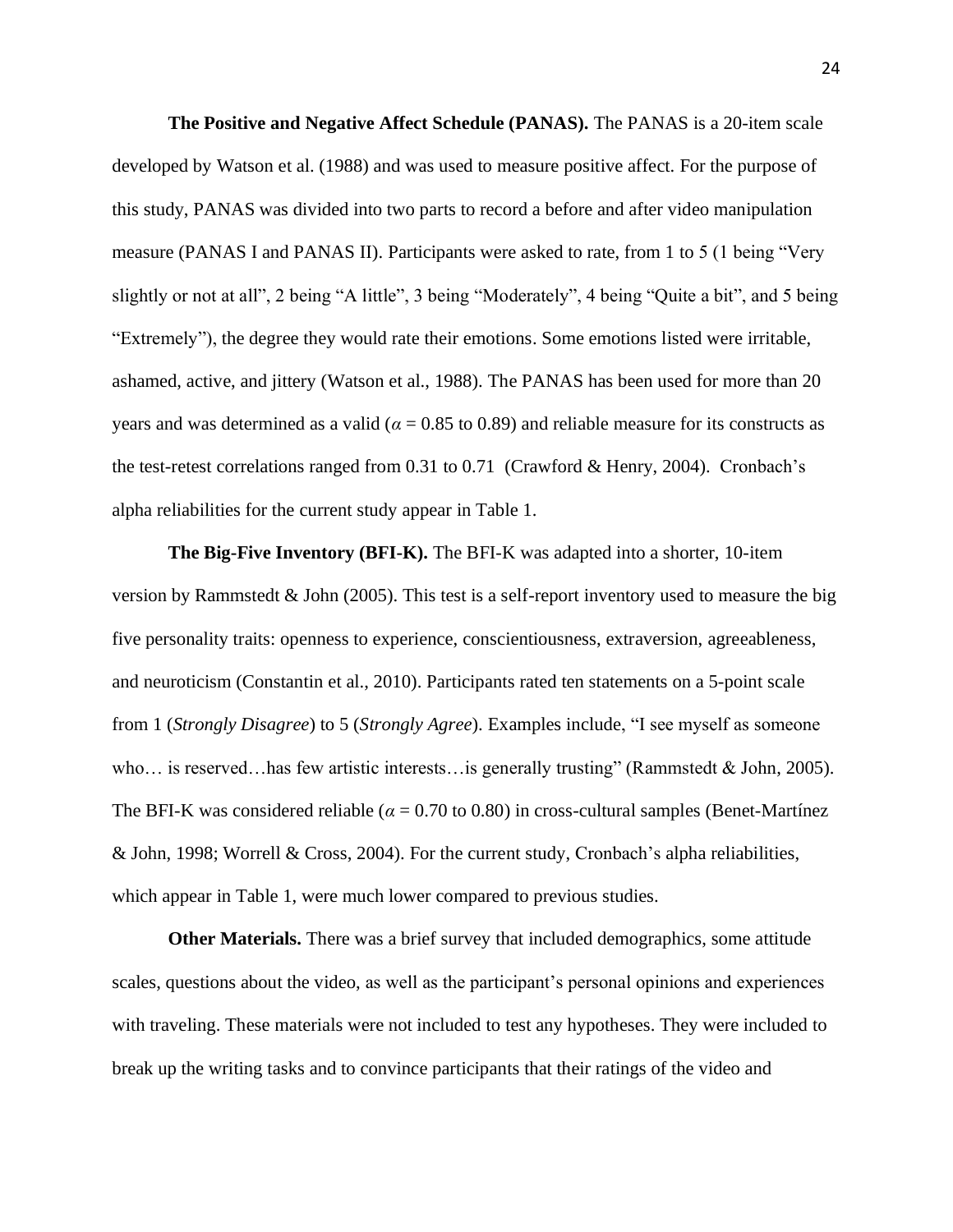**The Positive and Negative Affect Schedule (PANAS).** The PANAS is a 20-item scale developed by Watson et al. (1988) and was used to measure positive affect. For the purpose of this study, PANAS was divided into two parts to record a before and after video manipulation measure (PANAS I and PANAS II). Participants were asked to rate, from 1 to 5 (1 being "Very slightly or not at all", 2 being "A little", 3 being "Moderately", 4 being "Quite a bit", and 5 being "Extremely"), the degree they would rate their emotions. Some emotions listed were irritable, ashamed, active, and jittery (Watson et al., 1988). The PANAS has been used for more than 20 years and was determined as a valid ( $\alpha$  = 0.85 to 0.89) and reliable measure for its constructs as the test-retest correlations ranged from 0.31 to 0.71 (Crawford & Henry, 2004). Cronbach's alpha reliabilities for the current study appear in Table 1.

**The Big-Five Inventory (BFI-K).** The BFI-K was adapted into a shorter, 10-item version by Rammstedt  $&$  John (2005). This test is a self-report inventory used to measure the big five personality traits: openness to experience, conscientiousness, extraversion, agreeableness, and neuroticism (Constantin et al., 2010). Participants rated ten statements on a 5-point scale from 1 (*Strongly Disagree*) to 5 (*Strongly Agree*). Examples include, "I see myself as someone who… is reserved…has few artistic interests…is generally trusting" (Rammstedt & John, 2005). The BFI-K was considered reliable ( $\alpha$  = 0.70 to 0.80) in cross-cultural samples (Benet-Martínez & John, 1998; Worrell & Cross, 2004). For the current study, Cronbach's alpha reliabilities, which appear in Table 1, were much lower compared to previous studies.

**Other Materials.** There was a brief survey that included demographics, some attitude scales, questions about the video, as well as the participant's personal opinions and experiences with traveling. These materials were not included to test any hypotheses. They were included to break up the writing tasks and to convince participants that their ratings of the video and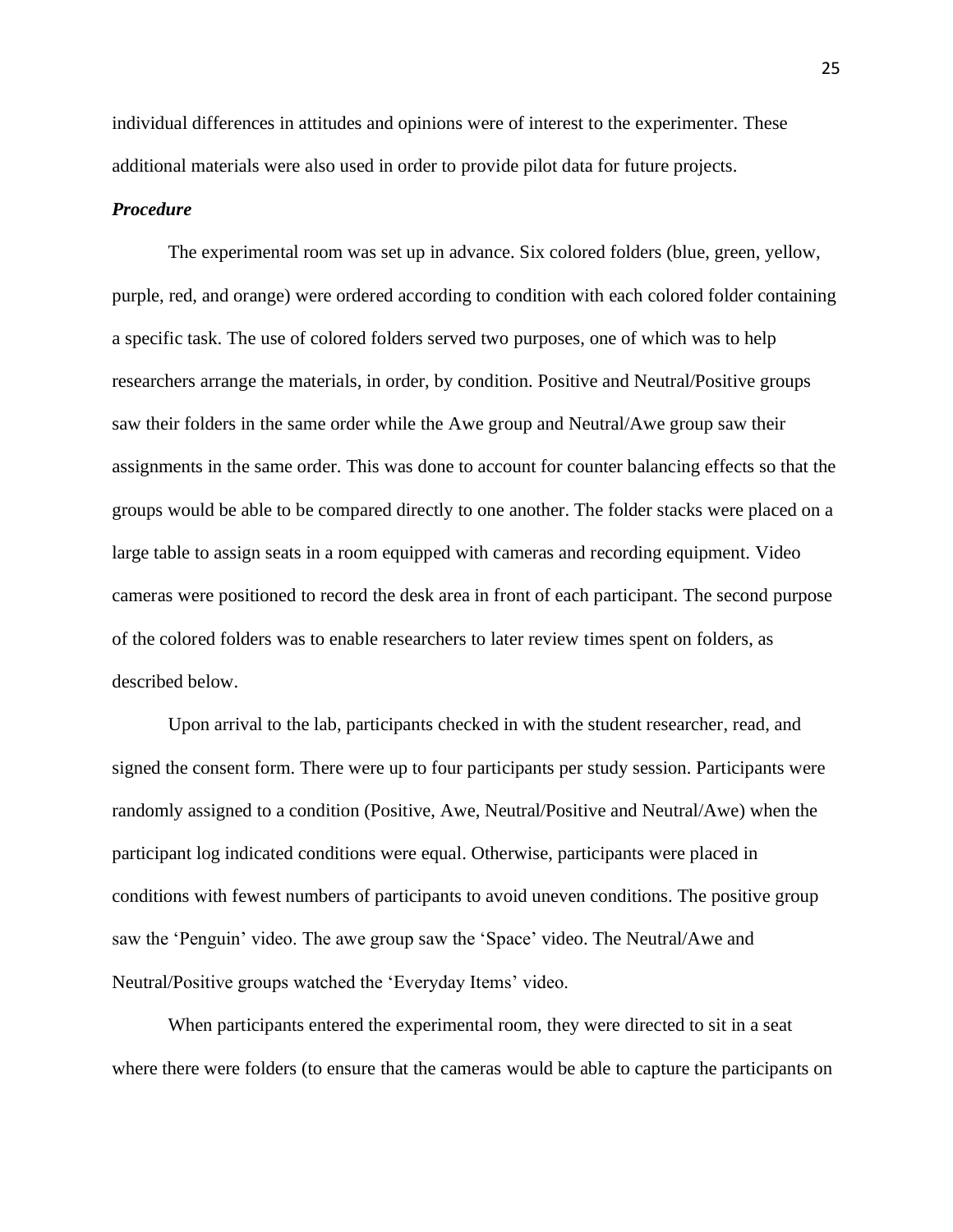individual differences in attitudes and opinions were of interest to the experimenter. These additional materials were also used in order to provide pilot data for future projects.

#### *Procedure*

The experimental room was set up in advance. Six colored folders (blue, green, yellow, purple, red, and orange) were ordered according to condition with each colored folder containing a specific task. The use of colored folders served two purposes, one of which was to help researchers arrange the materials, in order, by condition. Positive and Neutral/Positive groups saw their folders in the same order while the Awe group and Neutral/Awe group saw their assignments in the same order. This was done to account for counter balancing effects so that the groups would be able to be compared directly to one another. The folder stacks were placed on a large table to assign seats in a room equipped with cameras and recording equipment. Video cameras were positioned to record the desk area in front of each participant. The second purpose of the colored folders was to enable researchers to later review times spent on folders, as described below.

Upon arrival to the lab, participants checked in with the student researcher, read, and signed the consent form. There were up to four participants per study session. Participants were randomly assigned to a condition (Positive, Awe, Neutral/Positive and Neutral/Awe) when the participant log indicated conditions were equal. Otherwise, participants were placed in conditions with fewest numbers of participants to avoid uneven conditions. The positive group saw the 'Penguin' video. The awe group saw the 'Space' video. The Neutral/Awe and Neutral/Positive groups watched the 'Everyday Items' video.

When participants entered the experimental room, they were directed to sit in a seat where there were folders (to ensure that the cameras would be able to capture the participants on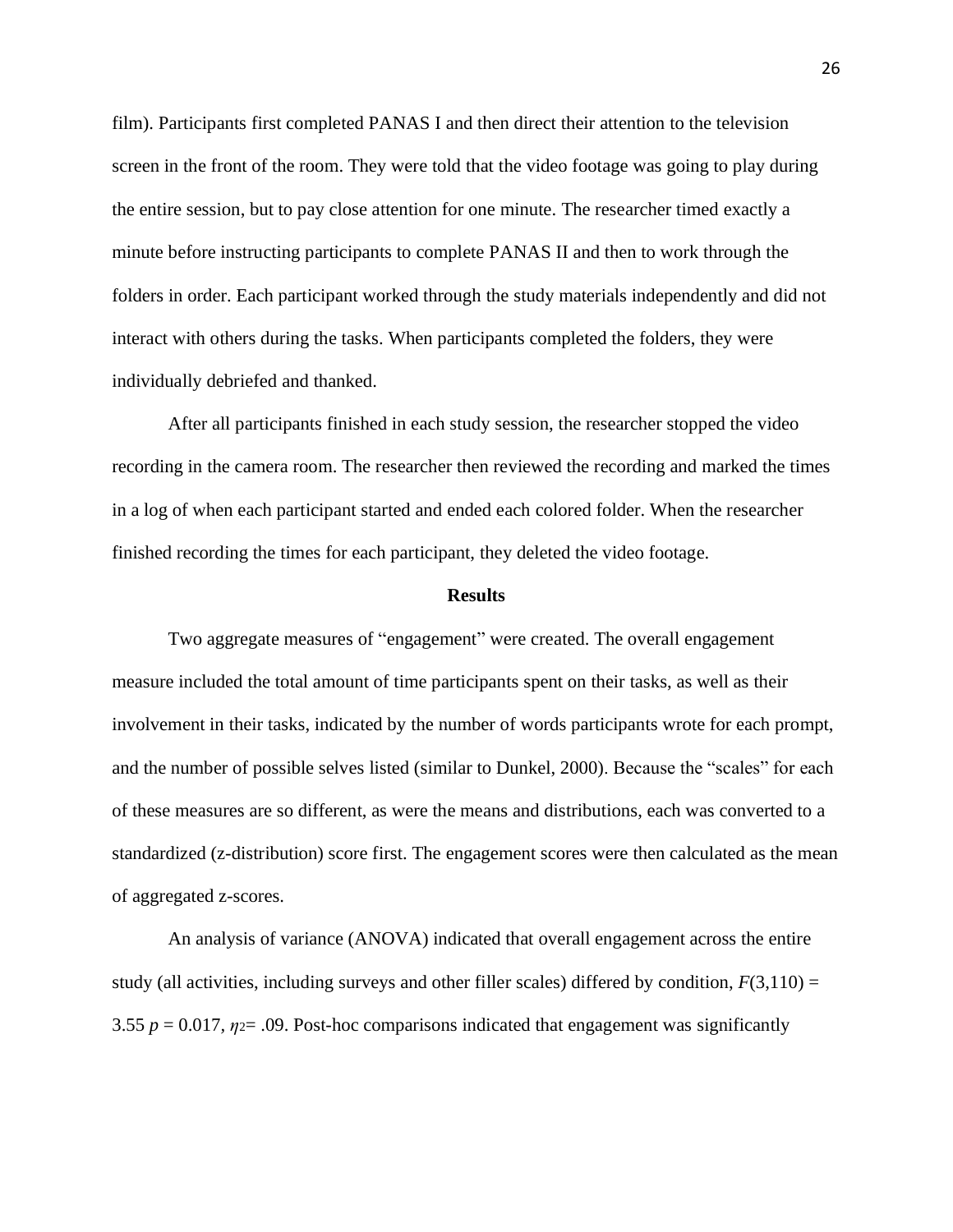film). Participants first completed PANAS I and then direct their attention to the television screen in the front of the room. They were told that the video footage was going to play during the entire session, but to pay close attention for one minute. The researcher timed exactly a minute before instructing participants to complete PANAS II and then to work through the folders in order. Each participant worked through the study materials independently and did not interact with others during the tasks. When participants completed the folders, they were individually debriefed and thanked.

After all participants finished in each study session, the researcher stopped the video recording in the camera room. The researcher then reviewed the recording and marked the times in a log of when each participant started and ended each colored folder. When the researcher finished recording the times for each participant, they deleted the video footage.

#### **Results**

Two aggregate measures of "engagement" were created. The overall engagement measure included the total amount of time participants spent on their tasks, as well as their involvement in their tasks, indicated by the number of words participants wrote for each prompt, and the number of possible selves listed (similar to Dunkel, 2000). Because the "scales" for each of these measures are so different, as were the means and distributions, each was converted to a standardized (z-distribution) score first. The engagement scores were then calculated as the mean of aggregated z-scores.

An analysis of variance (ANOVA) indicated that overall engagement across the entire study (all activities, including surveys and other filler scales) differed by condition,  $F(3,110) =$ 3.55  $p = 0.017$ ,  $\eta = 0.09$ . Post-hoc comparisons indicated that engagement was significantly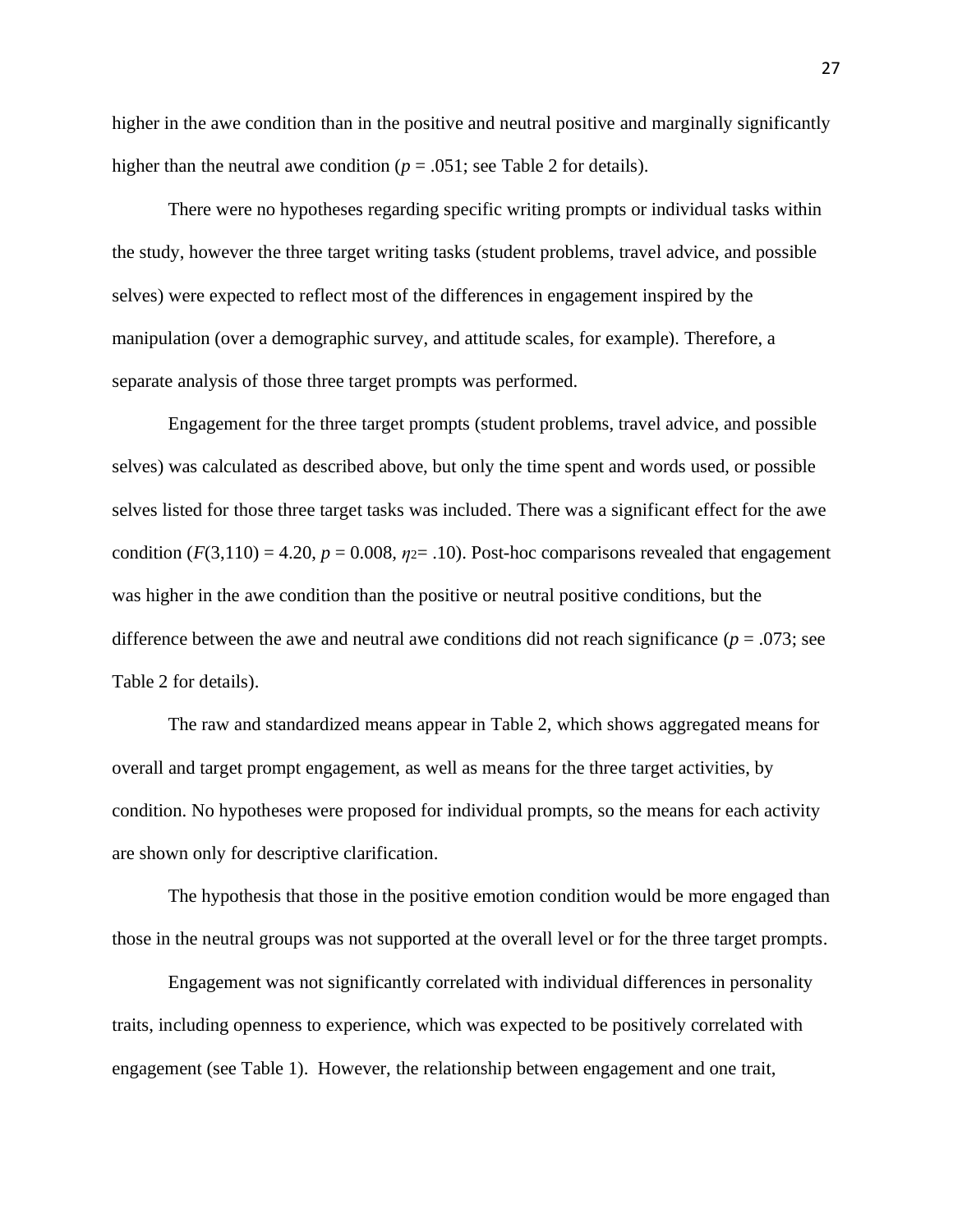higher in the awe condition than in the positive and neutral positive and marginally significantly higher than the neutral awe condition ( $p = .051$ ; see Table 2 for details).

There were no hypotheses regarding specific writing prompts or individual tasks within the study, however the three target writing tasks (student problems, travel advice, and possible selves) were expected to reflect most of the differences in engagement inspired by the manipulation (over a demographic survey, and attitude scales, for example). Therefore, a separate analysis of those three target prompts was performed.

Engagement for the three target prompts (student problems, travel advice, and possible selves) was calculated as described above, but only the time spent and words used, or possible selves listed for those three target tasks was included. There was a significant effect for the awe condition  $(F(3,110) = 4.20, p = 0.008, \eta = 0.10)$ . Post-hoc comparisons revealed that engagement was higher in the awe condition than the positive or neutral positive conditions, but the difference between the awe and neutral awe conditions did not reach significance ( $p = .073$ ; see Table 2 for details).

The raw and standardized means appear in Table 2, which shows aggregated means for overall and target prompt engagement, as well as means for the three target activities, by condition. No hypotheses were proposed for individual prompts, so the means for each activity are shown only for descriptive clarification.

The hypothesis that those in the positive emotion condition would be more engaged than those in the neutral groups was not supported at the overall level or for the three target prompts.

Engagement was not significantly correlated with individual differences in personality traits, including openness to experience, which was expected to be positively correlated with engagement (see Table 1). However, the relationship between engagement and one trait,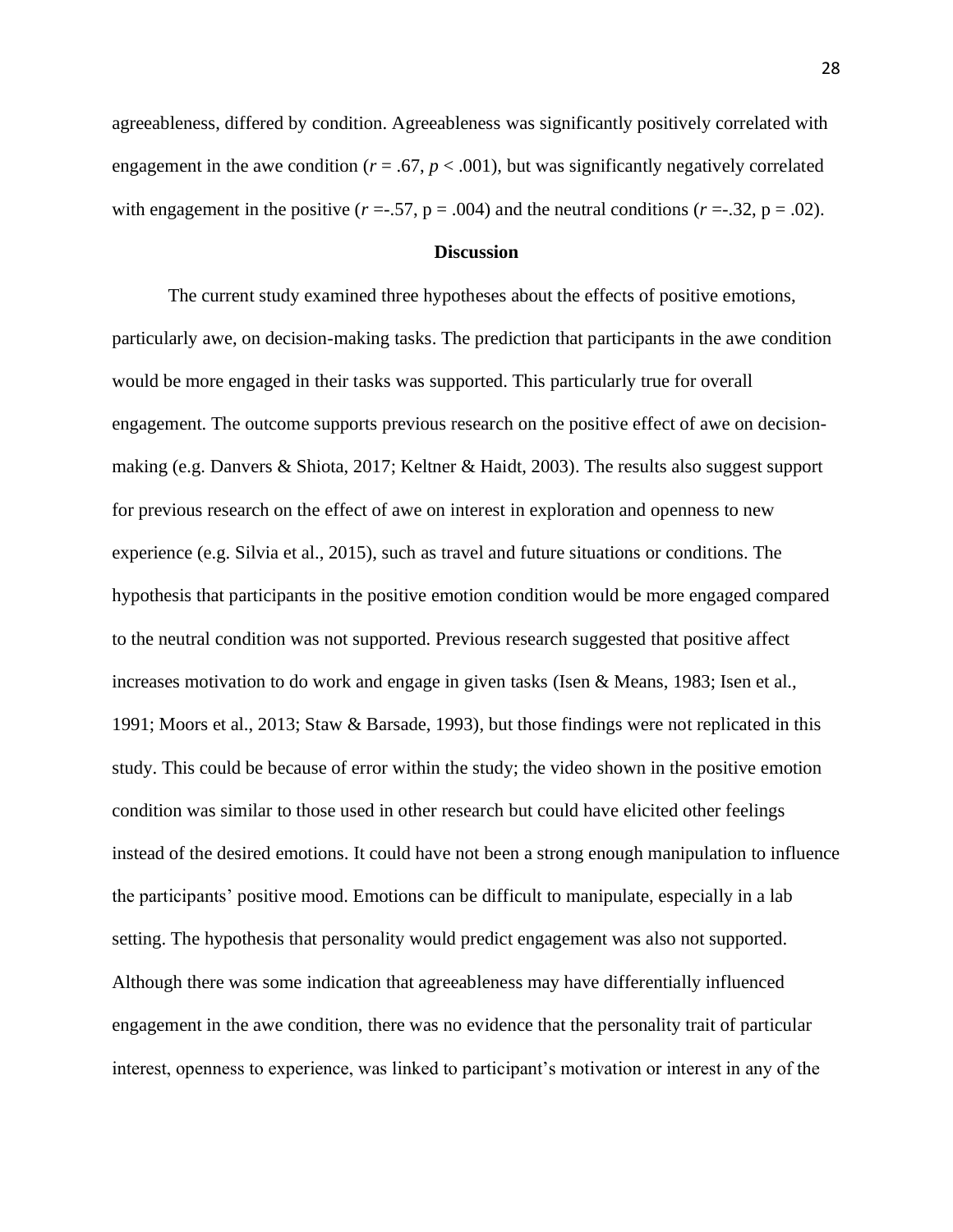agreeableness, differed by condition. Agreeableness was significantly positively correlated with engagement in the awe condition ( $r = .67$ ,  $p < .001$ ), but was significantly negatively correlated with engagement in the positive  $(r = .57, p = .004)$  and the neutral conditions  $(r = .32, p = .02)$ .

#### **Discussion**

The current study examined three hypotheses about the effects of positive emotions, particularly awe, on decision-making tasks. The prediction that participants in the awe condition would be more engaged in their tasks was supported. This particularly true for overall engagement. The outcome supports previous research on the positive effect of awe on decisionmaking (e.g. Danvers & Shiota, 2017; Keltner & Haidt, 2003). The results also suggest support for previous research on the effect of awe on interest in exploration and openness to new experience (e.g. Silvia et al., 2015), such as travel and future situations or conditions. The hypothesis that participants in the positive emotion condition would be more engaged compared to the neutral condition was not supported. Previous research suggested that positive affect increases motivation to do work and engage in given tasks (Isen & Means, 1983; Isen et al., 1991; Moors et al., 2013; Staw & Barsade, 1993), but those findings were not replicated in this study. This could be because of error within the study; the video shown in the positive emotion condition was similar to those used in other research but could have elicited other feelings instead of the desired emotions. It could have not been a strong enough manipulation to influence the participants' positive mood. Emotions can be difficult to manipulate, especially in a lab setting. The hypothesis that personality would predict engagement was also not supported. Although there was some indication that agreeableness may have differentially influenced engagement in the awe condition, there was no evidence that the personality trait of particular interest, openness to experience, was linked to participant's motivation or interest in any of the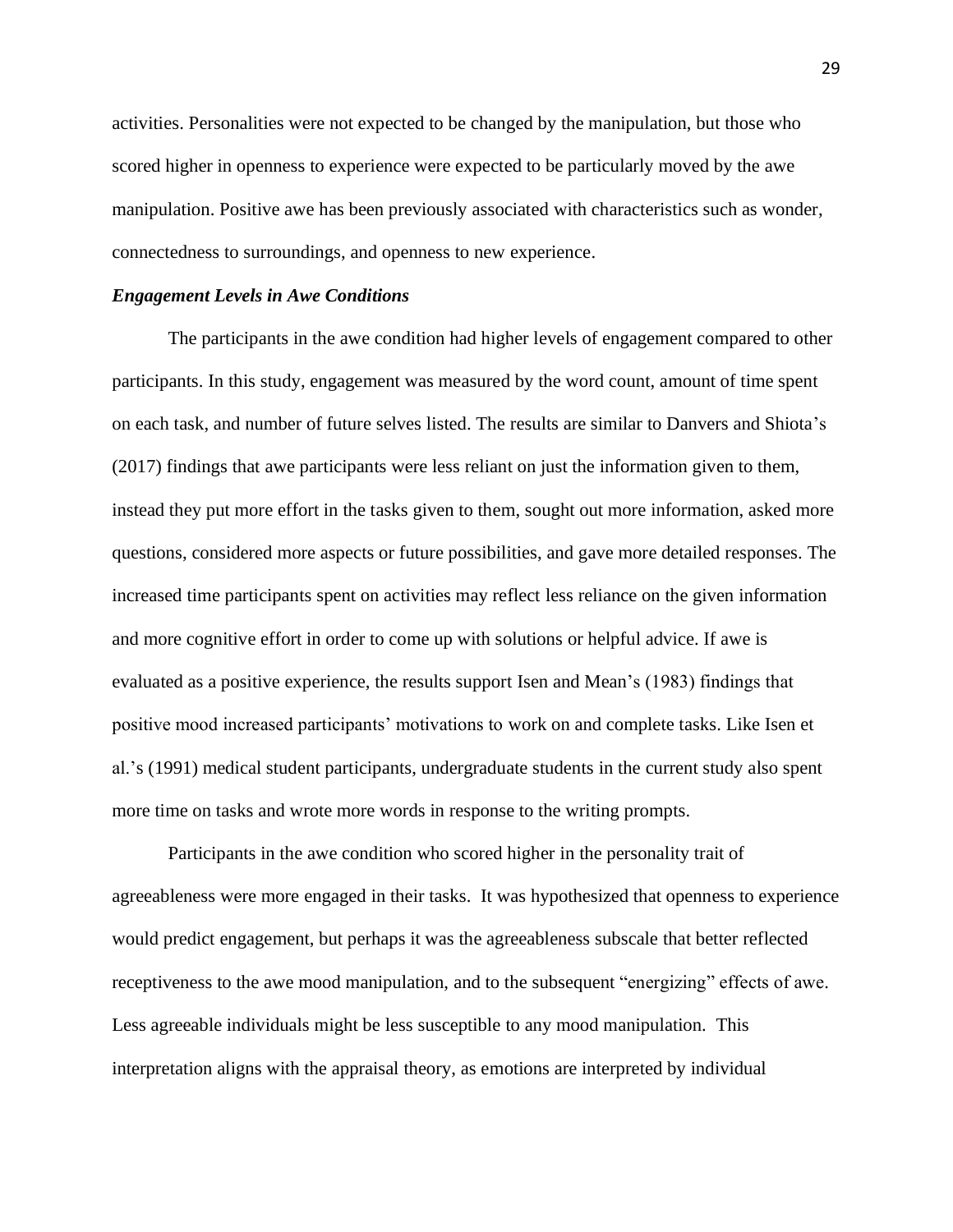activities. Personalities were not expected to be changed by the manipulation, but those who scored higher in openness to experience were expected to be particularly moved by the awe manipulation. Positive awe has been previously associated with characteristics such as wonder, connectedness to surroundings, and openness to new experience.

#### *Engagement Levels in Awe Conditions*

The participants in the awe condition had higher levels of engagement compared to other participants. In this study, engagement was measured by the word count, amount of time spent on each task, and number of future selves listed. The results are similar to Danvers and Shiota's (2017) findings that awe participants were less reliant on just the information given to them, instead they put more effort in the tasks given to them, sought out more information, asked more questions, considered more aspects or future possibilities, and gave more detailed responses. The increased time participants spent on activities may reflect less reliance on the given information and more cognitive effort in order to come up with solutions or helpful advice. If awe is evaluated as a positive experience, the results support Isen and Mean's (1983) findings that positive mood increased participants' motivations to work on and complete tasks. Like Isen et al.'s (1991) medical student participants, undergraduate students in the current study also spent more time on tasks and wrote more words in response to the writing prompts.

Participants in the awe condition who scored higher in the personality trait of agreeableness were more engaged in their tasks. It was hypothesized that openness to experience would predict engagement, but perhaps it was the agreeableness subscale that better reflected receptiveness to the awe mood manipulation, and to the subsequent "energizing" effects of awe. Less agreeable individuals might be less susceptible to any mood manipulation. This interpretation aligns with the appraisal theory, as emotions are interpreted by individual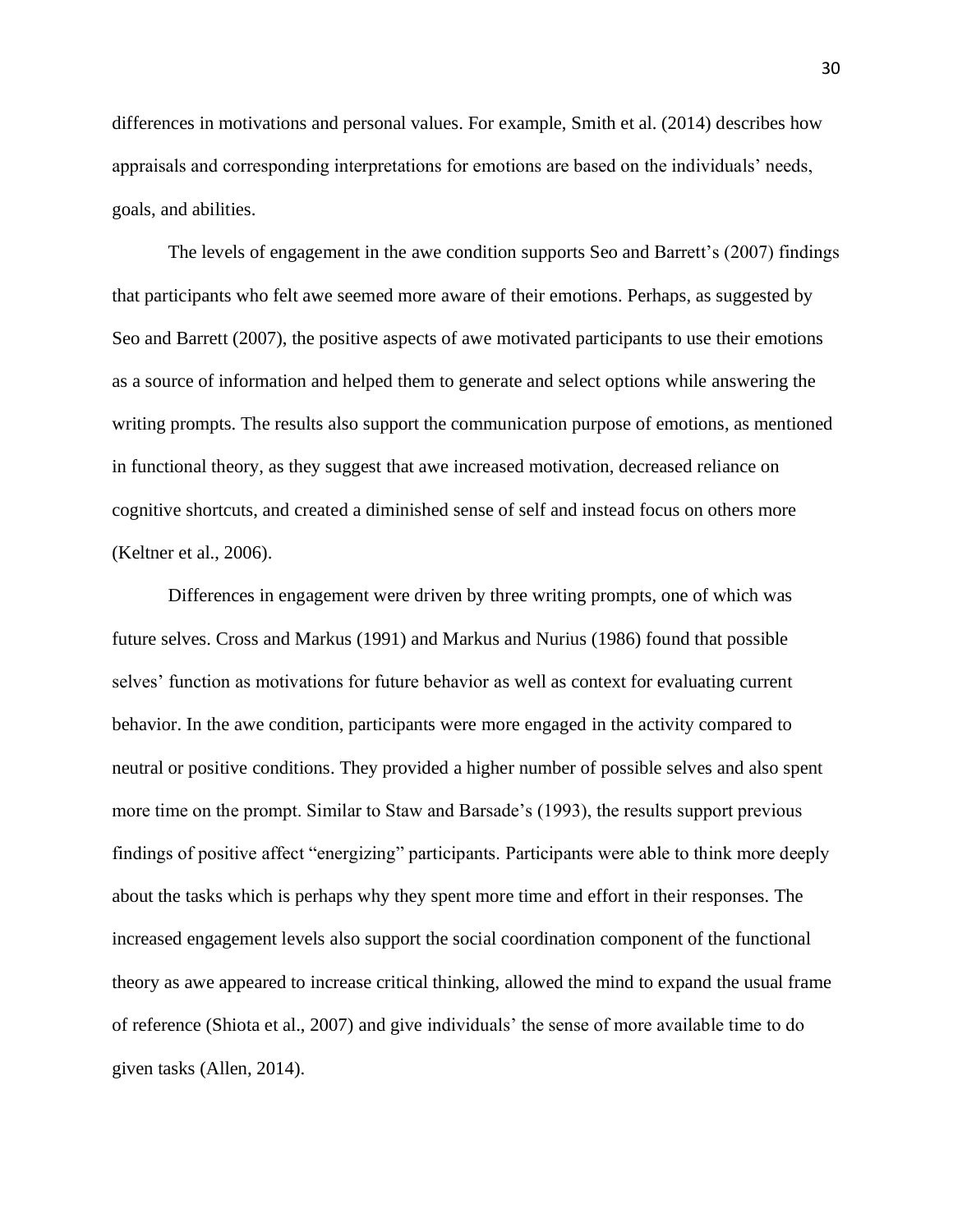differences in motivations and personal values. For example, Smith et al. (2014) describes how appraisals and corresponding interpretations for emotions are based on the individuals' needs, goals, and abilities.

The levels of engagement in the awe condition supports Seo and Barrett's (2007) findings that participants who felt awe seemed more aware of their emotions. Perhaps, as suggested by Seo and Barrett (2007), the positive aspects of awe motivated participants to use their emotions as a source of information and helped them to generate and select options while answering the writing prompts. The results also support the communication purpose of emotions, as mentioned in functional theory, as they suggest that awe increased motivation, decreased reliance on cognitive shortcuts, and created a diminished sense of self and instead focus on others more (Keltner et al., 2006).

Differences in engagement were driven by three writing prompts, one of which was future selves. Cross and Markus (1991) and Markus and Nurius (1986) found that possible selves' function as motivations for future behavior as well as context for evaluating current behavior. In the awe condition, participants were more engaged in the activity compared to neutral or positive conditions. They provided a higher number of possible selves and also spent more time on the prompt. Similar to Staw and Barsade's (1993), the results support previous findings of positive affect "energizing" participants. Participants were able to think more deeply about the tasks which is perhaps why they spent more time and effort in their responses. The increased engagement levels also support the social coordination component of the functional theory as awe appeared to increase critical thinking, allowed the mind to expand the usual frame of reference (Shiota et al., 2007) and give individuals' the sense of more available time to do given tasks (Allen, 2014).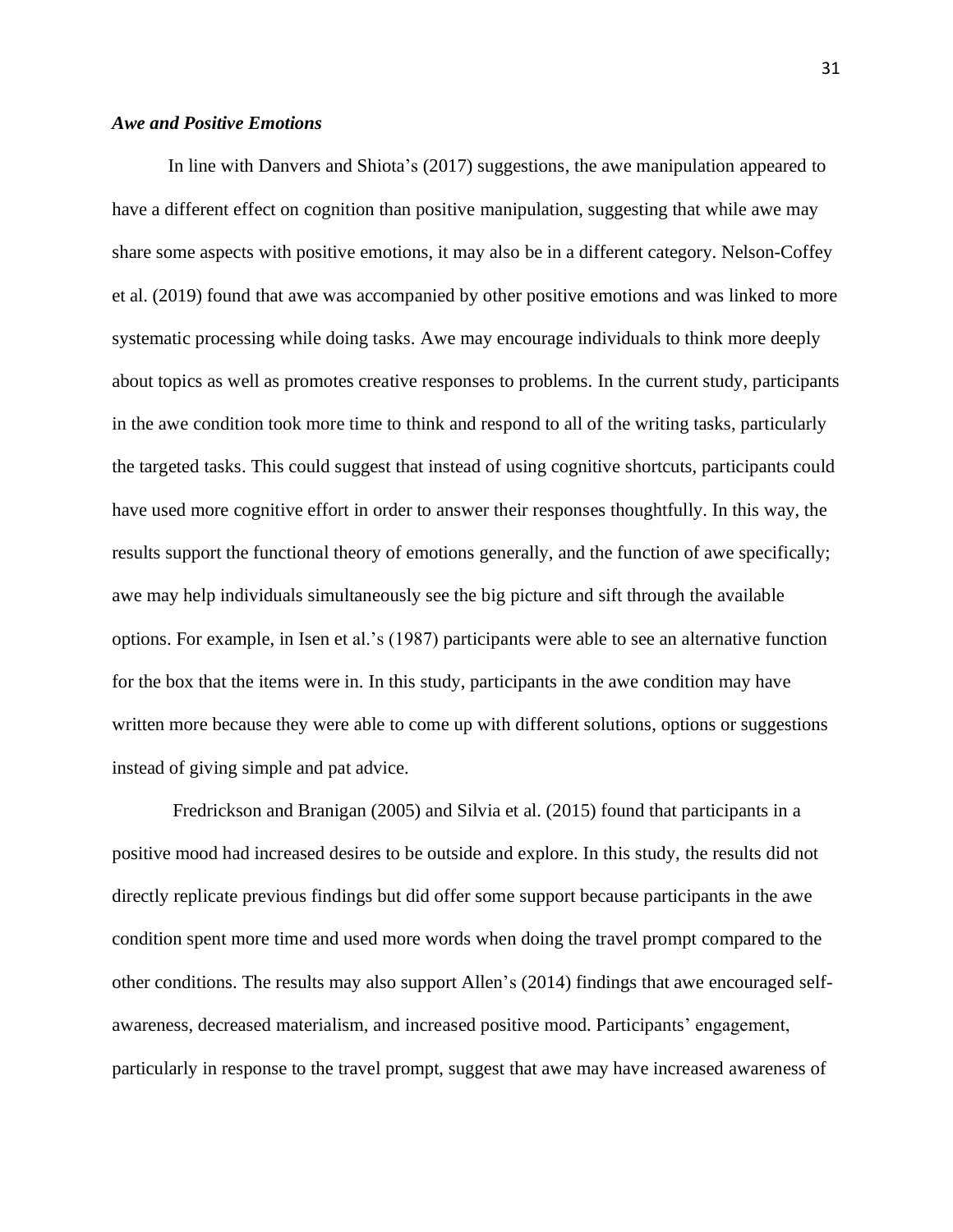### *Awe and Positive Emotions*

In line with Danvers and Shiota's (2017) suggestions, the awe manipulation appeared to have a different effect on cognition than positive manipulation, suggesting that while awe may share some aspects with positive emotions, it may also be in a different category. Nelson-Coffey et al. (2019) found that awe was accompanied by other positive emotions and was linked to more systematic processing while doing tasks. Awe may encourage individuals to think more deeply about topics as well as promotes creative responses to problems. In the current study, participants in the awe condition took more time to think and respond to all of the writing tasks, particularly the targeted tasks. This could suggest that instead of using cognitive shortcuts, participants could have used more cognitive effort in order to answer their responses thoughtfully. In this way, the results support the functional theory of emotions generally, and the function of awe specifically; awe may help individuals simultaneously see the big picture and sift through the available options. For example, in Isen et al.'s (1987) participants were able to see an alternative function for the box that the items were in. In this study, participants in the awe condition may have written more because they were able to come up with different solutions, options or suggestions instead of giving simple and pat advice.

Fredrickson and Branigan (2005) and Silvia et al. (2015) found that participants in a positive mood had increased desires to be outside and explore. In this study, the results did not directly replicate previous findings but did offer some support because participants in the awe condition spent more time and used more words when doing the travel prompt compared to the other conditions. The results may also support Allen's (2014) findings that awe encouraged selfawareness, decreased materialism, and increased positive mood. Participants' engagement, particularly in response to the travel prompt, suggest that awe may have increased awareness of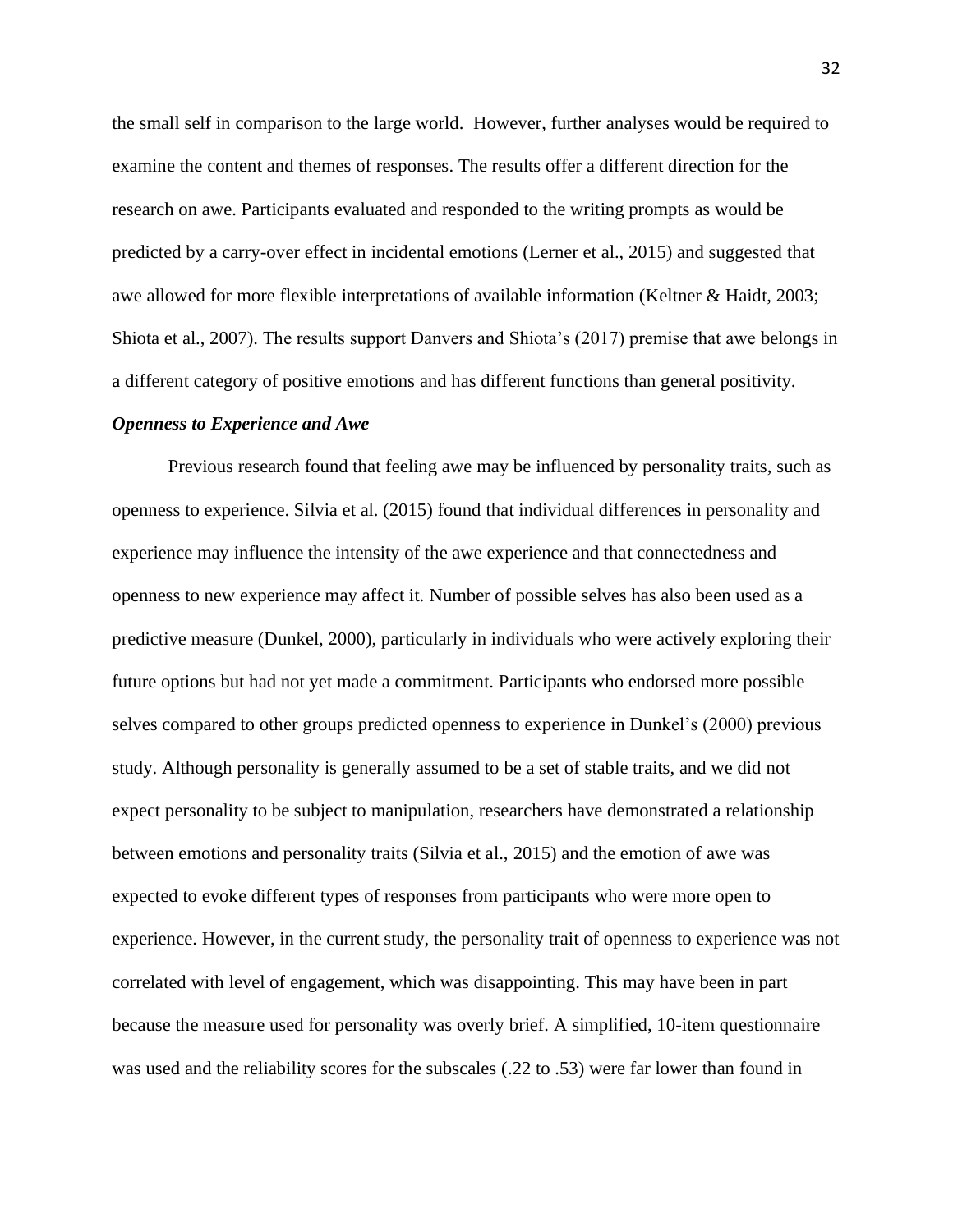the small self in comparison to the large world. However, further analyses would be required to examine the content and themes of responses. The results offer a different direction for the research on awe. Participants evaluated and responded to the writing prompts as would be predicted by a carry-over effect in incidental emotions (Lerner et al., 2015) and suggested that awe allowed for more flexible interpretations of available information (Keltner & Haidt, 2003; Shiota et al., 2007). The results support Danvers and Shiota's (2017) premise that awe belongs in a different category of positive emotions and has different functions than general positivity.

#### *Openness to Experience and Awe*

Previous research found that feeling awe may be influenced by personality traits, such as openness to experience. Silvia et al. (2015) found that individual differences in personality and experience may influence the intensity of the awe experience and that connectedness and openness to new experience may affect it. Number of possible selves has also been used as a predictive measure (Dunkel, 2000), particularly in individuals who were actively exploring their future options but had not yet made a commitment. Participants who endorsed more possible selves compared to other groups predicted openness to experience in Dunkel's (2000) previous study. Although personality is generally assumed to be a set of stable traits, and we did not expect personality to be subject to manipulation, researchers have demonstrated a relationship between emotions and personality traits (Silvia et al., 2015) and the emotion of awe was expected to evoke different types of responses from participants who were more open to experience. However, in the current study, the personality trait of openness to experience was not correlated with level of engagement, which was disappointing. This may have been in part because the measure used for personality was overly brief. A simplified, 10-item questionnaire was used and the reliability scores for the subscales (.22 to .53) were far lower than found in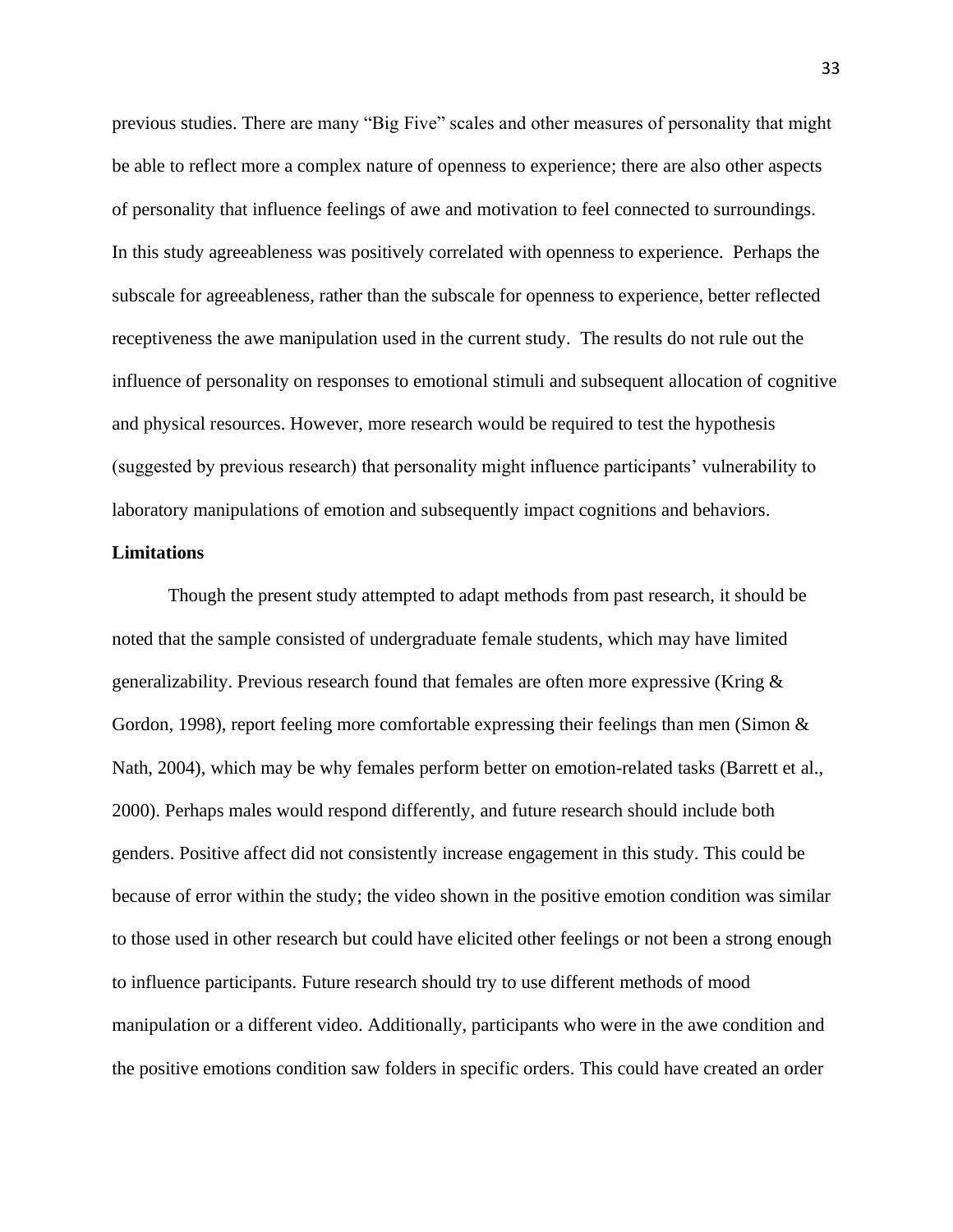previous studies. There are many "Big Five" scales and other measures of personality that might be able to reflect more a complex nature of openness to experience; there are also other aspects of personality that influence feelings of awe and motivation to feel connected to surroundings. In this study agreeableness was positively correlated with openness to experience. Perhaps the subscale for agreeableness, rather than the subscale for openness to experience, better reflected receptiveness the awe manipulation used in the current study. The results do not rule out the influence of personality on responses to emotional stimuli and subsequent allocation of cognitive and physical resources. However, more research would be required to test the hypothesis (suggested by previous research) that personality might influence participants' vulnerability to laboratory manipulations of emotion and subsequently impact cognitions and behaviors.

#### **Limitations**

Though the present study attempted to adapt methods from past research, it should be noted that the sample consisted of undergraduate female students, which may have limited generalizability. Previous research found that females are often more expressive (Kring & Gordon, 1998), report feeling more comfortable expressing their feelings than men (Simon & Nath, 2004), which may be why females perform better on emotion-related tasks (Barrett et al., 2000). Perhaps males would respond differently, and future research should include both genders. Positive affect did not consistently increase engagement in this study. This could be because of error within the study; the video shown in the positive emotion condition was similar to those used in other research but could have elicited other feelings or not been a strong enough to influence participants. Future research should try to use different methods of mood manipulation or a different video. Additionally, participants who were in the awe condition and the positive emotions condition saw folders in specific orders. This could have created an order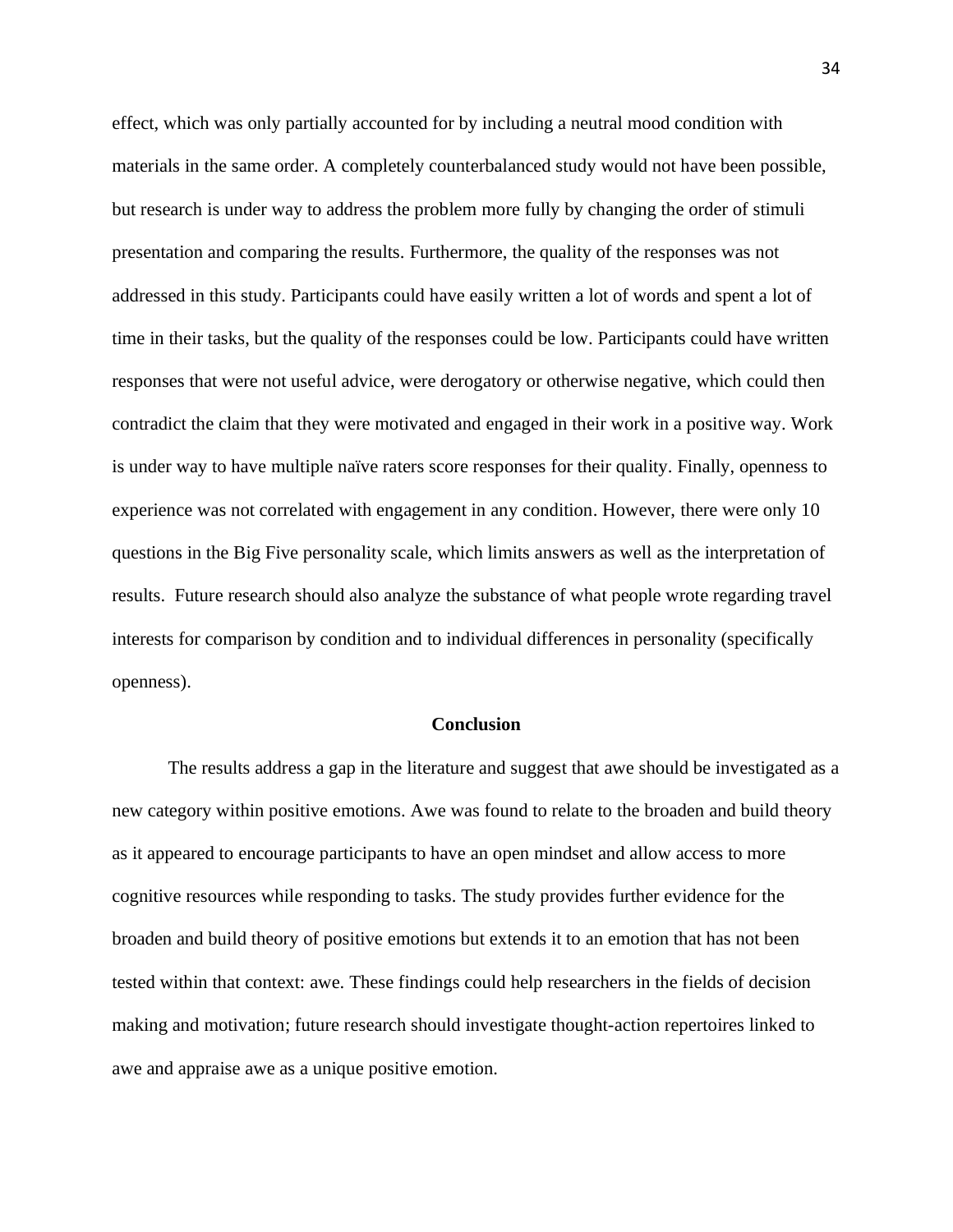effect, which was only partially accounted for by including a neutral mood condition with materials in the same order. A completely counterbalanced study would not have been possible, but research is under way to address the problem more fully by changing the order of stimuli presentation and comparing the results. Furthermore, the quality of the responses was not addressed in this study. Participants could have easily written a lot of words and spent a lot of time in their tasks, but the quality of the responses could be low. Participants could have written responses that were not useful advice, were derogatory or otherwise negative, which could then contradict the claim that they were motivated and engaged in their work in a positive way. Work is under way to have multiple naïve raters score responses for their quality. Finally, openness to experience was not correlated with engagement in any condition. However, there were only 10 questions in the Big Five personality scale, which limits answers as well as the interpretation of results. Future research should also analyze the substance of what people wrote regarding travel interests for comparison by condition and to individual differences in personality (specifically openness).

#### **Conclusion**

The results address a gap in the literature and suggest that awe should be investigated as a new category within positive emotions. Awe was found to relate to the broaden and build theory as it appeared to encourage participants to have an open mindset and allow access to more cognitive resources while responding to tasks. The study provides further evidence for the broaden and build theory of positive emotions but extends it to an emotion that has not been tested within that context: awe. These findings could help researchers in the fields of decision making and motivation; future research should investigate thought-action repertoires linked to awe and appraise awe as a unique positive emotion.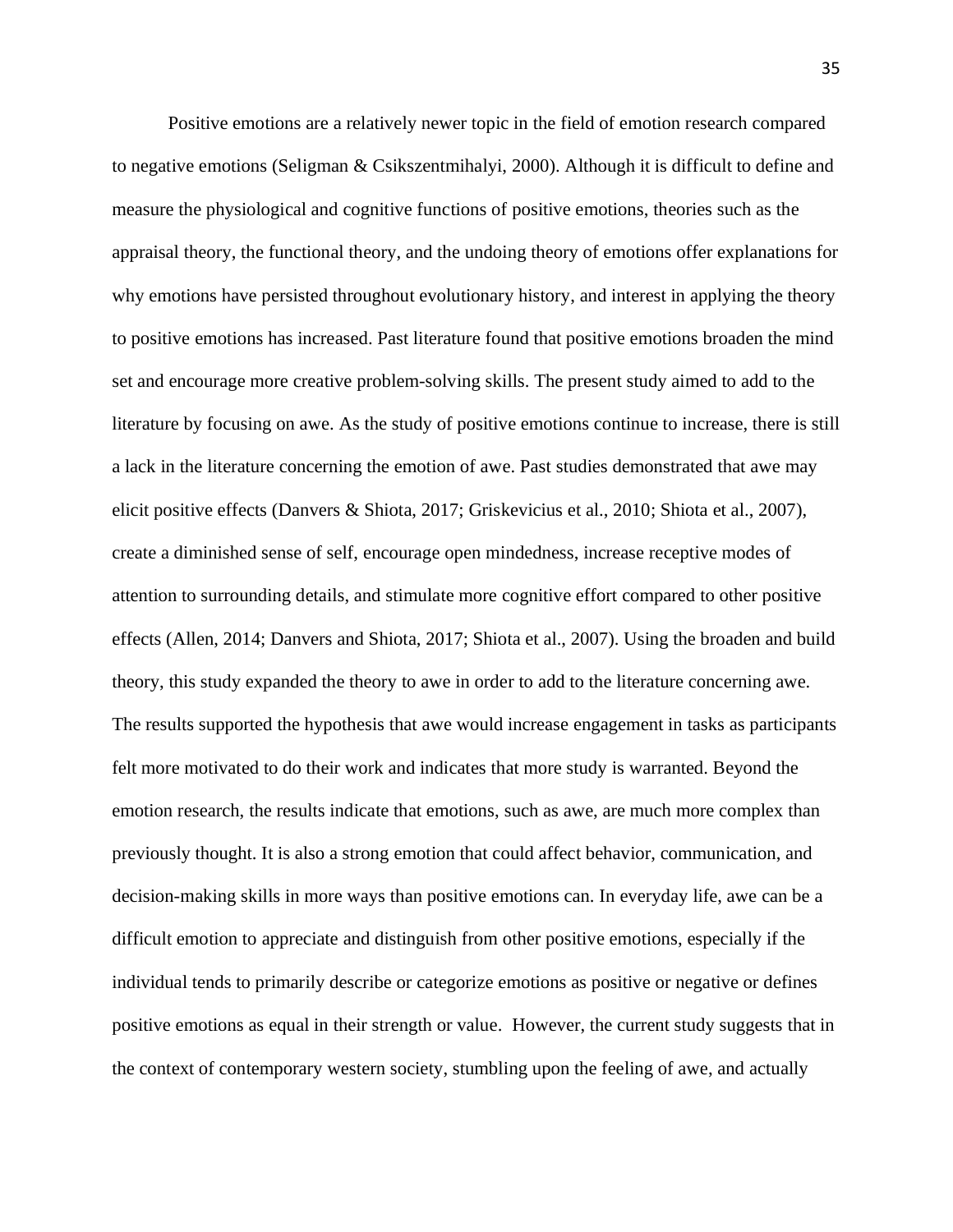Positive emotions are a relatively newer topic in the field of emotion research compared to negative emotions (Seligman & Csikszentmihalyi, 2000). Although it is difficult to define and measure the physiological and cognitive functions of positive emotions, theories such as the appraisal theory, the functional theory, and the undoing theory of emotions offer explanations for why emotions have persisted throughout evolutionary history, and interest in applying the theory to positive emotions has increased. Past literature found that positive emotions broaden the mind set and encourage more creative problem-solving skills. The present study aimed to add to the literature by focusing on awe. As the study of positive emotions continue to increase, there is still a lack in the literature concerning the emotion of awe. Past studies demonstrated that awe may elicit positive effects (Danvers & Shiota, 2017; Griskevicius et al., 2010; Shiota et al., 2007), create a diminished sense of self, encourage open mindedness, increase receptive modes of attention to surrounding details, and stimulate more cognitive effort compared to other positive effects (Allen, 2014; Danvers and Shiota, 2017; Shiota et al., 2007). Using the broaden and build theory, this study expanded the theory to awe in order to add to the literature concerning awe. The results supported the hypothesis that awe would increase engagement in tasks as participants felt more motivated to do their work and indicates that more study is warranted. Beyond the emotion research, the results indicate that emotions, such as awe, are much more complex than previously thought. It is also a strong emotion that could affect behavior, communication, and decision-making skills in more ways than positive emotions can. In everyday life, awe can be a difficult emotion to appreciate and distinguish from other positive emotions, especially if the individual tends to primarily describe or categorize emotions as positive or negative or defines positive emotions as equal in their strength or value. However, the current study suggests that in the context of contemporary western society, stumbling upon the feeling of awe, and actually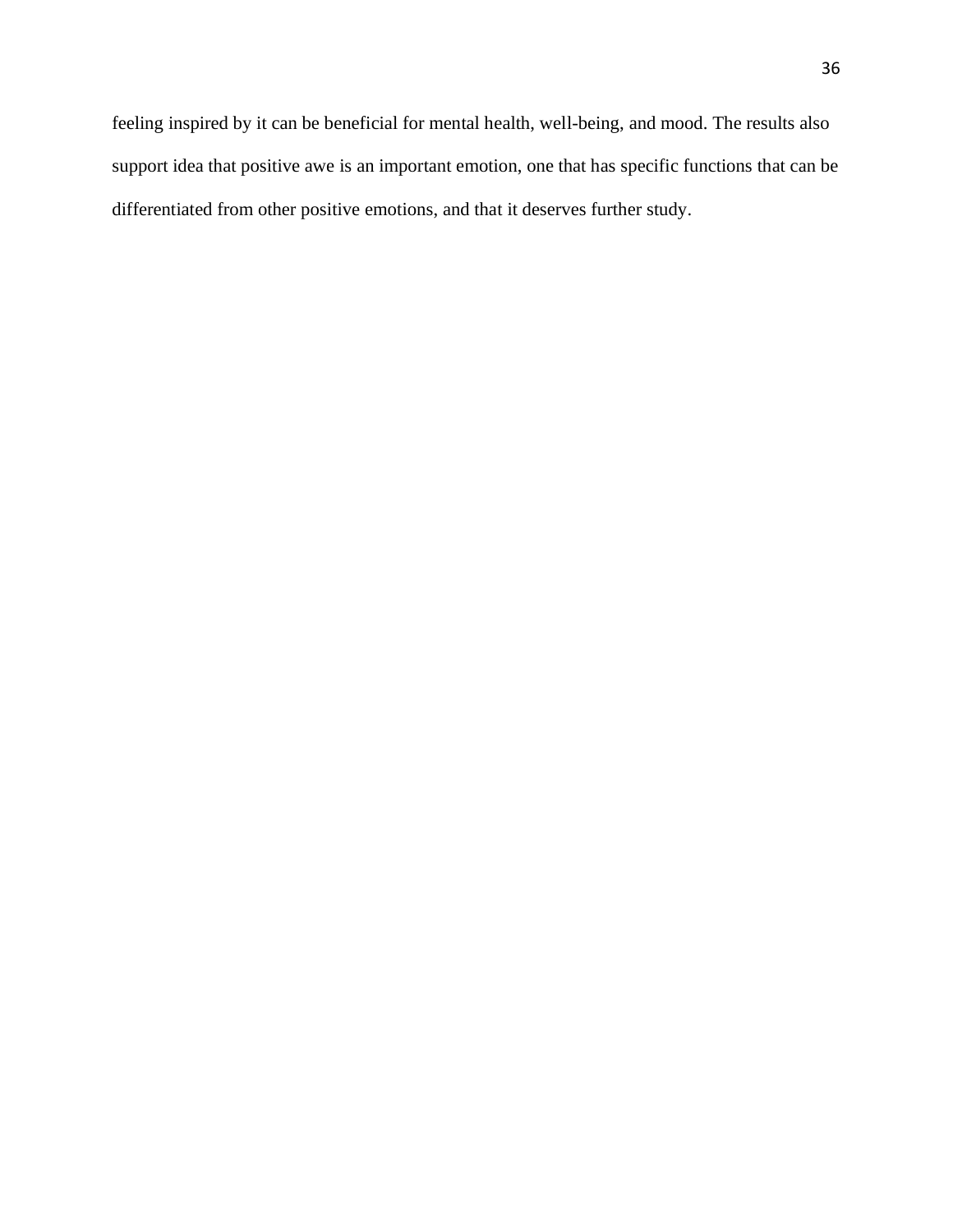feeling inspired by it can be beneficial for mental health, well-being, and mood. The results also support idea that positive awe is an important emotion, one that has specific functions that can be differentiated from other positive emotions, and that it deserves further study.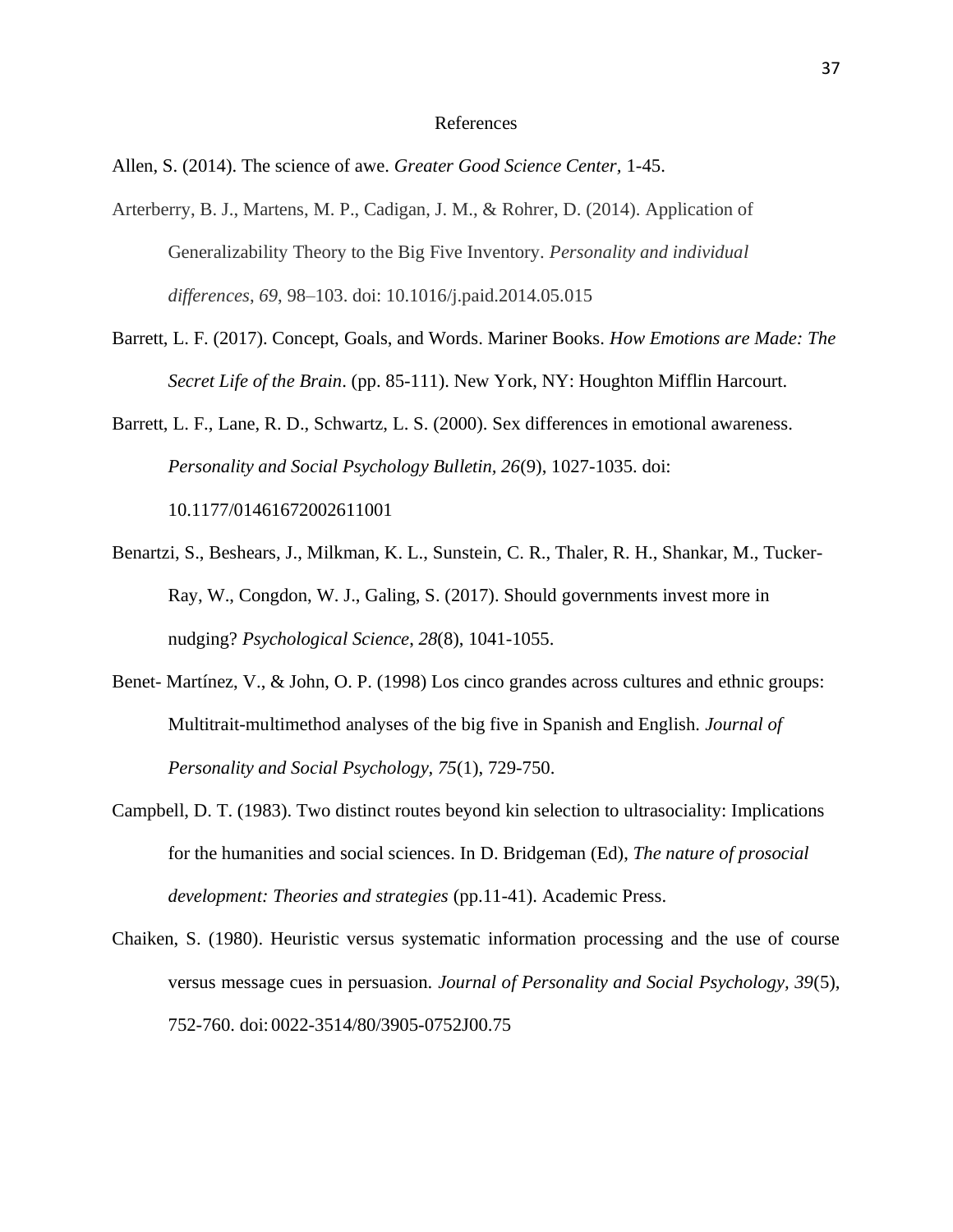#### References

Allen, S. (2014). The science of awe. *Greater Good Science Center,* 1-45.

- Arterberry, B. J., Martens, M. P., Cadigan, J. M., & Rohrer, D. (2014). Application of Generalizability Theory to the Big Five Inventory. *Personality and individual differences*, *69*, 98–103. doi: 10.1016/j.paid.2014.05.015
- Barrett, L. F. (2017). Concept, Goals, and Words. Mariner Books. *How Emotions are Made: The Secret Life of the Brain*. (pp. 85-111). New York, NY: Houghton Mifflin Harcourt.
- Barrett, L. F., Lane, R. D., Schwartz, L. S. (2000). Sex differences in emotional awareness. *Personality and Social Psychology Bulletin, 26*(9), 1027-1035. doi: 10.1177/01461672002611001
- Benartzi, S., Beshears, J., Milkman, K. L., Sunstein, C. R., Thaler, R. H., Shankar, M., Tucker-Ray, W., Congdon, W. J., Galing, S. (2017). Should governments invest more in nudging? *Psychological Science*, *28*(8), 1041-1055.
- Benet- Martínez, V., & John, O. P. (1998) Los cinco grandes across cultures and ethnic groups: Multitrait-multimethod analyses of the big five in Spanish and English. *Journal of Personality and Social Psychology, 75*(1), 729-750.
- Campbell, D. T. (1983). Two distinct routes beyond kin selection to ultrasociality: Implications for the humanities and social sciences. In D. Bridgeman (Ed), *The nature of prosocial development: Theories and strategies* (pp.11-41). Academic Press.
- Chaiken, S. (1980). Heuristic versus systematic information processing and the use of course versus message cues in persuasion. *Journal of Personality and Social Psychology, 39*(5), 752-760. doi: 0022-3514/80/3905-0752J00.75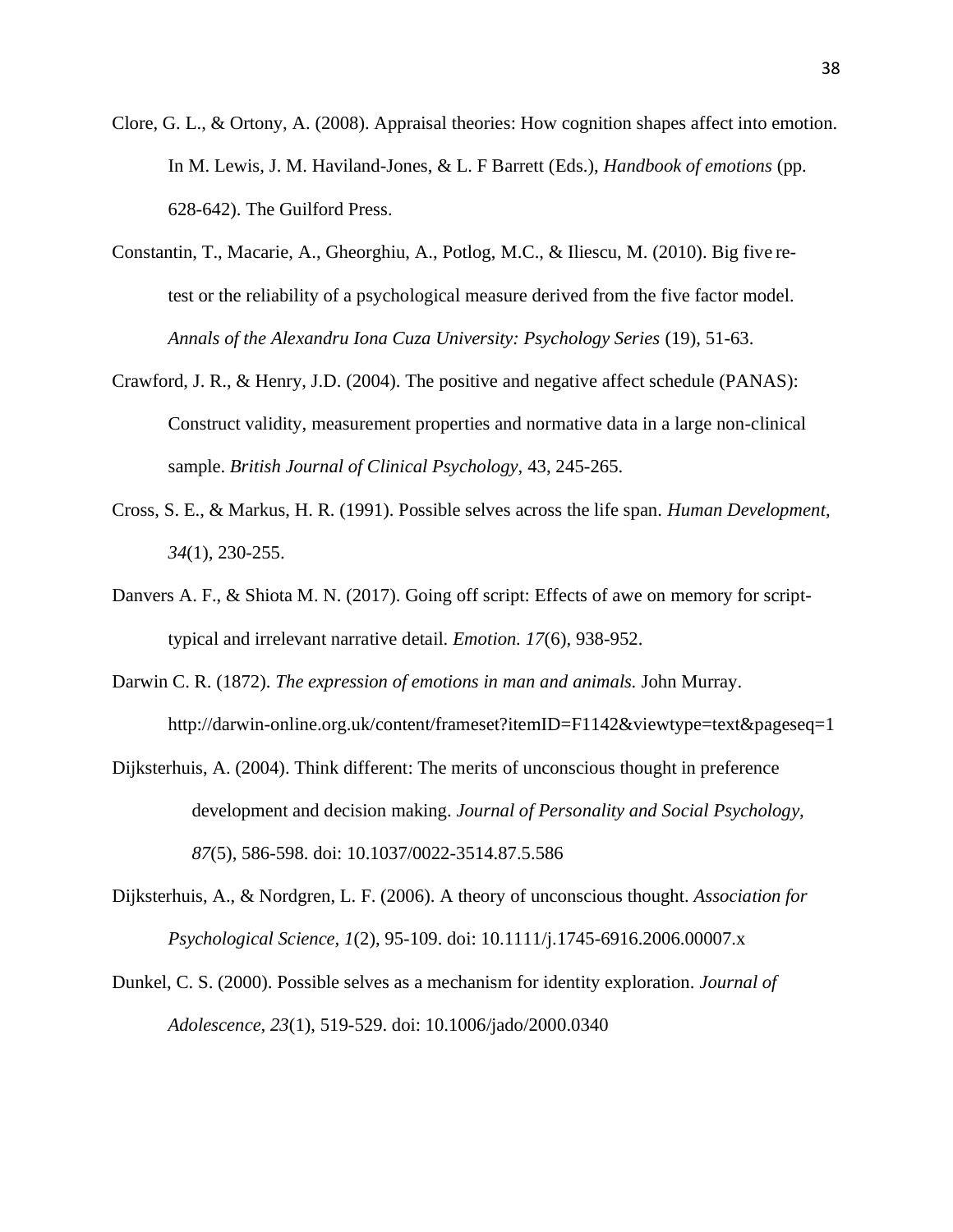- Clore, G. L., & Ortony, A. (2008). Appraisal theories: How cognition shapes affect into emotion. In M. Lewis, J. M. Haviland-Jones, & L. F Barrett (Eds.), *Handbook of emotions* (pp. 628-642). The Guilford Press.
- Constantin, T., Macarie, A., Gheorghiu, A., Potlog, M.C., & Iliescu, M. (2010). Big five retest or the reliability of a psychological measure derived from the five factor model. *Annals of the Alexandru Iona Cuza University: Psychology Series* (19), 51-63.
- Crawford, J. R., & Henry, J.D. (2004). The positive and negative affect schedule (PANAS): Construct validity, measurement properties and normative data in a large non-clinical sample. *British Journal of Clinical Psychology,* 43, 245-265.
- Cross, S. E., & Markus, H. R. (1991). Possible selves across the life span. *Human Development, 34*(1), 230-255.
- Danvers A. F., & Shiota M. N. (2017). Going off script: Effects of awe on memory for scripttypical and irrelevant narrative detail. *Emotion. 17*(6), 938-952.
- Darwin C. R. (1872). *The expression of emotions in man and animals.* John Murray. http://darwin-online.org.uk/content/frameset?itemID=F1142&viewtype=text&pageseq=1
- Dijksterhuis, A. (2004). Think different: The merits of unconscious thought in preference development and decision making. *Journal of Personality and Social Psychology, 87*(5), 586-598. doi: 10.1037/0022-3514.87.5.586
- Dijksterhuis, A., & Nordgren, L. F. (2006). A theory of unconscious thought. *Association for Psychological Science, 1*(2), 95-109. doi: 10.1111/j.1745-6916.2006.00007.x
- Dunkel, C. S. (2000). Possible selves as a mechanism for identity exploration. *Journal of Adolescence, 23*(1), 519-529. doi: 10.1006/jado/2000.0340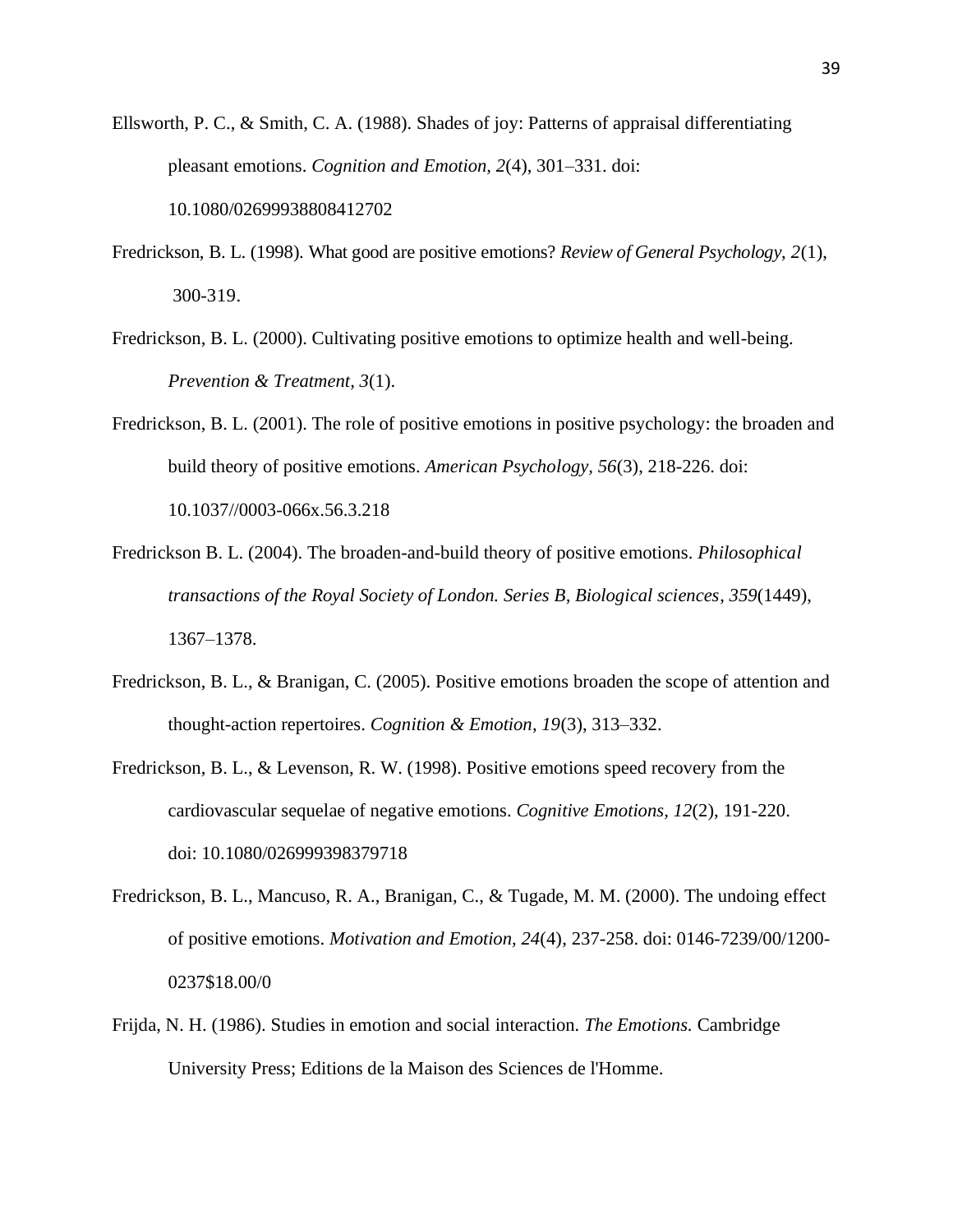- Ellsworth, P. C., & Smith, C. A. (1988). Shades of joy: Patterns of appraisal differentiating pleasant emotions. *Cognition and Emotion, 2*(4), 301–331. doi: 10.1080/02699938808412702
- Fredrickson, B. L. (1998). What good are positive emotions? *Review of General Psychology*, *2*(1), 300-319.
- Fredrickson, B. L. (2000). Cultivating positive emotions to optimize health and well-being. *Prevention & Treatment, 3*(1).
- Fredrickson, B. L. (2001). The role of positive emotions in positive psychology: the broaden and build theory of positive emotions. *American Psychology, 56*(3), 218-226. doi: 10.1037//0003-066x.56.3.218
- Fredrickson B. L. (2004). The broaden-and-build theory of positive emotions. *Philosophical transactions of the Royal Society of London. Series B, Biological sciences*, *359*(1449), 1367–1378.
- Fredrickson, B. L., & Branigan, C. (2005). Positive emotions broaden the scope of attention and thought-action repertoires. *Cognition & Emotion*, *19*(3), 313–332.
- Fredrickson, B. L., & Levenson, R. W. (1998). Positive emotions speed recovery from the cardiovascular sequelae of negative emotions. *Cognitive Emotions, 12*(2), 191-220. doi: 10.1080/026999398379718
- Fredrickson, B. L., Mancuso, R. A., Branigan, C., & Tugade, M. M. (2000). The undoing effect of positive emotions. *Motivation and Emotion, 24*(4), 237-258. doi: 0146-7239/00/1200- 0237\$18.00/0
- Frijda, N. H. (1986). Studies in emotion and social interaction*. The Emotions.* Cambridge University Press; Editions de la Maison des Sciences de l'Homme.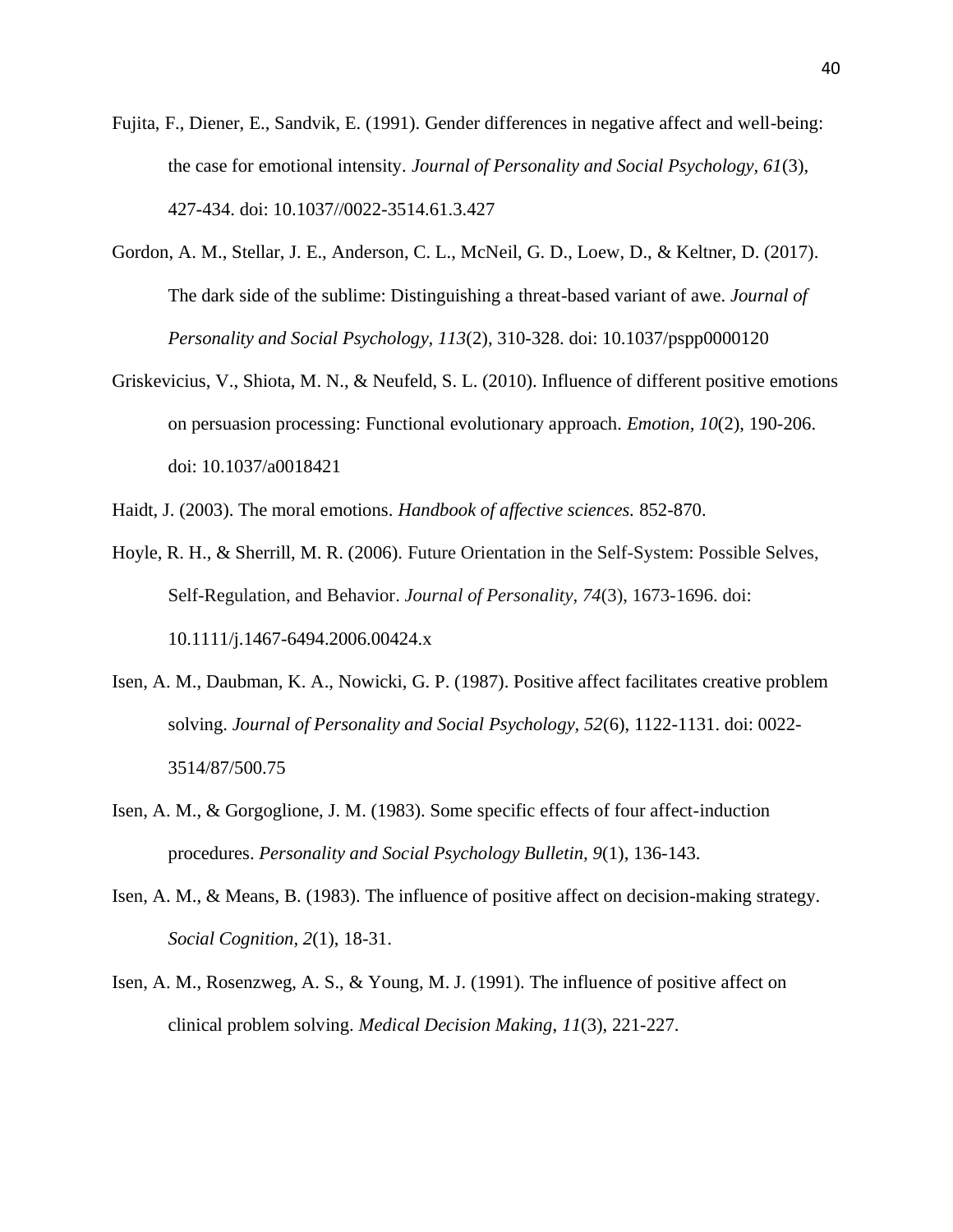- Fujita, F., Diener, E., Sandvik, E. (1991). Gender differences in negative affect and well-being: the case for emotional intensity. *Journal of Personality and Social Psychology, 61*(3), 427-434. doi: 10.1037//0022-3514.61.3.427
- Gordon, A. M., Stellar, J. E., Anderson, C. L., McNeil, G. D., Loew, D., & Keltner, D. (2017). The dark side of the sublime: Distinguishing a threat-based variant of awe. *Journal of Personality and Social Psychology, 113*(2), 310-328. doi: 10.1037/pspp0000120
- Griskevicius, V., Shiota, M. N., & Neufeld, S. L. (2010). Influence of different positive emotions on persuasion processing: Functional evolutionary approach. *Emotion, 10*(2), 190-206. doi: 10.1037/a0018421
- Haidt, J. (2003). The moral emotions. *Handbook of affective sciences.* 852-870.
- Hoyle, R. H., & Sherrill, M. R. (2006). Future Orientation in the Self-System: Possible Selves, Self-Regulation, and Behavior. *Journal of Personality, 74*(3), 1673-1696. doi: 10.1111/j.1467-6494.2006.00424.x
- Isen, A. M., Daubman, K. A., Nowicki, G. P. (1987). Positive affect facilitates creative problem solving. *Journal of Personality and Social Psychology, 52*(6), 1122-1131. doi: 0022- 3514/87/500.75
- Isen, A. M., & Gorgoglione, J. M. (1983). Some specific effects of four affect-induction procedures. *Personality and Social Psychology Bulletin, 9*(1), 136-143.
- Isen, A. M., & Means, B. (1983). The influence of positive affect on decision-making strategy. *Social Cognition, 2*(1), 18-31.
- Isen, A. M., Rosenzweg, A. S., & Young, M. J. (1991). The influence of positive affect on clinical problem solving. *Medical Decision Making*, *11*(3), 221-227.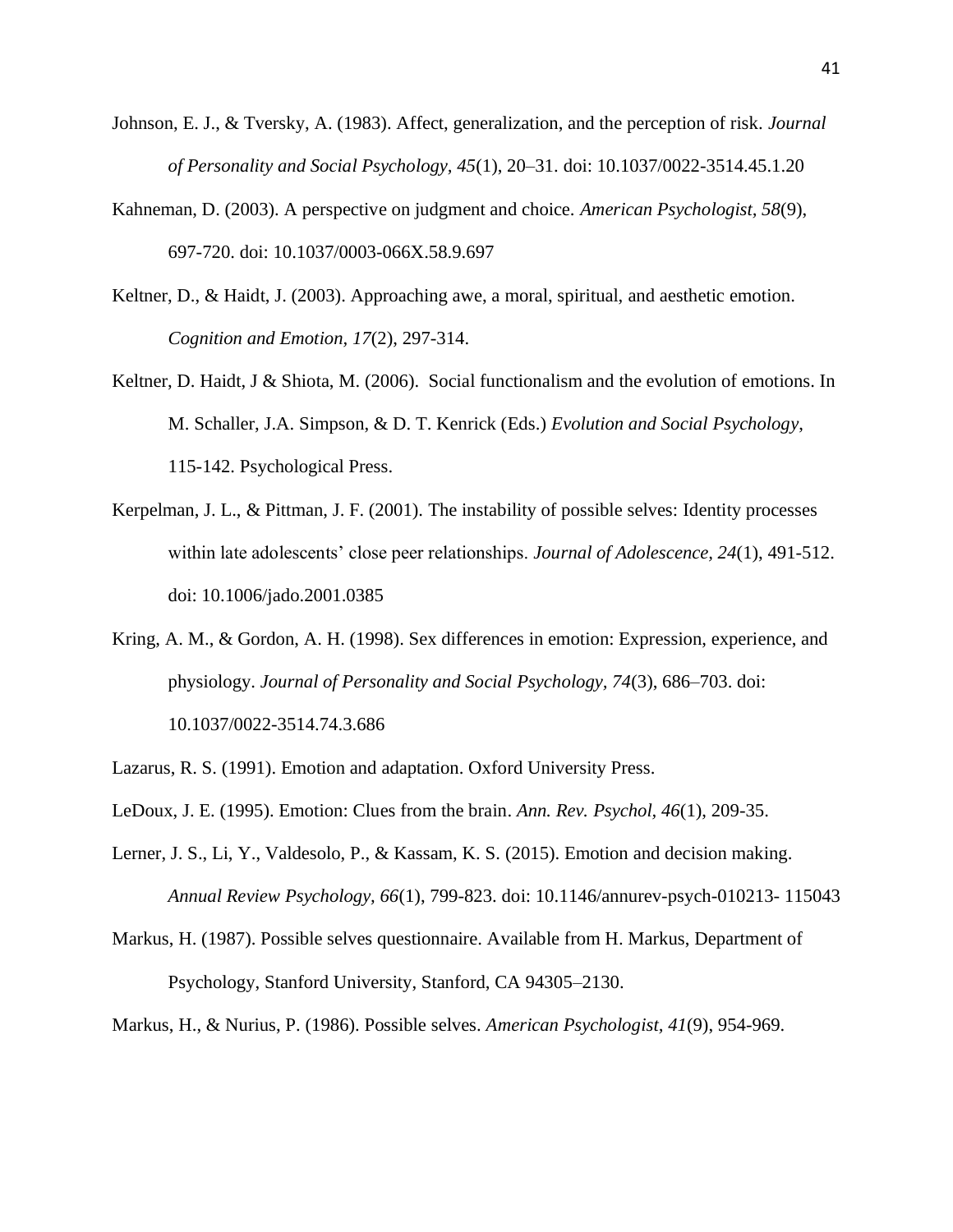- Johnson, E. J., & Tversky, A. (1983). Affect, generalization, and the perception of risk. *Journal of Personality and Social Psychology, 45*(1), 20–31. doi: 10.1037/0022-3514.45.1.20
- Kahneman, D. (2003). A perspective on judgment and choice. *American Psychologist, 58*(9), 697-720. doi: 10.1037/0003-066X.58.9.697
- Keltner, D., & Haidt, J. (2003). Approaching awe, a moral, spiritual, and aesthetic emotion. *Cognition and Emotion, 17*(2), 297-314.
- Keltner, D. Haidt, J & Shiota, M. (2006). Social functionalism and the evolution of emotions. In M. Schaller, J.A. Simpson, & D. T. Kenrick (Eds.) *Evolution and Social Psychology*, 115-142. Psychological Press.
- Kerpelman, J. L., & Pittman, J. F. (2001). The instability of possible selves: Identity processes within late adolescents' close peer relationships. *Journal of Adolescence, 24*(1), 491-512. doi: 10.1006/jado.2001.0385
- Kring, A. M., & Gordon, A. H. (1998). Sex differences in emotion: Expression, experience, and physiology. *Journal of Personality and Social Psychology, 74*(3), 686–703. doi: 10.1037/0022-3514.74.3.686
- Lazarus, R. S. (1991). Emotion and adaptation. Oxford University Press.
- LeDoux, J. E. (1995). Emotion: Clues from the brain. *Ann. Rev. Psychol, 46*(1), 209-35.
- Lerner, J. S., Li, Y., Valdesolo, P., & Kassam, K. S. (2015). Emotion and decision making. *Annual Review Psychology, 66*(1), 799-823. doi: 10.1146/annurev-psych-010213- 115043
- Markus, H. (1987). Possible selves questionnaire. Available from H. Markus, Department of Psychology, Stanford University, Stanford, CA 94305–2130.
- Markus, H., & Nurius, P. (1986). Possible selves. *American Psychologist, 41*(9), 954-969.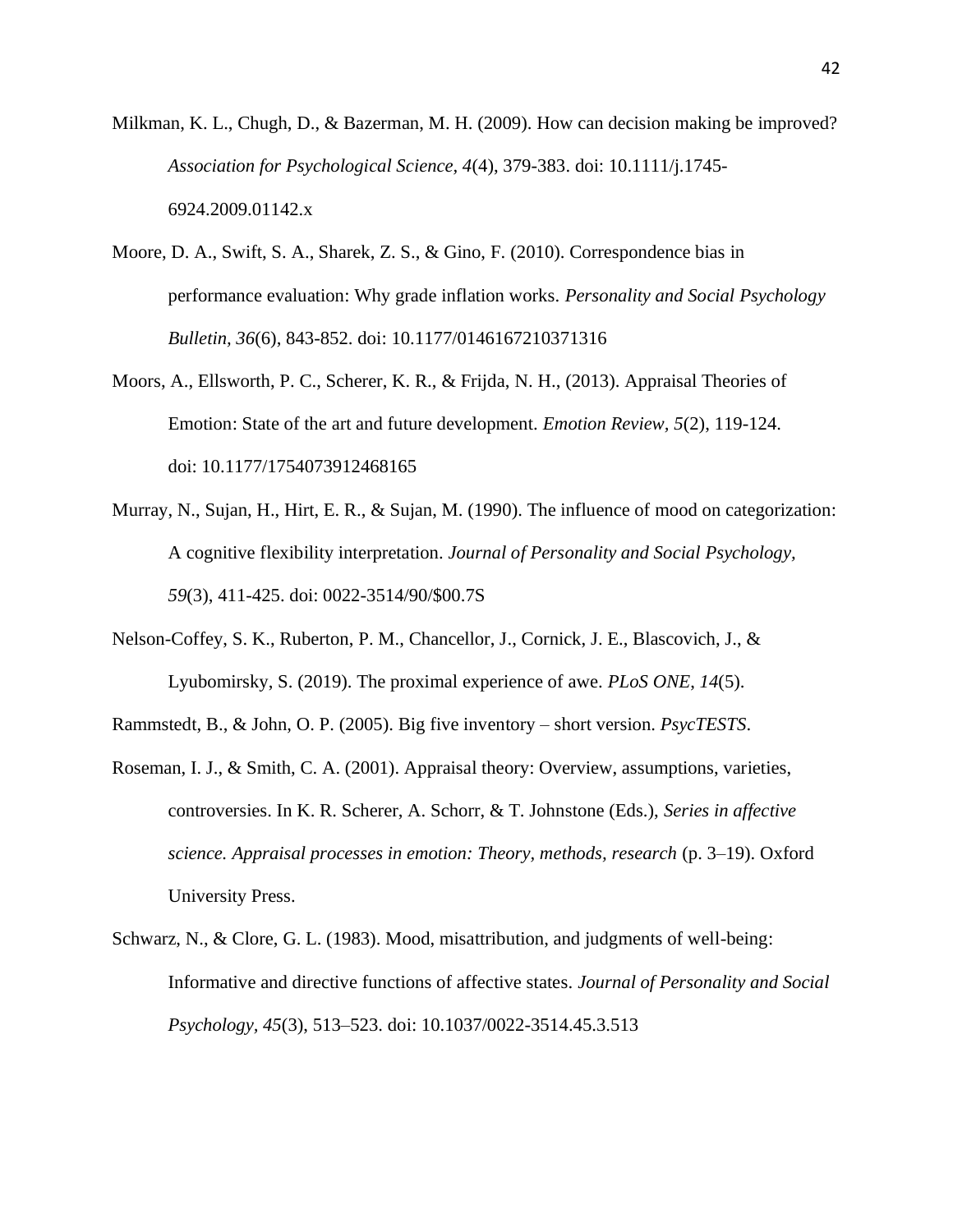- Milkman, K. L., Chugh, D., & Bazerman, M. H. (2009). How can decision making be improved? *Association for Psychological Science, 4*(4), 379-383. doi: 10.1111/j.1745- 6924.2009.01142.x
- Moore, D. A., Swift, S. A., Sharek, Z. S., & Gino, F. (2010). Correspondence bias in performance evaluation: Why grade inflation works. *Personality and Social Psychology Bulletin, 36*(6), 843-852. doi: 10.1177/0146167210371316
- Moors, A., Ellsworth, P. C., Scherer, K. R., & Frijda, N. H., (2013). Appraisal Theories of Emotion: State of the art and future development. *Emotion Review, 5*(2), 119-124. doi: 10.1177/1754073912468165
- Murray, N., Sujan, H., Hirt, E. R., & Sujan, M. (1990). The influence of mood on categorization: A cognitive flexibility interpretation. *Journal of Personality and Social Psychology, 59*(3), 411-425. doi: 0022-3514/90/\$00.7S
- Nelson-Coffey, S. K., Ruberton, P. M., Chancellor, J., Cornick, J. E., Blascovich, J., & Lyubomirsky, S. (2019). The proximal experience of awe. *PLoS ONE*, *14*(5).
- Rammstedt, B., & John, O. P. (2005). Big five inventory short version. *PsycTESTS*.
- Roseman, I. J., & Smith, C. A. (2001). Appraisal theory: Overview, assumptions, varieties, controversies. In K. R. Scherer, A. Schorr, & T. Johnstone (Eds.), *Series in affective science. Appraisal processes in emotion: Theory, methods, research* (p. 3–19). Oxford University Press.
- Schwarz, N., & Clore, G. L. (1983). Mood, misattribution, and judgments of well-being: Informative and directive functions of affective states. *Journal of Personality and Social Psychology, 45*(3), 513–523. doi: 10.1037/0022-3514.45.3.513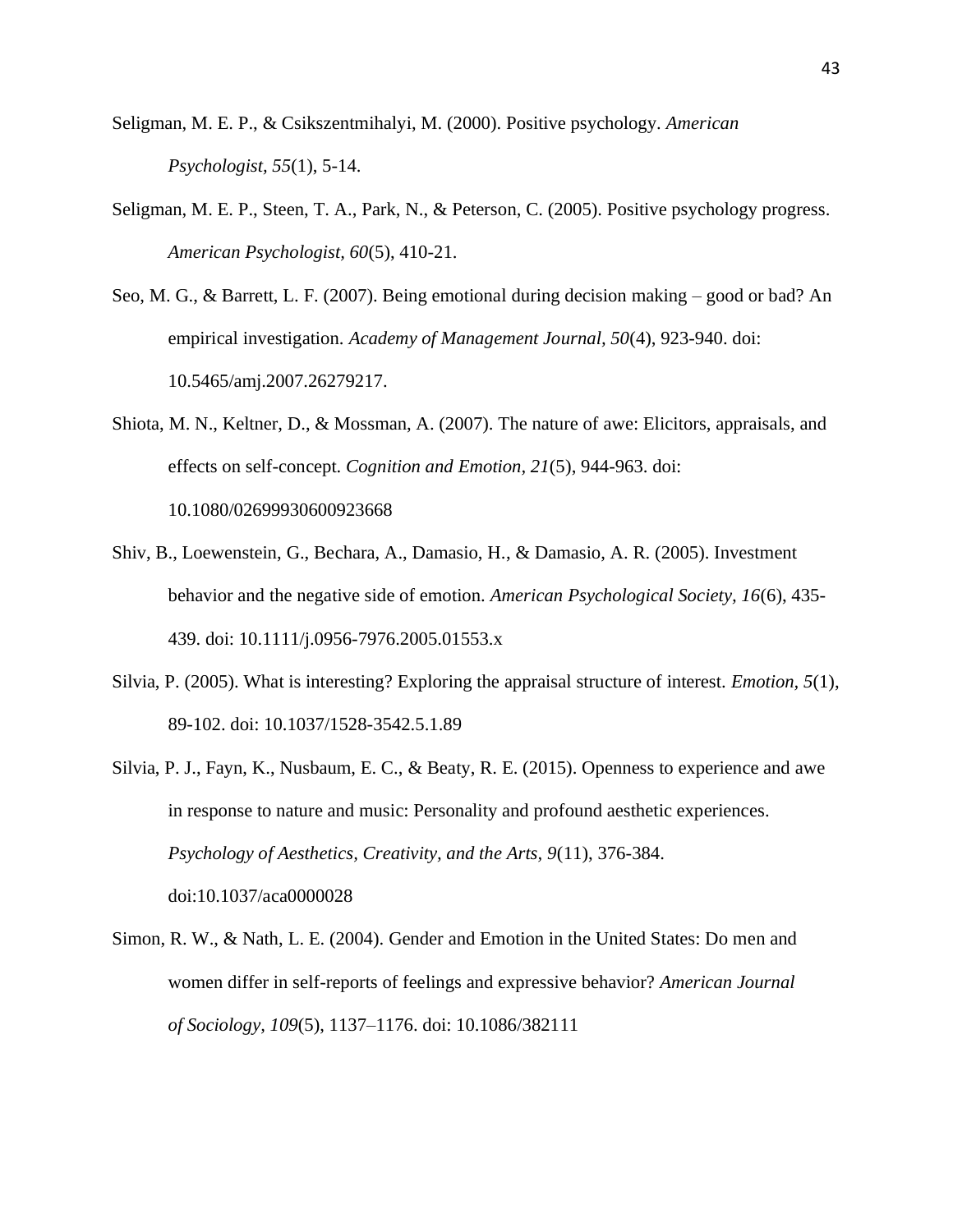- Seligman, M. E. P., & Csikszentmihalyi, M. (2000). Positive psychology. *American Psychologist, 55*(1), 5-14.
- Seligman, M. E. P., Steen, T. A., Park, N., & Peterson, C. (2005). Positive psychology progress. *American Psychologist, 60*(5), 410-21.
- Seo, M. G., & Barrett, L. F. (2007). Being emotional during decision making good or bad? An empirical investigation. *Academy of Management Journal, 50*(4), 923-940. doi: 10.5465/amj.2007.26279217.
- Shiota, M. N., Keltner, D., & Mossman, A. (2007). The nature of awe: Elicitors, appraisals, and effects on self-concept. *Cognition and Emotion, 21*(5), 944-963. doi: 10.1080/02699930600923668
- Shiv, B., Loewenstein, G., Bechara, A., Damasio, H., & Damasio, A. R. (2005). Investment behavior and the negative side of emotion. *American Psychological Society, 16*(6), 435- 439. doi: 10.1111/j.0956-7976.2005.01553.x
- Silvia, P. (2005). What is interesting? Exploring the appraisal structure of interest. *Emotion, 5*(1), 89-102. doi: 10.1037/1528-3542.5.1.89
- Silvia, P. J., Fayn, K., Nusbaum, E. C., & Beaty, R. E. (2015). Openness to experience and awe in response to nature and music: Personality and profound aesthetic experiences. *Psychology of Aesthetics, Creativity, and the Arts, 9*(11), 376-384. doi:10.1037/aca0000028
- Simon, R. W., & Nath, L. E. (2004). Gender and Emotion in the United States: Do men and women differ in self-reports of feelings and expressive behavior? *American Journal of Sociology, 109*(5), 1137–1176. doi: 10.1086/382111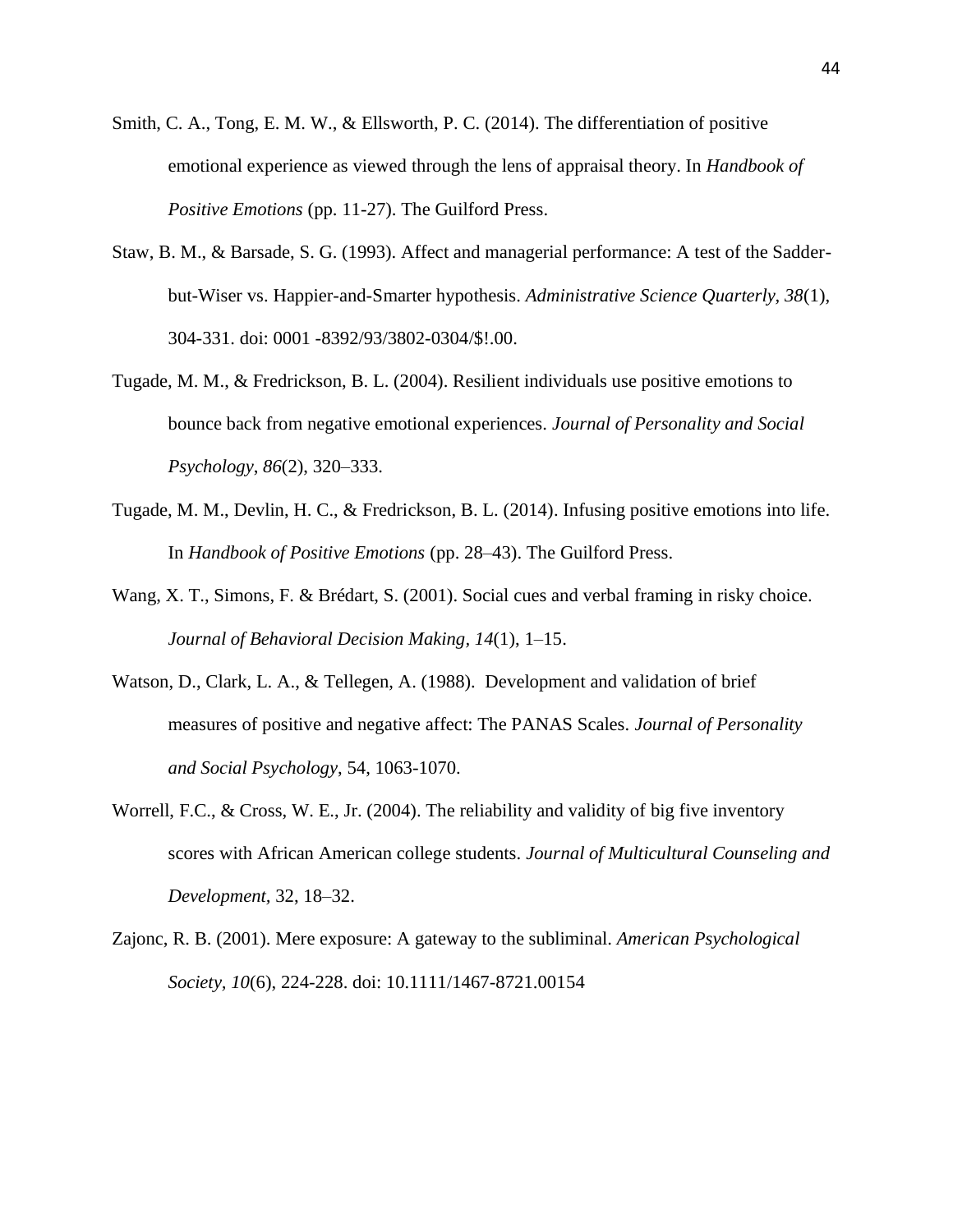- Smith, C. A., Tong, E. M. W., & Ellsworth, P. C. (2014). The differentiation of positive emotional experience as viewed through the lens of appraisal theory. In *Handbook of Positive Emotions* (pp. 11-27). The Guilford Press.
- Staw, B. M., & Barsade, S. G. (1993). Affect and managerial performance: A test of the Sadderbut-Wiser vs. Happier-and-Smarter hypothesis. *Administrative Science Quarterly, 38*(1), 304-331. doi: 0001 -8392/93/3802-0304/\$!.00.
- Tugade, M. M., & Fredrickson, B. L. (2004). Resilient individuals use positive emotions to bounce back from negative emotional experiences. *Journal of Personality and Social Psychology*, *86*(2), 320–333.
- Tugade, M. M., Devlin, H. C., & Fredrickson, B. L. (2014). Infusing positive emotions into life. In *Handbook of Positive Emotions* (pp. 28–43). The Guilford Press.
- Wang, X. T., Simons, F. & Brédart, S. (2001). Social cues and verbal framing in risky choice. *Journal of Behavioral Decision Making, 14*(1), 1–15.
- Watson, D., Clark, L. A., & Tellegen, A. (1988). Development and validation of brief measures of positive and negative affect: The PANAS Scales. *Journal of Personality and Social Psychology*, 54, 1063-1070.
- Worrell, F.C., & Cross, W. E., Jr. (2004). The reliability and validity of big five inventory scores with African American college students. *Journal of Multicultural Counseling and Development,* 32, 18–32.
- Zajonc, R. B. (2001). Mere exposure: A gateway to the subliminal. *American Psychological Society, 10*(6), 224-228. doi: 10.1111/1467-8721.00154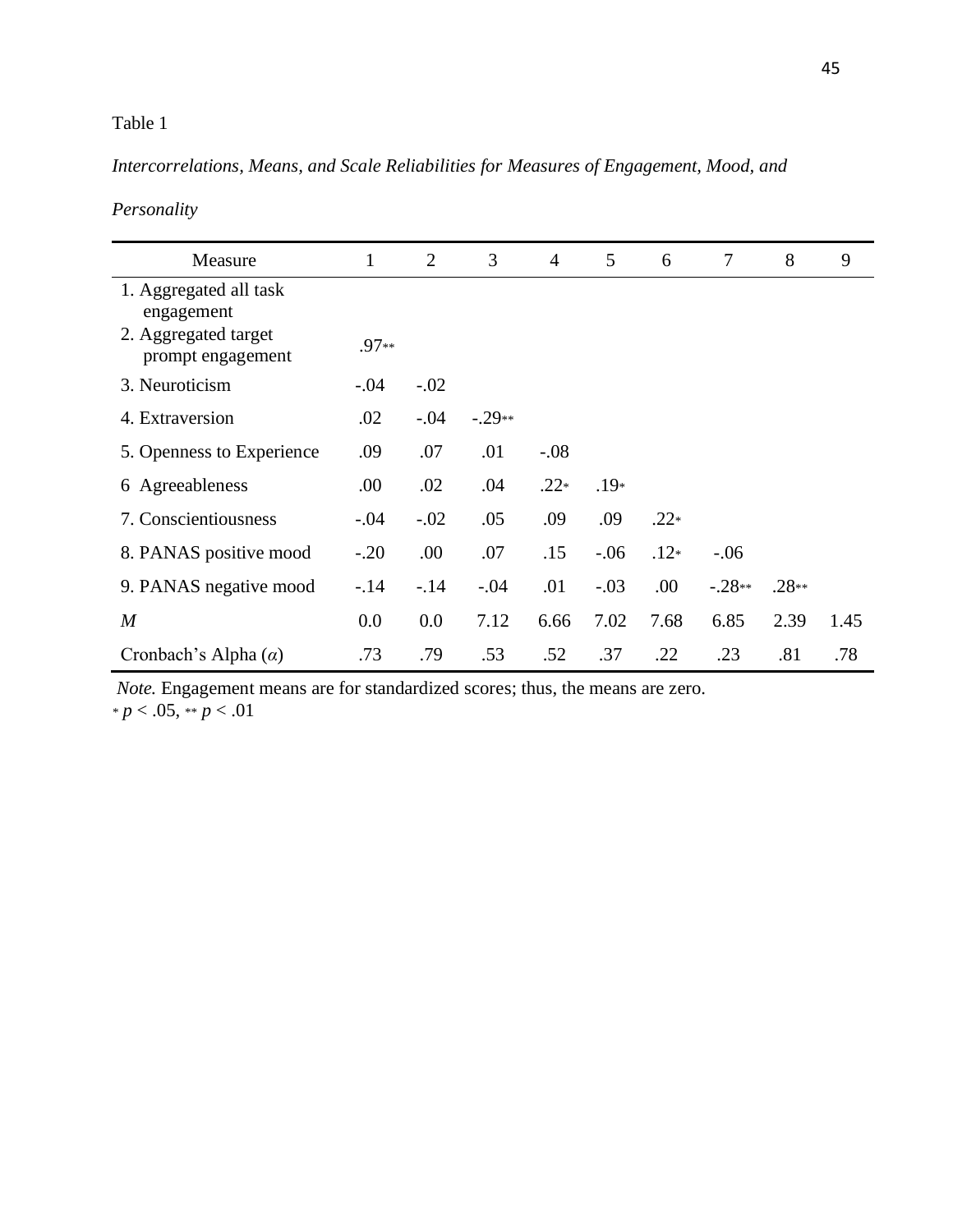# Table 1

# *Intercorrelations, Means, and Scale Reliabilities for Measures of Engagement, Mood, and*

| Personality |
|-------------|
|-------------|

| Measure                                   | $\mathbf{1}$ | 2      | 3        | $\overline{4}$ | 5      | 6      | $\overline{7}$ | 8       | 9    |
|-------------------------------------------|--------------|--------|----------|----------------|--------|--------|----------------|---------|------|
| 1. Aggregated all task<br>engagement      |              |        |          |                |        |        |                |         |      |
| 2. Aggregated target<br>prompt engagement | $.97**$      |        |          |                |        |        |                |         |      |
| 3. Neuroticism                            | $-.04$       | $-.02$ |          |                |        |        |                |         |      |
| 4. Extraversion                           | .02          | $-.04$ | $-.29**$ |                |        |        |                |         |      |
| 5. Openness to Experience                 | .09          | .07    | .01      | $-.08$         |        |        |                |         |      |
| 6 Agreeableness                           | .00          | .02    | .04      | $.22*$         | $.19*$ |        |                |         |      |
| 7. Conscientiousness                      | $-.04$       | $-.02$ | .05      | .09            | .09    | $.22*$ |                |         |      |
| 8. PANAS positive mood                    | $-.20$       | .00    | .07      | .15            | $-.06$ | $.12*$ | $-.06$         |         |      |
| 9. PANAS negative mood                    | $-.14$       | $-.14$ | $-.04$   | .01            | $-.03$ | .00    | $-.28**$       | $.28**$ |      |
| $\boldsymbol{M}$                          | $0.0\,$      | 0.0    | 7.12     | 6.66           | 7.02   | 7.68   | 6.85           | 2.39    | 1.45 |
| Cronbach's Alpha $(\alpha)$               | .73          | .79    | .53      | .52            | .37    | .22    | .23            | .81     | .78  |

*Note.* Engagement means are for standardized scores; thus, the means are zero.

*\* p* < .05, \*\* *p* < .01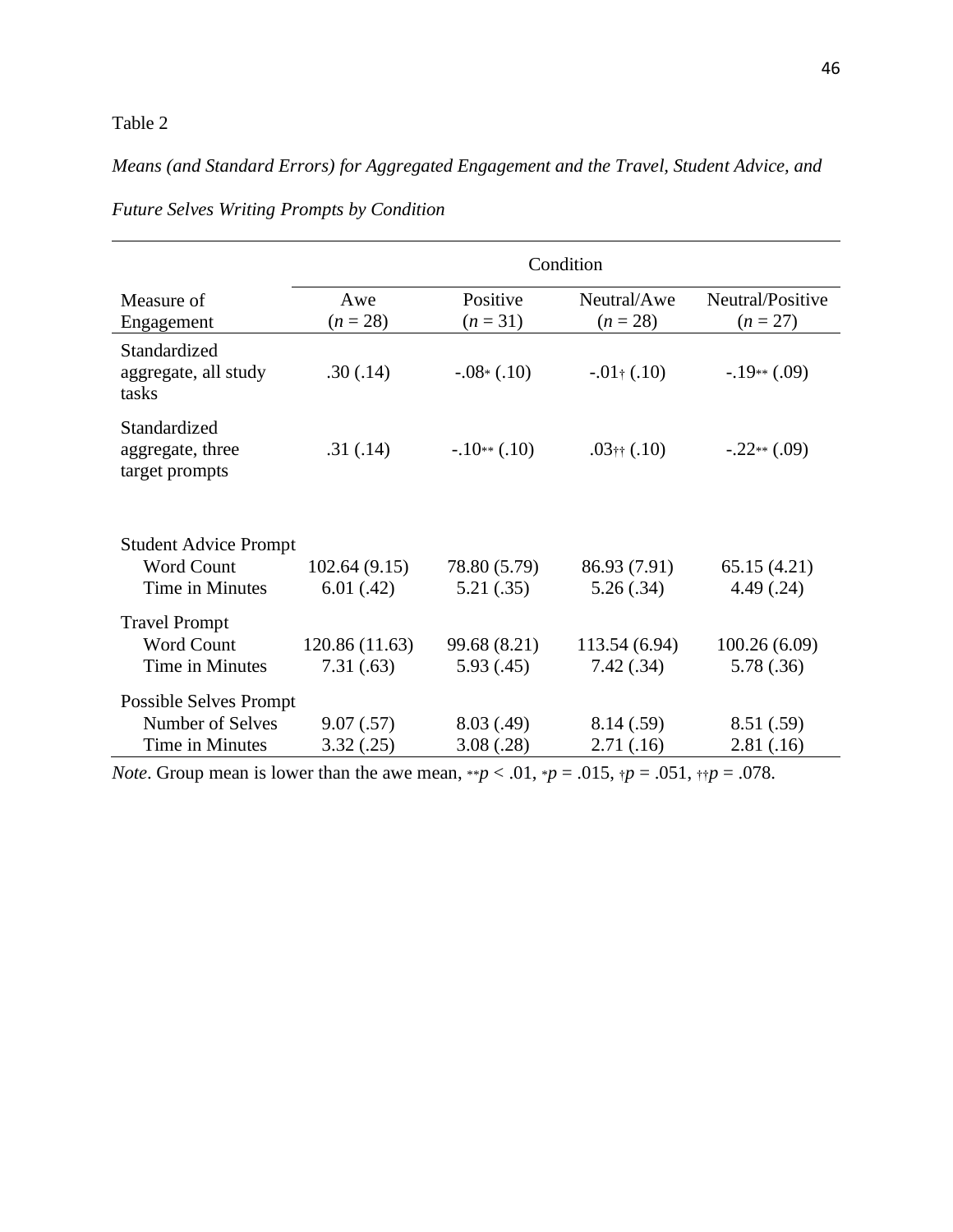# Table 2

# *Means (and Standard Errors) for Aggregated Engagement and the Travel, Student Advice, and*

|                                                    | Condition         |                        |                           |                                |  |  |
|----------------------------------------------------|-------------------|------------------------|---------------------------|--------------------------------|--|--|
| Measure of<br>Engagement                           | Awe<br>$(n = 28)$ | Positive<br>$(n = 31)$ | Neutral/Awe<br>$(n = 28)$ | Neutral/Positive<br>$(n = 27)$ |  |  |
| Standardized<br>aggregate, all study<br>tasks      | .30(.14)          | $-.08*(.10)$           | $-0.01$ † $(.10)$         | $-.19**(.09)$                  |  |  |
| Standardized<br>aggregate, three<br>target prompts | .31(.14)          | $-.10**(.10)$          | $.03$ †† $(.10)$          | $-.22**(.09)$                  |  |  |
| <b>Student Advice Prompt</b>                       |                   |                        |                           |                                |  |  |
| <b>Word Count</b>                                  | 102.64(9.15)      | 78.80 (5.79)           | 86.93 (7.91)              | 65.15(4.21)                    |  |  |
| Time in Minutes                                    | 6.01(0.42)        | 5.21(.35)              | 5.26(.34)                 | 4.49(.24)                      |  |  |
| <b>Travel Prompt</b>                               |                   |                        |                           |                                |  |  |
| <b>Word Count</b>                                  | 120.86 (11.63)    | 99.68 (8.21)           | 113.54 (6.94)             | 100.26(6.09)                   |  |  |
| Time in Minutes                                    | 7.31(.63)         | 5.93(.45)              | 7.42(.34)                 | 5.78(.36)                      |  |  |
| <b>Possible Selves Prompt</b>                      |                   |                        |                           |                                |  |  |
| Number of Selves                                   | 9.07(.57)         | 8.03(.49)              | 8.14(.59)                 | 8.51(.59)                      |  |  |
| Time in Minutes                                    | 3.32(.25)         | 3.08(.28)              | 2.71(.16)                 | 2.81(.16)                      |  |  |

*Future Selves Writing Prompts by Condition*

*Note*. Group mean is lower than the awe mean, \*\**p* < .01, \**p* = .015,  $\uparrow p$  = .051,  $\uparrow \uparrow p$  = .078.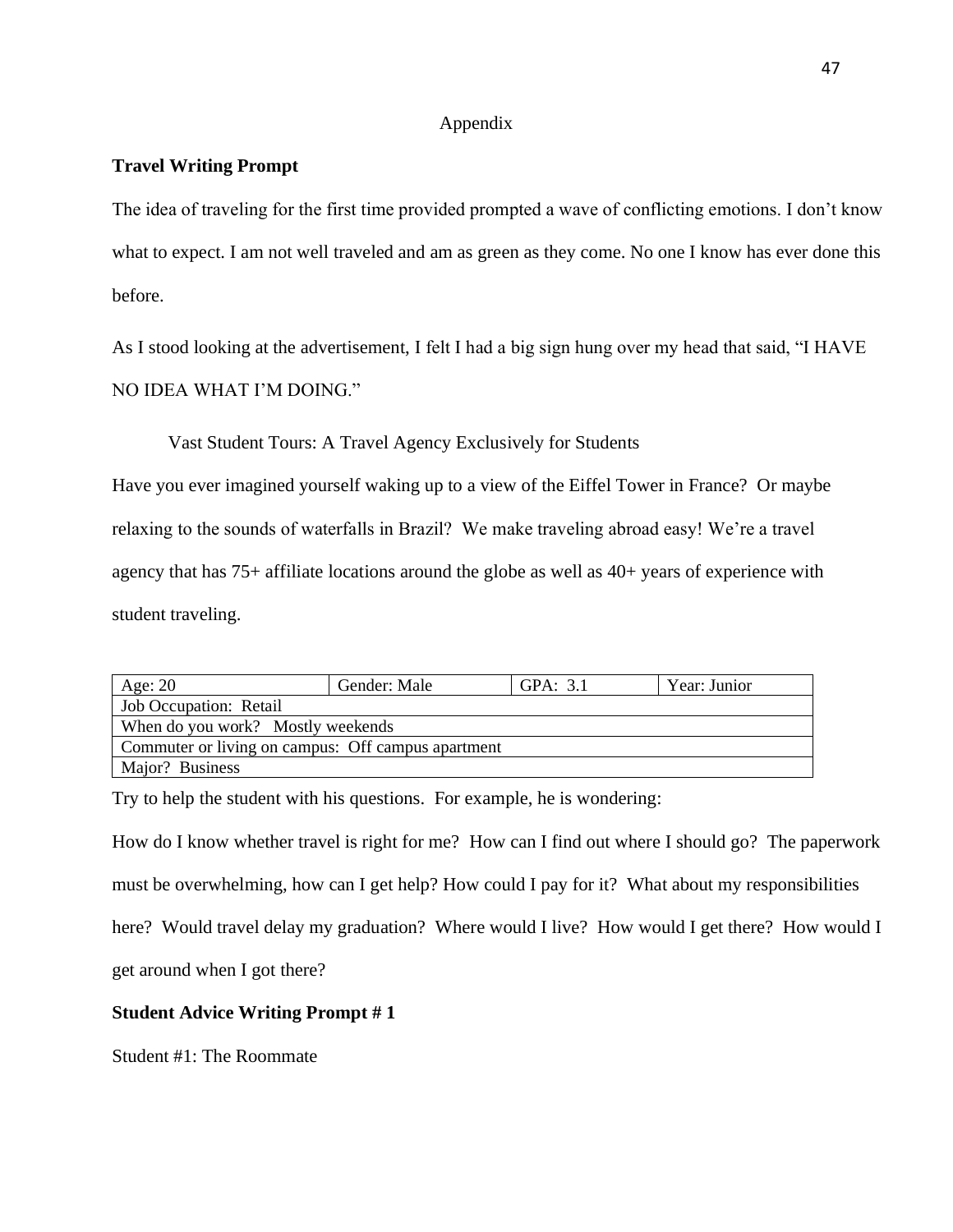### Appendix

# **Travel Writing Prompt**

The idea of traveling for the first time provided prompted a wave of conflicting emotions. I don't know what to expect. I am not well traveled and am as green as they come. No one I know has ever done this before.

As I stood looking at the advertisement, I felt I had a big sign hung over my head that said, "I HAVE NO IDEA WHAT I'M DOING."

Vast Student Tours: A Travel Agency Exclusively for Students

Have you ever imagined yourself waking up to a view of the Eiffel Tower in France? Or maybe relaxing to the sounds of waterfalls in Brazil? We make traveling abroad easy! We're a travel agency that has 75+ affiliate locations around the globe as well as 40+ years of experience with student traveling.

| Age: $20$                                          | Gender: Male<br>GPA: $3.1$<br>Year: Junior |  |  |  |
|----------------------------------------------------|--------------------------------------------|--|--|--|
| Job Occupation: Retail                             |                                            |  |  |  |
| When do you work? Mostly weekends                  |                                            |  |  |  |
| Commuter or living on campus: Off campus apartment |                                            |  |  |  |
| Major? Business                                    |                                            |  |  |  |

Try to help the student with his questions. For example, he is wondering:

How do I know whether travel is right for me? How can I find out where I should go? The paperwork must be overwhelming, how can I get help? How could I pay for it? What about my responsibilities here? Would travel delay my graduation? Where would I live? How would I get there? How would I get around when I got there?

# **Student Advice Writing Prompt # 1**

Student #1: The Roommate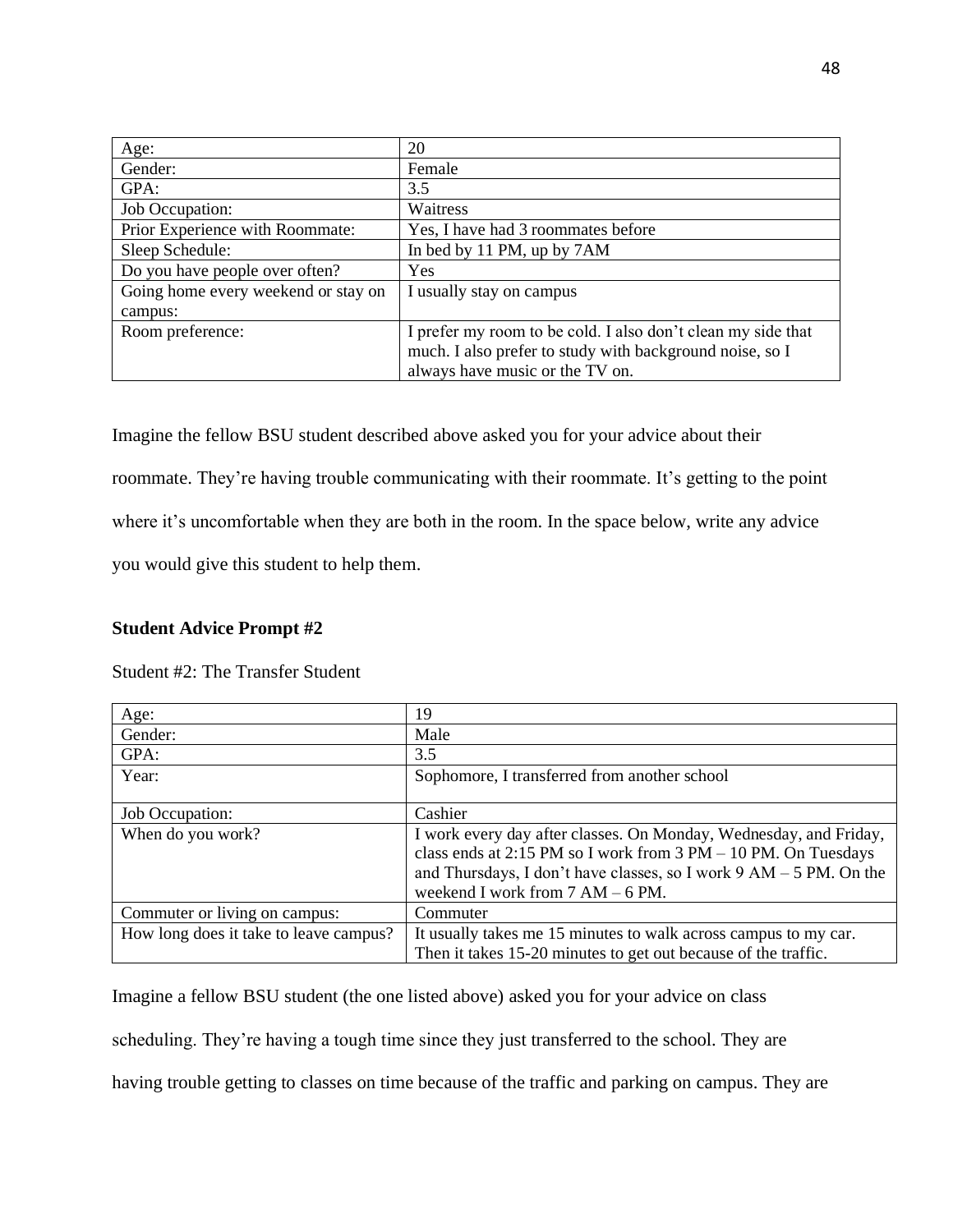| Age:                                | 20                                                           |
|-------------------------------------|--------------------------------------------------------------|
| Gender:                             | Female                                                       |
| GPA:                                | 3.5                                                          |
| Job Occupation:                     | Waitress                                                     |
| Prior Experience with Roommate:     | Yes, I have had 3 roommates before                           |
| Sleep Schedule:                     | In bed by 11 PM, up by 7AM                                   |
| Do you have people over often?      | Yes                                                          |
| Going home every weekend or stay on | I usually stay on campus                                     |
| campus:                             |                                                              |
| Room preference:                    | I prefer my room to be cold. I also don't clean my side that |
|                                     | much. I also prefer to study with background noise, so I     |
|                                     | always have music or the TV on.                              |

Imagine the fellow BSU student described above asked you for your advice about their roommate. They're having trouble communicating with their roommate. It's getting to the point where it's uncomfortable when they are both in the room. In the space below, write any advice you would give this student to help them.

## **Student Advice Prompt #2**

|  |  |  |  | Student #2: The Transfer Student |  |
|--|--|--|--|----------------------------------|--|
|--|--|--|--|----------------------------------|--|

| Age:                                   | 19                                                                                                                                  |
|----------------------------------------|-------------------------------------------------------------------------------------------------------------------------------------|
| Gender:                                | Male                                                                                                                                |
| GPA:                                   | 3.5                                                                                                                                 |
| Year:                                  | Sophomore, I transferred from another school                                                                                        |
|                                        |                                                                                                                                     |
| Job Occupation:                        | Cashier                                                                                                                             |
| When do you work?                      | I work every day after classes. On Monday, Wednesday, and Friday,<br>class ends at 2:15 PM so I work from 3 PM - 10 PM. On Tuesdays |
|                                        | and Thursdays, I don't have classes, so I work $9 AM - 5 PM$ . On the                                                               |
|                                        | weekend I work from $7 AM - 6 PM$ .                                                                                                 |
| Commuter or living on campus:          | Commuter                                                                                                                            |
| How long does it take to leave campus? | It usually takes me 15 minutes to walk across campus to my car.                                                                     |
|                                        | Then it takes 15-20 minutes to get out because of the traffic.                                                                      |

Imagine a fellow BSU student (the one listed above) asked you for your advice on class

scheduling. They're having a tough time since they just transferred to the school. They are

having trouble getting to classes on time because of the traffic and parking on campus. They are